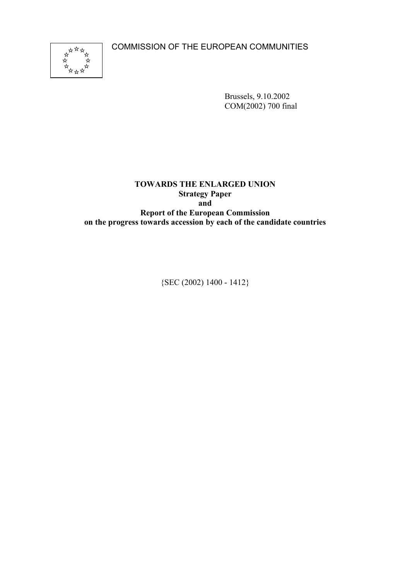COMMISSION OF THE EUROPEAN COMMUNITIES



Brussels, 9.10.2002 COM(2002) 700 final

# **TOWARDS THE ENLARGED UNION Strategy Paper and Report of the European Commission on the progress towards accession by each of the candidate countries**

{SEC (2002) 1400 - 1412}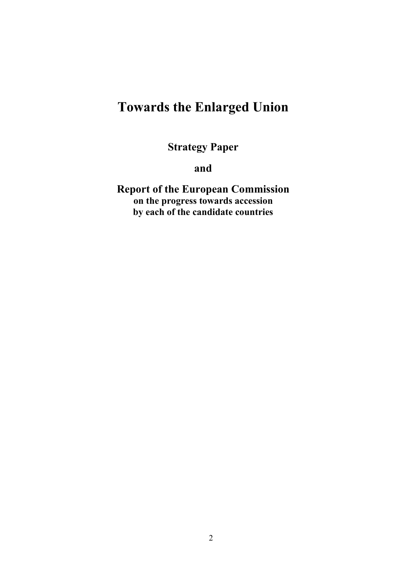# **Towards the Enlarged Union**

**Strategy Paper**

**and**

**Report of the European Commission on the progress towards accession by each of the candidate countries**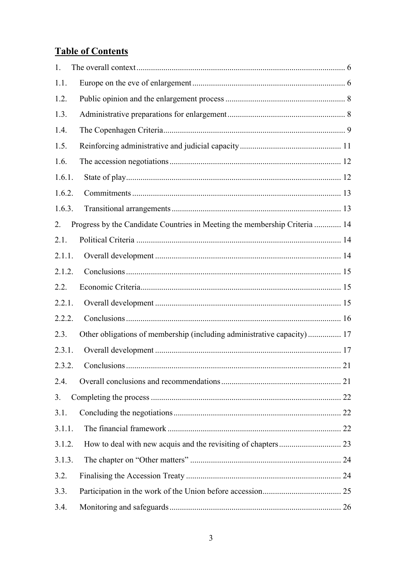# **Table of Contents**

| 1.     |                                                                            |  |
|--------|----------------------------------------------------------------------------|--|
| 1.1.   |                                                                            |  |
| 1.2.   |                                                                            |  |
| 1.3.   |                                                                            |  |
| 1.4.   |                                                                            |  |
| 1.5.   |                                                                            |  |
| 1.6.   |                                                                            |  |
| 1.6.1. |                                                                            |  |
| 1.6.2. |                                                                            |  |
| 1.6.3. |                                                                            |  |
| 2.     | Progress by the Candidate Countries in Meeting the membership Criteria  14 |  |
| 2.1.   |                                                                            |  |
| 2.1.1. |                                                                            |  |
| 2.1.2. |                                                                            |  |
| 2.2.   |                                                                            |  |
| 2.2.1. |                                                                            |  |
| 2.2.2. |                                                                            |  |
| 2.3.   | Other obligations of membership (including administrative capacity) 17     |  |
| 2.3.1. |                                                                            |  |
| 2.3.2. |                                                                            |  |
| 2.4.   |                                                                            |  |
| 3.     |                                                                            |  |
| 3.1.   |                                                                            |  |
| 3.1.1. |                                                                            |  |
| 3.1.2. |                                                                            |  |
| 3.1.3. |                                                                            |  |
| 3.2.   |                                                                            |  |
| 3.3.   |                                                                            |  |
| 3.4.   |                                                                            |  |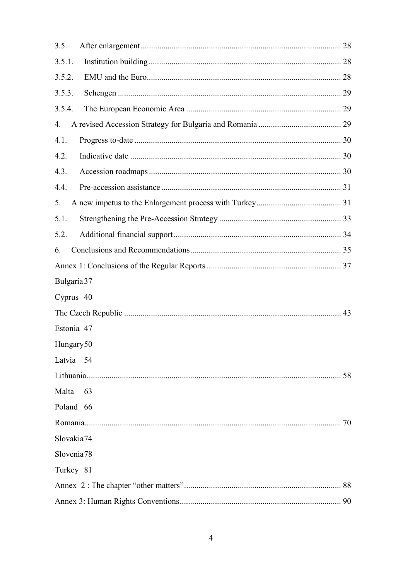| 3.5.           |    |
|----------------|----|
| 3.5.1.         |    |
| 3.5.2.         |    |
| 3.5.3.         |    |
| 3.5.4.         |    |
| 4.             |    |
| 4.1.           |    |
| 4.2.           |    |
| 4.3.           |    |
| 4.4.           |    |
| 5.             |    |
| 5.1.           |    |
| 5.2.           |    |
| 6.             |    |
|                |    |
| Bulgaria 37    |    |
| Cyprus 40      |    |
|                |    |
| Estonia 47     |    |
| Hungary50      |    |
| Latvia<br>- 54 |    |
|                | 58 |
| Malta<br>63    |    |
| Poland 66      |    |
|                | 70 |
| Slovakia74     |    |
| Slovenia78     |    |
| Turkey 81      |    |
|                |    |
|                |    |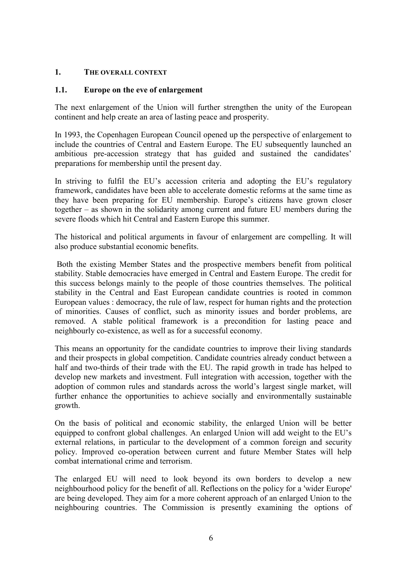# **1. THE OVERALL CONTEXT**

#### **1.1. Europe on the eve of enlargement**

The next enlargement of the Union will further strengthen the unity of the European continent and help create an area of lasting peace and prosperity.

In 1993, the Copenhagen European Council opened up the perspective of enlargement to include the countries of Central and Eastern Europe. The EU subsequently launched an ambitious pre-accession strategy that has guided and sustained the candidates' preparations for membership until the present day.

In striving to fulfil the EU's accession criteria and adopting the EU's regulatory framework, candidates have been able to accelerate domestic reforms at the same time as they have been preparing for EU membership. Europe's citizens have grown closer together – as shown in the solidarity among current and future EU members during the severe floods which hit Central and Eastern Europe this summer.

The historical and political arguments in favour of enlargement are compelling. It will also produce substantial economic benefits.

 Both the existing Member States and the prospective members benefit from political stability. Stable democracies have emerged in Central and Eastern Europe. The credit for this success belongs mainly to the people of those countries themselves. The political stability in the Central and East European candidate countries is rooted in common European values : democracy, the rule of law, respect for human rights and the protection of minorities. Causes of conflict, such as minority issues and border problems, are removed. A stable political framework is a precondition for lasting peace and neighbourly co-existence, as well as for a successful economy.

This means an opportunity for the candidate countries to improve their living standards and their prospects in global competition. Candidate countries already conduct between a half and two-thirds of their trade with the EU. The rapid growth in trade has helped to develop new markets and investment. Full integration with accession, together with the adoption of common rules and standards across the world's largest single market, will further enhance the opportunities to achieve socially and environmentally sustainable growth.

On the basis of political and economic stability, the enlarged Union will be better equipped to confront global challenges. An enlarged Union will add weight to the EU's external relations, in particular to the development of a common foreign and security policy. Improved co-operation between current and future Member States will help combat international crime and terrorism.

The enlarged EU will need to look beyond its own borders to develop a new neighbourhood policy for the benefit of all. Reflections on the policy for a 'wider Europe' are being developed. They aim for a more coherent approach of an enlarged Union to the neighbouring countries. The Commission is presently examining the options of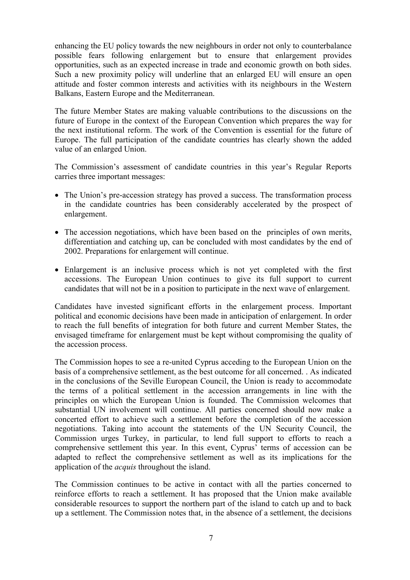enhancing the EU policy towards the new neighbours in order not only to counterbalance possible fears following enlargement but to ensure that enlargement provides opportunities, such as an expected increase in trade and economic growth on both sides. Such a new proximity policy will underline that an enlarged EU will ensure an open attitude and foster common interests and activities with its neighbours in the Western Balkans, Eastern Europe and the Mediterranean.

The future Member States are making valuable contributions to the discussions on the future of Europe in the context of the European Convention which prepares the way for the next institutional reform. The work of the Convention is essential for the future of Europe. The full participation of the candidate countries has clearly shown the added value of an enlarged Union.

The Commission's assessment of candidate countries in this year's Regular Reports carries three important messages:

- The Union's pre-accession strategy has proved a success. The transformation process in the candidate countries has been considerably accelerated by the prospect of enlargement.
- The accession negotiations, which have been based on the principles of own merits, differentiation and catching up, can be concluded with most candidates by the end of 2002. Preparations for enlargement will continue.
- Enlargement is an inclusive process which is not yet completed with the first accessions. The European Union continues to give its full support to current candidates that will not be in a position to participate in the next wave of enlargement.

Candidates have invested significant efforts in the enlargement process. Important political and economic decisions have been made in anticipation of enlargement. In order to reach the full benefits of integration for both future and current Member States, the envisaged timeframe for enlargement must be kept without compromising the quality of the accession process.

The Commission hopes to see a re-united Cyprus acceding to the European Union on the basis of a comprehensive settlement, as the best outcome for all concerned. . As indicated in the conclusions of the Seville European Council, the Union is ready to accommodate the terms of a political settlement in the accession arrangements in line with the principles on which the European Union is founded. The Commission welcomes that substantial UN involvement will continue. All parties concerned should now make a concerted effort to achieve such a settlement before the completion of the accession negotiations. Taking into account the statements of the UN Security Council, the Commission urges Turkey, in particular, to lend full support to efforts to reach a comprehensive settlement this year. In this event, Cyprus' terms of accession can be adapted to reflect the comprehensive settlement as well as its implications for the application of the *acquis* throughout the island.

The Commission continues to be active in contact with all the parties concerned to reinforce efforts to reach a settlement. It has proposed that the Union make available considerable resources to support the northern part of the island to catch up and to back up a settlement. The Commission notes that, in the absence of a settlement, the decisions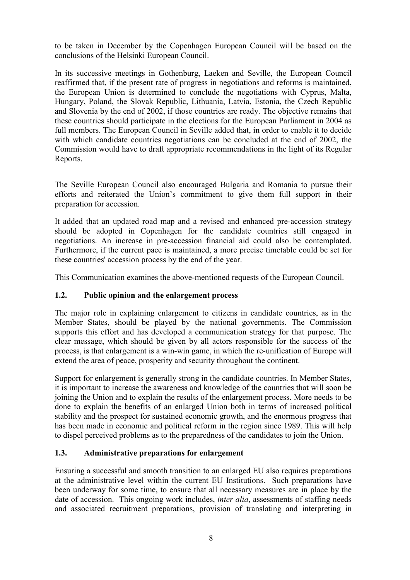to be taken in December by the Copenhagen European Council will be based on the conclusions of the Helsinki European Council.

In its successive meetings in Gothenburg, Laeken and Seville, the European Council reaffirmed that, if the present rate of progress in negotiations and reforms is maintained, the European Union is determined to conclude the negotiations with Cyprus, Malta, Hungary, Poland, the Slovak Republic, Lithuania, Latvia, Estonia, the Czech Republic and Slovenia by the end of 2002, if those countries are ready. The objective remains that these countries should participate in the elections for the European Parliament in 2004 as full members. The European Council in Seville added that, in order to enable it to decide with which candidate countries negotiations can be concluded at the end of 2002, the Commission would have to draft appropriate recommendations in the light of its Regular Reports.

The Seville European Council also encouraged Bulgaria and Romania to pursue their efforts and reiterated the Union's commitment to give them full support in their preparation for accession.

It added that an updated road map and a revised and enhanced pre-accession strategy should be adopted in Copenhagen for the candidate countries still engaged in negotiations. An increase in pre-accession financial aid could also be contemplated. Furthermore, if the current pace is maintained, a more precise timetable could be set for these countries' accession process by the end of the year.

This Communication examines the above-mentioned requests of the European Council.

# **1.2. Public opinion and the enlargement process**

The major role in explaining enlargement to citizens in candidate countries, as in the Member States, should be played by the national governments. The Commission supports this effort and has developed a communication strategy for that purpose. The clear message, which should be given by all actors responsible for the success of the process, is that enlargement is a win-win game, in which the re-unification of Europe will extend the area of peace, prosperity and security throughout the continent.

Support for enlargement is generally strong in the candidate countries. In Member States, it is important to increase the awareness and knowledge of the countries that will soon be joining the Union and to explain the results of the enlargement process. More needs to be done to explain the benefits of an enlarged Union both in terms of increased political stability and the prospect for sustained economic growth, and the enormous progress that has been made in economic and political reform in the region since 1989. This will help to dispel perceived problems as to the preparedness of the candidates to join the Union.

#### **1.3. Administrative preparations for enlargement**

Ensuring a successful and smooth transition to an enlarged EU also requires preparations at the administrative level within the current EU Institutions. Such preparations have been underway for some time, to ensure that all necessary measures are in place by the date of accession. This ongoing work includes, *inter alia*, assessments of staffing needs and associated recruitment preparations, provision of translating and interpreting in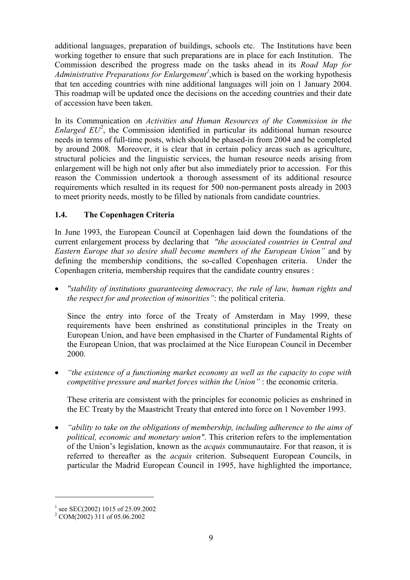additional languages, preparation of buildings, schools etc. The Institutions have been working together to ensure that such preparations are in place for each Institution. The Commission described the progress made on the tasks ahead in its *Road Map for* Administrative Preparations for Enlargement<sup>1</sup>, which is based on the working hypothesis that ten acceding countries with nine additional languages will join on 1 January 2004. This roadmap will be updated once the decisions on the acceding countries and their date of accession have been taken.

In its Communication on *Activities and Human Resources of the Commission in the Enlarged*  $EU^2$ , the Commission identified in particular its additional human resource needs in terms of full-time posts, which should be phased-in from 2004 and be completed by around 2008. Moreover, it is clear that in certain policy areas such as agriculture, structural policies and the linguistic services, the human resource needs arising from enlargement will be high not only after but also immediately prior to accession. For this reason the Commission undertook a thorough assessment of its additional resource requirements which resulted in its request for 500 non-permanent posts already in 2003 to meet priority needs, mostly to be filled by nationals from candidate countries.

# **1.4. The Copenhagen Criteria**

In June 1993, the European Council at Copenhagen laid down the foundations of the current enlargement process by declaring that *"the associated countries in Central and Eastern Europe that so desire shall become members of the European Union"* and by defining the membership conditions, the so-called Copenhagen criteria. Under the Copenhagen criteria, membership requires that the candidate country ensures :

 *"stability of institutions guaranteeing democracy, the rule of law, human rights and the respect for and protection of minorities"*: the political criteria.

Since the entry into force of the Treaty of Amsterdam in May 1999, these requirements have been enshrined as constitutional principles in the Treaty on European Union, and have been emphasised in the Charter of Fundamental Rights of the European Union, that was proclaimed at the Nice European Council in December 2000.

 *"the existence of a functioning market economy as well as the capacity to cope with competitive pressure and market forces within the Union"* : the economic criteria.

These criteria are consistent with the principles for economic policies as enshrined in the EC Treaty by the Maastricht Treaty that entered into force on 1 November 1993.

 *"ability to take on the obligations of membership, including adherence to the aims of political, economic and monetary union"*. This criterion refers to the implementation of the Union's legislation, known as the *acquis* communautaire. For that reason, it is referred to thereafter as the *acquis* criterion. Subsequent European Councils, in particular the Madrid European Council in 1995, have highlighted the importance,

 $\overline{a}$ 

<sup>&</sup>lt;sup>1</sup> see SEC(2002) 1015 of 25.09.2002

<sup>2</sup> COM(2002) 311 of 05.06.2002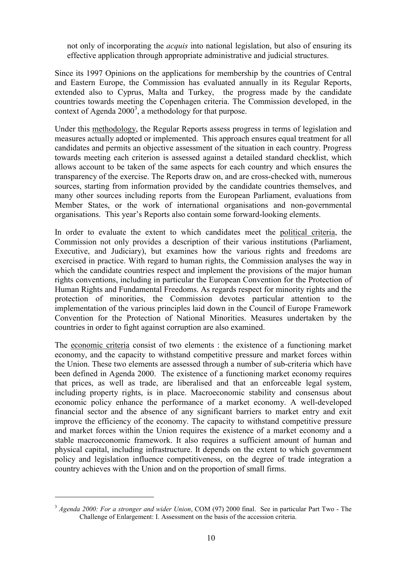not only of incorporating the *acquis* into national legislation, but also of ensuring its effective application through appropriate administrative and judicial structures.

Since its 1997 Opinions on the applications for membership by the countries of Central and Eastern Europe, the Commission has evaluated annually in its Regular Reports, extended also to Cyprus, Malta and Turkey, the progress made by the candidate countries towards meeting the Copenhagen criteria. The Commission developed, in the context of Agenda  $2000^3$ , a methodology for that purpose.

Under this methodology, the Regular Reports assess progress in terms of legislation and measures actually adopted or implemented. This approach ensures equal treatment for all candidates and permits an objective assessment of the situation in each country. Progress towards meeting each criterion is assessed against a detailed standard checklist, which allows account to be taken of the same aspects for each country and which ensures the transparency of the exercise. The Reports draw on, and are cross-checked with, numerous sources, starting from information provided by the candidate countries themselves, and many other sources including reports from the European Parliament, evaluations from Member States, or the work of international organisations and non-governmental organisations. This year's Reports also contain some forward-looking elements.

In order to evaluate the extent to which candidates meet the political criteria, the Commission not only provides a description of their various institutions (Parliament, Executive, and Judiciary), but examines how the various rights and freedoms are exercised in practice. With regard to human rights, the Commission analyses the way in which the candidate countries respect and implement the provisions of the major human rights conventions, including in particular the European Convention for the Protection of Human Rights and Fundamental Freedoms. As regards respect for minority rights and the protection of minorities, the Commission devotes particular attention to the implementation of the various principles laid down in the Council of Europe Framework Convention for the Protection of National Minorities. Measures undertaken by the countries in order to fight against corruption are also examined.

The economic criteria consist of two elements : the existence of a functioning market economy, and the capacity to withstand competitive pressure and market forces within the Union. These two elements are assessed through a number of sub-criteria which have been defined in Agenda 2000. The existence of a functioning market economy requires that prices, as well as trade, are liberalised and that an enforceable legal system, including property rights, is in place. Macroeconomic stability and consensus about economic policy enhance the performance of a market economy. A well-developed financial sector and the absence of any significant barriers to market entry and exit improve the efficiency of the economy. The capacity to withstand competitive pressure and market forces within the Union requires the existence of a market economy and a stable macroeconomic framework. It also requires a sufficient amount of human and physical capital, including infrastructure. It depends on the extent to which government policy and legislation influence competitiveness, on the degree of trade integration a country achieves with the Union and on the proportion of small firms.

 $\overline{a}$ 

<sup>3</sup> *Agenda 2000: For a stronger and wider Union*, COM (97) 2000 final. See in particular Part Two - The Challenge of Enlargement: I. Assessment on the basis of the accession criteria.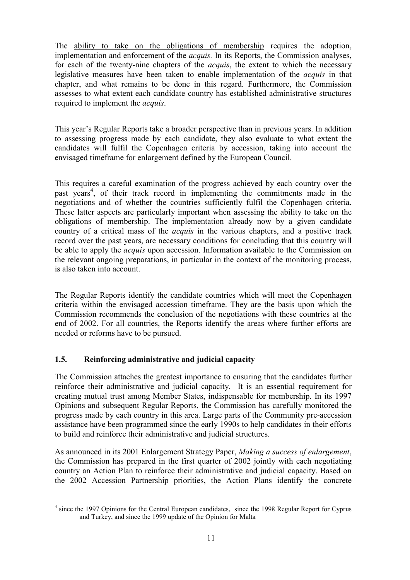The ability to take on the obligations of membership requires the adoption, implementation and enforcement of the *acquis.* In its Reports, the Commission analyses, for each of the twenty-nine chapters of the *acquis*, the extent to which the necessary legislative measures have been taken to enable implementation of the *acquis* in that chapter, and what remains to be done in this regard. Furthermore, the Commission assesses to what extent each candidate country has established administrative structures required to implement the *acquis*.

This year's Regular Reports take a broader perspective than in previous years. In addition to assessing progress made by each candidate, they also evaluate to what extent the candidates will fulfil the Copenhagen criteria by accession, taking into account the envisaged timeframe for enlargement defined by the European Council.

This requires a careful examination of the progress achieved by each country over the past years<sup>4</sup>, of their track record in implementing the commitments made in the negotiations and of whether the countries sufficiently fulfil the Copenhagen criteria. These latter aspects are particularly important when assessing the ability to take on the obligations of membership. The implementation already now by a given candidate country of a critical mass of the *acquis* in the various chapters, and a positive track record over the past years, are necessary conditions for concluding that this country will be able to apply the *acquis* upon accession. Information available to the Commission on the relevant ongoing preparations, in particular in the context of the monitoring process, is also taken into account.

The Regular Reports identify the candidate countries which will meet the Copenhagen criteria within the envisaged accession timeframe. They are the basis upon which the Commission recommends the conclusion of the negotiations with these countries at the end of 2002. For all countries, the Reports identify the areas where further efforts are needed or reforms have to be pursued.

# **1.5. Reinforcing administrative and judicial capacity**

 $\overline{a}$ 

The Commission attaches the greatest importance to ensuring that the candidates further reinforce their administrative and judicial capacity. It is an essential requirement for creating mutual trust among Member States, indispensable for membership. In its 1997 Opinions and subsequent Regular Reports, the Commission has carefully monitored the progress made by each country in this area. Large parts of the Community pre-accession assistance have been programmed since the early 1990s to help candidates in their efforts to build and reinforce their administrative and judicial structures.

As announced in its 2001 Enlargement Strategy Paper, *Making a success of enlargement*, the Commission has prepared in the first quarter of 2002 jointly with each negotiating country an Action Plan to reinforce their administrative and judicial capacity. Based on the 2002 Accession Partnership priorities, the Action Plans identify the concrete

<sup>&</sup>lt;sup>4</sup> since the 1997 Opinions for the Central European candidates, since the 1998 Regular Report for Cyprus and Turkey, and since the 1999 update of the Opinion for Malta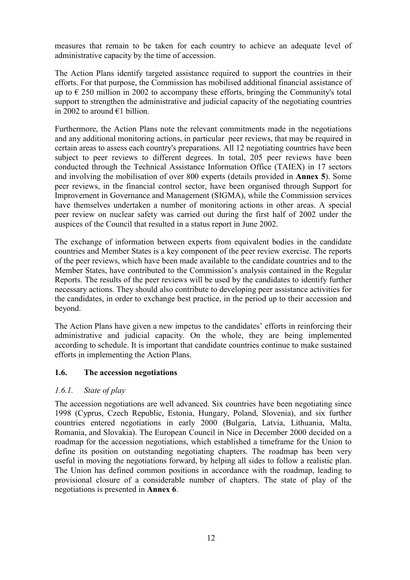measures that remain to be taken for each country to achieve an adequate level of administrative capacity by the time of accession.

The Action Plans identify targeted assistance required to support the countries in their efforts. For that purpose, the Commission has mobilised additional financial assistance of up to  $\epsilon$  250 million in 2002 to accompany these efforts, bringing the Community's total support to strengthen the administrative and judicial capacity of the negotiating countries in 2002 to around €1 billion.

Furthermore, the Action Plans note the relevant commitments made in the negotiations and any additional monitoring actions, in particular peer reviews, that may be required in certain areas to assess each country's preparations. All 12 negotiating countries have been subject to peer reviews to different degrees. In total, 205 peer reviews have been conducted through the Technical Assistance Information Office (TAIEX) in 17 sectors and involving the mobilisation of over 800 experts (details provided in **Annex 5**). Some peer reviews, in the financial control sector, have been organised through Support for Improvement in Governance and Management (SIGMA), while the Commission services have themselves undertaken a number of monitoring actions in other areas. A special peer review on nuclear safety was carried out during the first half of 2002 under the auspices of the Council that resulted in a status report in June 2002.

The exchange of information between experts from equivalent bodies in the candidate countries and Member States is a key component of the peer review exercise. The reports of the peer reviews, which have been made available to the candidate countries and to the Member States, have contributed to the Commission's analysis contained in the Regular Reports. The results of the peer reviews will be used by the candidates to identify further necessary actions. They should also contribute to developing peer assistance activities for the candidates, in order to exchange best practice, in the period up to their accession and beyond.

The Action Plans have given a new impetus to the candidates' efforts in reinforcing their administrative and judicial capacity. On the whole, they are being implemented according to schedule. It is important that candidate countries continue to make sustained efforts in implementing the Action Plans.

#### **1.6. The accession negotiations**

#### *1.6.1. State of play*

The accession negotiations are well advanced. Six countries have been negotiating since 1998 (Cyprus, Czech Republic, Estonia, Hungary, Poland, Slovenia), and six further countries entered negotiations in early 2000 (Bulgaria, Latvia, Lithuania, Malta, Romania, and Slovakia). The European Council in Nice in December 2000 decided on a roadmap for the accession negotiations, which established a timeframe for the Union to define its position on outstanding negotiating chapters. The roadmap has been very useful in moving the negotiations forward, by helping all sides to follow a realistic plan. The Union has defined common positions in accordance with the roadmap, leading to provisional closure of a considerable number of chapters. The state of play of the negotiations is presented in **Annex 6**.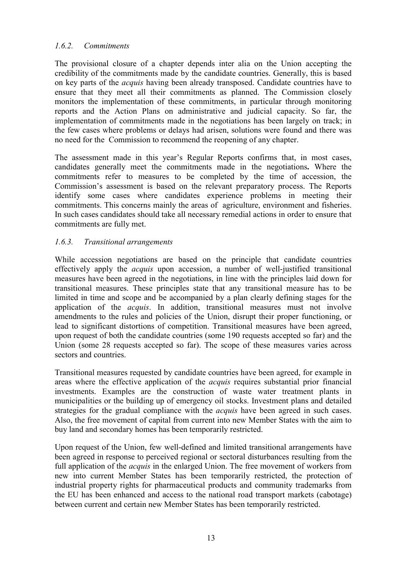# *1.6.2. Commitments*

The provisional closure of a chapter depends inter alia on the Union accepting the credibility of the commitments made by the candidate countries. Generally, this is based on key parts of the *acquis* having been already transposed. Candidate countries have to ensure that they meet all their commitments as planned. The Commission closely monitors the implementation of these commitments, in particular through monitoring reports and the Action Plans on administrative and judicial capacity. So far, the implementation of commitments made in the negotiations has been largely on track; in the few cases where problems or delays had arisen, solutions were found and there was no need for the Commission to recommend the reopening of any chapter.

The assessment made in this year's Regular Reports confirms that, in most cases, candidates generally meet the commitments made in the negotiations**.** Where the commitments refer to measures to be completed by the time of accession, the Commission's assessment is based on the relevant preparatory process. The Reports identify some cases where candidates experience problems in meeting their commitments. This concerns mainly the areas of agriculture, environment and fisheries. In such cases candidates should take all necessary remedial actions in order to ensure that commitments are fully met.

#### *1.6.3. Transitional arrangements*

While accession negotiations are based on the principle that candidate countries effectively apply the *acquis* upon accession, a number of well-justified transitional measures have been agreed in the negotiations, in line with the principles laid down for transitional measures. These principles state that any transitional measure has to be limited in time and scope and be accompanied by a plan clearly defining stages for the application of the *acquis*. In addition, transitional measures must not involve amendments to the rules and policies of the Union, disrupt their proper functioning, or lead to significant distortions of competition. Transitional measures have been agreed, upon request of both the candidate countries (some 190 requests accepted so far) and the Union (some 28 requests accepted so far). The scope of these measures varies across sectors and countries.

Transitional measures requested by candidate countries have been agreed, for example in areas where the effective application of the *acquis* requires substantial prior financial investments. Examples are the construction of waste water treatment plants in municipalities or the building up of emergency oil stocks. Investment plans and detailed strategies for the gradual compliance with the *acquis* have been agreed in such cases. Also, the free movement of capital from current into new Member States with the aim to buy land and secondary homes has been temporarily restricted.

Upon request of the Union, few well-defined and limited transitional arrangements have been agreed in response to perceived regional or sectoral disturbances resulting from the full application of the *acquis* in the enlarged Union. The free movement of workers from new into current Member States has been temporarily restricted, the protection of industrial property rights for pharmaceutical products and community trademarks from the EU has been enhanced and access to the national road transport markets (cabotage) between current and certain new Member States has been temporarily restricted.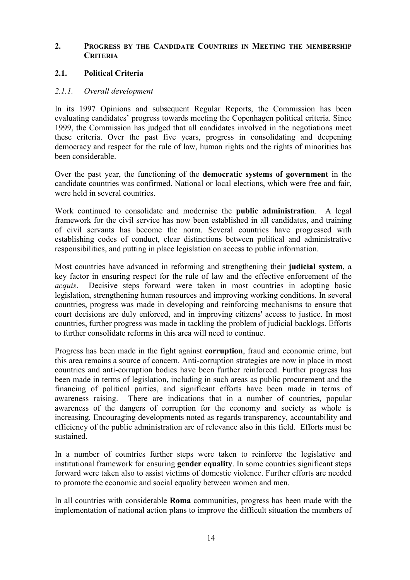#### **2. PROGRESS BY THE CANDIDATE COUNTRIES IN MEETING THE MEMBERSHIP CRITERIA**

# **2.1. Political Criteria**

#### *2.1.1. Overall development*

In its 1997 Opinions and subsequent Regular Reports, the Commission has been evaluating candidates' progress towards meeting the Copenhagen political criteria. Since 1999, the Commission has judged that all candidates involved in the negotiations meet these criteria. Over the past five years, progress in consolidating and deepening democracy and respect for the rule of law, human rights and the rights of minorities has been considerable

Over the past year, the functioning of the **democratic systems of government** in the candidate countries was confirmed. National or local elections, which were free and fair, were held in several countries.

Work continued to consolidate and modernise the **public administration**. A legal framework for the civil service has now been established in all candidates, and training of civil servants has become the norm. Several countries have progressed with establishing codes of conduct, clear distinctions between political and administrative responsibilities, and putting in place legislation on access to public information.

Most countries have advanced in reforming and strengthening their **judicial system**, a key factor in ensuring respect for the rule of law and the effective enforcement of the *acquis*. Decisive steps forward were taken in most countries in adopting basic legislation, strengthening human resources and improving working conditions. In several countries, progress was made in developing and reinforcing mechanisms to ensure that court decisions are duly enforced, and in improving citizens' access to justice. In most countries, further progress was made in tackling the problem of judicial backlogs. Efforts to further consolidate reforms in this area will need to continue.

Progress has been made in the fight against **corruption**, fraud and economic crime, but this area remains a source of concern. Anti-corruption strategies are now in place in most countries and anti-corruption bodies have been further reinforced. Further progress has been made in terms of legislation, including in such areas as public procurement and the financing of political parties, and significant efforts have been made in terms of awareness raising. There are indications that in a number of countries, popular awareness of the dangers of corruption for the economy and society as whole is increasing. Encouraging developments noted as regards transparency, accountability and efficiency of the public administration are of relevance also in this field. Efforts must be sustained.

In a number of countries further steps were taken to reinforce the legislative and institutional framework for ensuring **gender equality**. In some countries significant steps forward were taken also to assist victims of domestic violence. Further efforts are needed to promote the economic and social equality between women and men.

In all countries with considerable **Roma** communities, progress has been made with the implementation of national action plans to improve the difficult situation the members of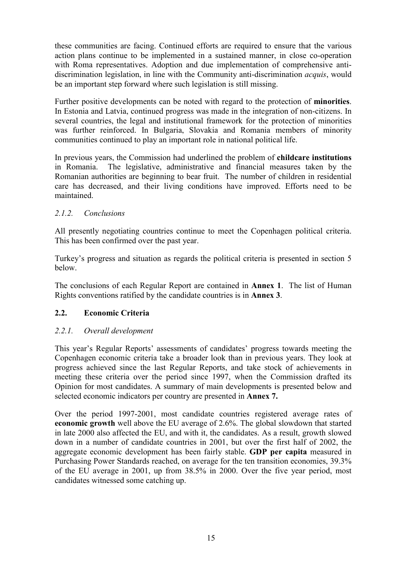these communities are facing. Continued efforts are required to ensure that the various action plans continue to be implemented in a sustained manner, in close co-operation with Roma representatives. Adoption and due implementation of comprehensive antidiscrimination legislation, in line with the Community anti-discrimination *acquis*, would be an important step forward where such legislation is still missing.

Further positive developments can be noted with regard to the protection of **minorities**. In Estonia and Latvia, continued progress was made in the integration of non-citizens. In several countries, the legal and institutional framework for the protection of minorities was further reinforced. In Bulgaria, Slovakia and Romania members of minority communities continued to play an important role in national political life.

In previous years, the Commission had underlined the problem of **childcare institutions** in Romania. The legislative, administrative and financial measures taken by the Romanian authorities are beginning to bear fruit. The number of children in residential care has decreased, and their living conditions have improved. Efforts need to be maintained.

# *2.1.2. Conclusions*

All presently negotiating countries continue to meet the Copenhagen political criteria. This has been confirmed over the past year.

Turkey's progress and situation as regards the political criteria is presented in section 5 below.

The conclusions of each Regular Report are contained in **Annex 1**. The list of Human Rights conventions ratified by the candidate countries is in **Annex 3**.

# **2.2. Economic Criteria**

# *2.2.1. Overall development*

This year's Regular Reports' assessments of candidates' progress towards meeting the Copenhagen economic criteria take a broader look than in previous years. They look at progress achieved since the last Regular Reports, and take stock of achievements in meeting these criteria over the period since 1997, when the Commission drafted its Opinion for most candidates. A summary of main developments is presented below and selected economic indicators per country are presented in **Annex 7.**

Over the period 1997-2001, most candidate countries registered average rates of **economic growth** well above the EU average of 2.6%. The global slowdown that started in late 2000 also affected the EU, and with it, the candidates. As a result, growth slowed down in a number of candidate countries in 2001, but over the first half of 2002, the aggregate economic development has been fairly stable. **GDP per capita** measured in Purchasing Power Standards reached, on average for the ten transition economies, 39.3% of the EU average in 2001, up from 38.5% in 2000. Over the five year period, most candidates witnessed some catching up.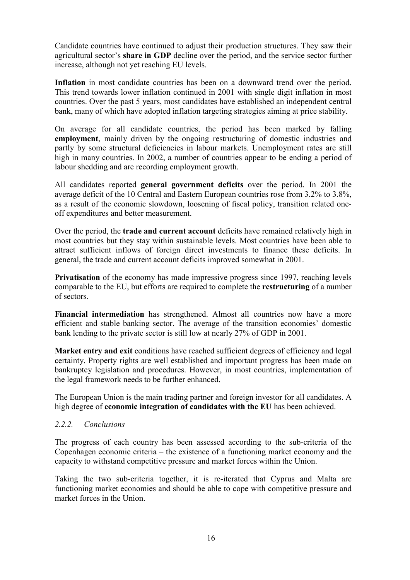Candidate countries have continued to adjust their production structures. They saw their agricultural sector's **share in GDP** decline over the period, and the service sector further increase, although not yet reaching EU levels.

**Inflation** in most candidate countries has been on a downward trend over the period. This trend towards lower inflation continued in 2001 with single digit inflation in most countries. Over the past 5 years, most candidates have established an independent central bank, many of which have adopted inflation targeting strategies aiming at price stability.

On average for all candidate countries, the period has been marked by falling **employment**, mainly driven by the ongoing restructuring of domestic industries and partly by some structural deficiencies in labour markets. Unemployment rates are still high in many countries. In 2002, a number of countries appear to be ending a period of labour shedding and are recording employment growth.

All candidates reported **general government deficits** over the period. In 2001 the average deficit of the 10 Central and Eastern European countries rose from 3.2% to 3.8%, as a result of the economic slowdown, loosening of fiscal policy, transition related oneoff expenditures and better measurement.

Over the period, the **trade and current account** deficits have remained relatively high in most countries but they stay within sustainable levels. Most countries have been able to attract sufficient inflows of foreign direct investments to finance these deficits. In general, the trade and current account deficits improved somewhat in 2001.

**Privatisation** of the economy has made impressive progress since 1997, reaching levels comparable to the EU, but efforts are required to complete the **restructuring** of a number of sectors.

**Financial intermediation** has strengthened. Almost all countries now have a more efficient and stable banking sector. The average of the transition economies' domestic bank lending to the private sector is still low at nearly 27% of GDP in 2001.

**Market entry and exit** conditions have reached sufficient degrees of efficiency and legal certainty. Property rights are well established and important progress has been made on bankruptcy legislation and procedures. However, in most countries, implementation of the legal framework needs to be further enhanced.

The European Union is the main trading partner and foreign investor for all candidates. A high degree of **economic integration of candidates with the EU** has been achieved.

#### *2.2.2. Conclusions*

The progress of each country has been assessed according to the sub-criteria of the Copenhagen economic criteria – the existence of a functioning market economy and the capacity to withstand competitive pressure and market forces within the Union.

Taking the two sub-criteria together, it is re-iterated that Cyprus and Malta are functioning market economies and should be able to cope with competitive pressure and market forces in the Union.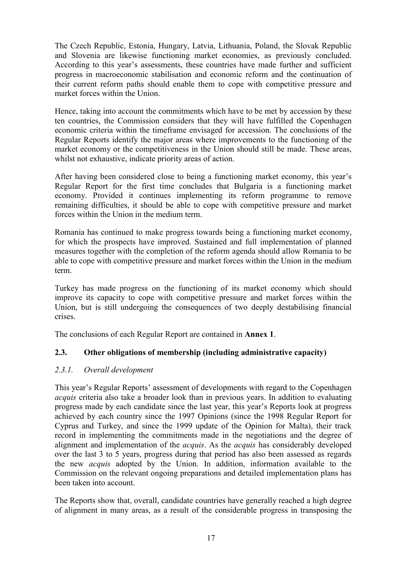The Czech Republic, Estonia, Hungary, Latvia, Lithuania, Poland, the Slovak Republic and Slovenia are likewise functioning market economies, as previously concluded. According to this year's assessments, these countries have made further and sufficient progress in macroeconomic stabilisation and economic reform and the continuation of their current reform paths should enable them to cope with competitive pressure and market forces within the Union.

Hence, taking into account the commitments which have to be met by accession by these ten countries, the Commission considers that they will have fulfilled the Copenhagen economic criteria within the timeframe envisaged for accession. The conclusions of the Regular Reports identify the major areas where improvements to the functioning of the market economy or the competitiveness in the Union should still be made. These areas, whilst not exhaustive, indicate priority areas of action.

After having been considered close to being a functioning market economy, this year's Regular Report for the first time concludes that Bulgaria is a functioning market economy. Provided it continues implementing its reform programme to remove remaining difficulties, it should be able to cope with competitive pressure and market forces within the Union in the medium term.

Romania has continued to make progress towards being a functioning market economy, for which the prospects have improved. Sustained and full implementation of planned measures together with the completion of the reform agenda should allow Romania to be able to cope with competitive pressure and market forces within the Union in the medium term.

Turkey has made progress on the functioning of its market economy which should improve its capacity to cope with competitive pressure and market forces within the Union, but is still undergoing the consequences of two deeply destabilising financial crises.

The conclusions of each Regular Report are contained in **Annex 1**.

# **2.3. Other obligations of membership (including administrative capacity)**

# *2.3.1. Overall development*

This year's Regular Reports' assessment of developments with regard to the Copenhagen *acquis* criteria also take a broader look than in previous years. In addition to evaluating progress made by each candidate since the last year, this year's Reports look at progress achieved by each country since the 1997 Opinions (since the 1998 Regular Report for Cyprus and Turkey, and since the 1999 update of the Opinion for Malta), their track record in implementing the commitments made in the negotiations and the degree of alignment and implementation of the *acquis*. As the *acquis* has considerably developed over the last 3 to 5 years, progress during that period has also been assessed as regards the new *acquis* adopted by the Union. In addition, information available to the Commission on the relevant ongoing preparations and detailed implementation plans has been taken into account.

The Reports show that, overall, candidate countries have generally reached a high degree of alignment in many areas, as a result of the considerable progress in transposing the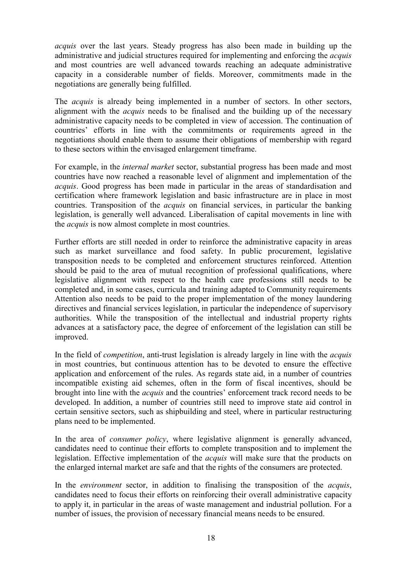*acquis* over the last years. Steady progress has also been made in building up the administrative and judicial structures required for implementing and enforcing the *acquis* and most countries are well advanced towards reaching an adequate administrative capacity in a considerable number of fields. Moreover, commitments made in the negotiations are generally being fulfilled.

The *acquis* is already being implemented in a number of sectors. In other sectors, alignment with the *acquis* needs to be finalised and the building up of the necessary administrative capacity needs to be completed in view of accession. The continuation of countries' efforts in line with the commitments or requirements agreed in the negotiations should enable them to assume their obligations of membership with regard to these sectors within the envisaged enlargement timeframe.

For example, in the *internal market* sector, substantial progress has been made and most countries have now reached a reasonable level of alignment and implementation of the *acquis*. Good progress has been made in particular in the areas of standardisation and certification where framework legislation and basic infrastructure are in place in most countries. Transposition of the *acquis* on financial services, in particular the banking legislation, is generally well advanced. Liberalisation of capital movements in line with the *acquis* is now almost complete in most countries.

Further efforts are still needed in order to reinforce the administrative capacity in areas such as market surveillance and food safety. In public procurement, legislative transposition needs to be completed and enforcement structures reinforced. Attention should be paid to the area of mutual recognition of professional qualifications, where legislative alignment with respect to the health care professions still needs to be completed and, in some cases, curricula and training adapted to Community requirements Attention also needs to be paid to the proper implementation of the money laundering directives and financial services legislation, in particular the independence of supervisory authorities. While the transposition of the intellectual and industrial property rights advances at a satisfactory pace, the degree of enforcement of the legislation can still be improved.

In the field of *competition*, anti-trust legislation is already largely in line with the *acquis* in most countries, but continuous attention has to be devoted to ensure the effective application and enforcement of the rules. As regards state aid, in a number of countries incompatible existing aid schemes, often in the form of fiscal incentives, should be brought into line with the *acquis* and the countries' enforcement track record needs to be developed. In addition, a number of countries still need to improve state aid control in certain sensitive sectors, such as shipbuilding and steel, where in particular restructuring plans need to be implemented.

In the area of *consumer policy*, where legislative alignment is generally advanced, candidates need to continue their efforts to complete transposition and to implement the legislation. Effective implementation of the *acquis* will make sure that the products on the enlarged internal market are safe and that the rights of the consumers are protected.

In the *environment* sector, in addition to finalising the transposition of the *acquis*, candidates need to focus their efforts on reinforcing their overall administrative capacity to apply it, in particular in the areas of waste management and industrial pollution. For a number of issues, the provision of necessary financial means needs to be ensured.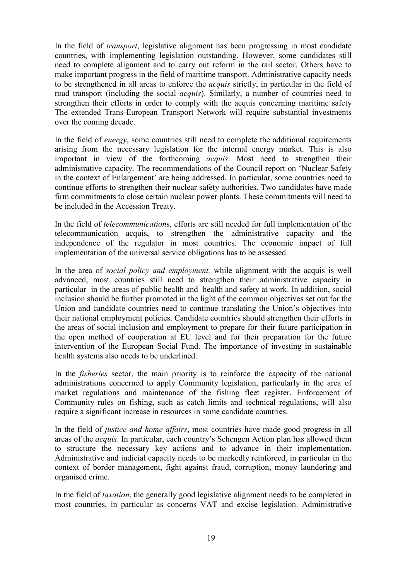In the field of *transport*, legislative alignment has been progressing in most candidate countries, with implementing legislation outstanding. However, some candidates still need to complete alignment and to carry out reform in the rail sector. Others have to make important progress in the field of maritime transport. Administrative capacity needs to be strengthened in all areas to enforce the *acquis* strictly, in particular in the field of road transport (including the social *acquis*). Similarly, a number of countries need to strengthen their efforts in order to comply with the acquis concerning maritime safety The extended Trans-European Transport Network will require substantial investments over the coming decade.

In the field of *energy*, some countries still need to complete the additional requirements arising from the necessary legislation for the internal energy market. This is also important in view of the forthcoming *acquis*. Most need to strengthen their administrative capacity. The recommendations of the Council report on 'Nuclear Safety in the context of Enlargement' are being addressed. In particular, some countries need to continue efforts to strengthen their nuclear safety authorities. Two candidates have made firm commitments to close certain nuclear power plants. These commitments will need to be included in the Accession Treaty.

In the field of *telecommunication*s, efforts are still needed for full implementation of the telecommunication acquis, to strengthen the administrative capacity and the independence of the regulator in most countries. The economic impact of full implementation of the universal service obligations has to be assessed.

In the area of *social policy and employment,* while alignment with the acquis is well advanced, most countries still need to strengthen their administrative capacity in particular in the areas of public health and health and safety at work. In addition, social inclusion should be further promoted in the light of the common objectives set out for the Union and candidate countries need to continue translating the Union's objectives into their national employment policies. Candidate countries should strengthen their efforts in the areas of social inclusion and employment to prepare for their future participation in the open method of cooperation at EU level and for their preparation for the future intervention of the European Social Fund. The importance of investing in sustainable health systems also needs to be underlined.

In the *fisheries* sector, the main priority is to reinforce the capacity of the national administrations concerned to apply Community legislation, particularly in the area of market regulations and maintenance of the fishing fleet register. Enforcement of Community rules on fishing, such as catch limits and technical regulations, will also require a significant increase in resources in some candidate countries.

In the field of *justice and home affairs*, most countries have made good progress in all areas of the *acquis*. In particular, each country's Schengen Action plan has allowed them to structure the necessary key actions and to advance in their implementation. Administrative and judicial capacity needs to be markedly reinforced, in particular in the context of border management, fight against fraud, corruption, money laundering and organised crime.

In the field of *taxation*, the generally good legislative alignment needs to be completed in most countries, in particular as concerns VAT and excise legislation. Administrative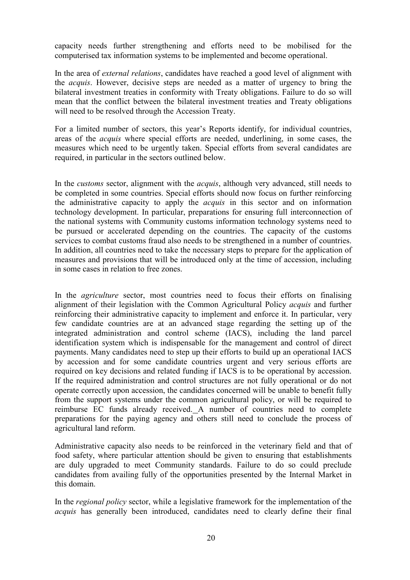capacity needs further strengthening and efforts need to be mobilised for the computerised tax information systems to be implemented and become operational.

In the area of *external relations*, candidates have reached a good level of alignment with the *acquis*. However, decisive steps are needed as a matter of urgency to bring the bilateral investment treaties in conformity with Treaty obligations. Failure to do so will mean that the conflict between the bilateral investment treaties and Treaty obligations will need to be resolved through the Accession Treaty.

For a limited number of sectors, this year's Reports identify, for individual countries, areas of the *acquis* where special efforts are needed, underlining, in some cases, the measures which need to be urgently taken. Special efforts from several candidates are required, in particular in the sectors outlined below.

In the *customs* sector, alignment with the *acquis*, although very advanced, still needs to be completed in some countries. Special efforts should now focus on further reinforcing the administrative capacity to apply the *acquis* in this sector and on information technology development. In particular, preparations for ensuring full interconnection of the national systems with Community customs information technology systems need to be pursued or accelerated depending on the countries. The capacity of the customs services to combat customs fraud also needs to be strengthened in a number of countries. In addition, all countries need to take the necessary steps to prepare for the application of measures and provisions that will be introduced only at the time of accession, including in some cases in relation to free zones.

In the *agriculture* sector, most countries need to focus their efforts on finalising alignment of their legislation with the Common Agricultural Policy *acquis* and further reinforcing their administrative capacity to implement and enforce it. In particular, very few candidate countries are at an advanced stage regarding the setting up of the integrated administration and control scheme (IACS), including the land parcel identification system which is indispensable for the management and control of direct payments. Many candidates need to step up their efforts to build up an operational IACS by accession and for some candidate countries urgent and very serious efforts are required on key decisions and related funding if IACS is to be operational by accession. If the required administration and control structures are not fully operational or do not operate correctly upon accession, the candidates concerned will be unable to benefit fully from the support systems under the common agricultural policy, or will be required to reimburse EC funds already received. A number of countries need to complete preparations for the paying agency and others still need to conclude the process of agricultural land reform.

Administrative capacity also needs to be reinforced in the veterinary field and that of food safety, where particular attention should be given to ensuring that establishments are duly upgraded to meet Community standards. Failure to do so could preclude candidates from availing fully of the opportunities presented by the Internal Market in this domain.

In the *regional policy* sector, while a legislative framework for the implementation of the *acquis* has generally been introduced, candidates need to clearly define their final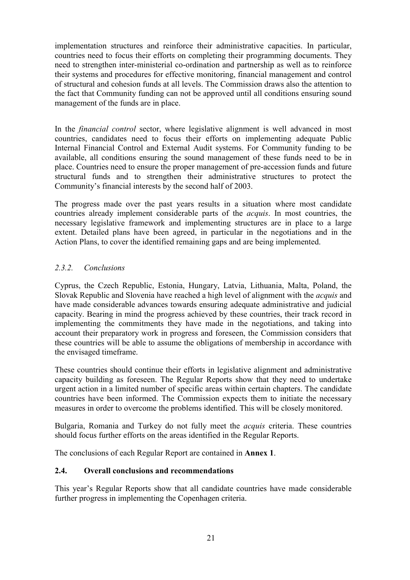implementation structures and reinforce their administrative capacities. In particular, countries need to focus their efforts on completing their programming documents. They need to strengthen inter-ministerial co-ordination and partnership as well as to reinforce their systems and procedures for effective monitoring, financial management and control of structural and cohesion funds at all levels. The Commission draws also the attention to the fact that Community funding can not be approved until all conditions ensuring sound management of the funds are in place.

In the *financial control* sector, where legislative alignment is well advanced in most countries, candidates need to focus their efforts on implementing adequate Public Internal Financial Control and External Audit systems. For Community funding to be available, all conditions ensuring the sound management of these funds need to be in place. Countries need to ensure the proper management of pre-accession funds and future structural funds and to strengthen their administrative structures to protect the Community's financial interests by the second half of 2003.

The progress made over the past years results in a situation where most candidate countries already implement considerable parts of the *acquis*. In most countries, the necessary legislative framework and implementing structures are in place to a large extent. Detailed plans have been agreed, in particular in the negotiations and in the Action Plans, to cover the identified remaining gaps and are being implemented.

# *2.3.2. Conclusions*

Cyprus, the Czech Republic, Estonia, Hungary, Latvia, Lithuania, Malta, Poland, the Slovak Republic and Slovenia have reached a high level of alignment with the *acquis* and have made considerable advances towards ensuring adequate administrative and judicial capacity. Bearing in mind the progress achieved by these countries, their track record in implementing the commitments they have made in the negotiations, and taking into account their preparatory work in progress and foreseen, the Commission considers that these countries will be able to assume the obligations of membership in accordance with the envisaged timeframe.

These countries should continue their efforts in legislative alignment and administrative capacity building as foreseen. The Regular Reports show that they need to undertake urgent action in a limited number of specific areas within certain chapters. The candidate countries have been informed. The Commission expects them to initiate the necessary measures in order to overcome the problems identified. This will be closely monitored.

Bulgaria, Romania and Turkey do not fully meet the *acquis* criteria. These countries should focus further efforts on the areas identified in the Regular Reports.

The conclusions of each Regular Report are contained in **Annex 1**.

#### **2.4. Overall conclusions and recommendations**

This year's Regular Reports show that all candidate countries have made considerable further progress in implementing the Copenhagen criteria.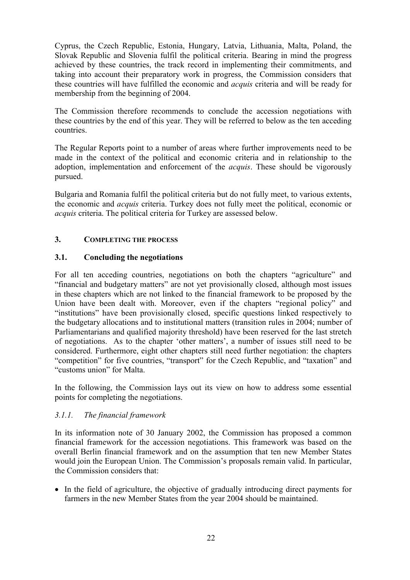Cyprus, the Czech Republic, Estonia, Hungary, Latvia, Lithuania, Malta, Poland, the Slovak Republic and Slovenia fulfil the political criteria. Bearing in mind the progress achieved by these countries, the track record in implementing their commitments, and taking into account their preparatory work in progress, the Commission considers that these countries will have fulfilled the economic and *acquis* criteria and will be ready for membership from the beginning of 2004.

The Commission therefore recommends to conclude the accession negotiations with these countries by the end of this year. They will be referred to below as the ten acceding countries.

The Regular Reports point to a number of areas where further improvements need to be made in the context of the political and economic criteria and in relationship to the adoption, implementation and enforcement of the *acquis*. These should be vigorously pursued.

Bulgaria and Romania fulfil the political criteria but do not fully meet, to various extents, the economic and *acquis* criteria. Turkey does not fully meet the political, economic or *acquis* criteria. The political criteria for Turkey are assessed below.

# **3. COMPLETING THE PROCESS**

#### **3.1. Concluding the negotiations**

For all ten acceding countries, negotiations on both the chapters "agriculture" and "financial and budgetary matters" are not yet provisionally closed, although most issues in these chapters which are not linked to the financial framework to be proposed by the Union have been dealt with. Moreover, even if the chapters "regional policy" and "institutions" have been provisionally closed, specific questions linked respectively to the budgetary allocations and to institutional matters (transition rules in 2004; number of Parliamentarians and qualified majority threshold) have been reserved for the last stretch of negotiations. As to the chapter 'other matters', a number of issues still need to be considered. Furthermore, eight other chapters still need further negotiation: the chapters "competition" for five countries, "transport" for the Czech Republic, and "taxation" and "customs union" for Malta.

In the following, the Commission lays out its view on how to address some essential points for completing the negotiations.

# *3.1.1. The financial framework*

In its information note of 30 January 2002, the Commission has proposed a common financial framework for the accession negotiations. This framework was based on the overall Berlin financial framework and on the assumption that ten new Member States would join the European Union. The Commission's proposals remain valid. In particular, the Commission considers that:

• In the field of agriculture, the objective of gradually introducing direct payments for farmers in the new Member States from the year 2004 should be maintained.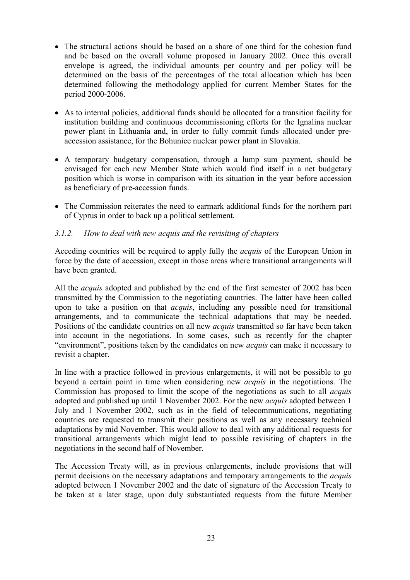- The structural actions should be based on a share of one third for the cohesion fund and be based on the overall volume proposed in January 2002. Once this overall envelope is agreed, the individual amounts per country and per policy will be determined on the basis of the percentages of the total allocation which has been determined following the methodology applied for current Member States for the period 2000-2006.
- As to internal policies, additional funds should be allocated for a transition facility for institution building and continuous decommissioning efforts for the Ignalina nuclear power plant in Lithuania and, in order to fully commit funds allocated under preaccession assistance, for the Bohunice nuclear power plant in Slovakia.
- A temporary budgetary compensation, through a lump sum payment, should be envisaged for each new Member State which would find itself in a net budgetary position which is worse in comparison with its situation in the year before accession as beneficiary of pre-accession funds.
- The Commission reiterates the need to earmark additional funds for the northern part of Cyprus in order to back up a political settlement.

# *3.1.2. How to deal with new acquis and the revisiting of chapters*

Acceding countries will be required to apply fully the *acquis* of the European Union in force by the date of accession, except in those areas where transitional arrangements will have been granted.

All the *acquis* adopted and published by the end of the first semester of 2002 has been transmitted by the Commission to the negotiating countries. The latter have been called upon to take a position on that *acquis*, including any possible need for transitional arrangements, and to communicate the technical adaptations that may be needed. Positions of the candidate countries on all new *acquis* transmitted so far have been taken into account in the negotiations. In some cases, such as recently for the chapter "environment", positions taken by the candidates on new *acquis* can make it necessary to revisit a chapter.

In line with a practice followed in previous enlargements, it will not be possible to go beyond a certain point in time when considering new *acquis* in the negotiations. The Commission has proposed to limit the scope of the negotiations as such to all *acquis* adopted and published up until 1 November 2002. For the new *acquis* adopted between 1 July and 1 November 2002, such as in the field of telecommunications, negotiating countries are requested to transmit their positions as well as any necessary technical adaptations by mid November. This would allow to deal with any additional requests for transitional arrangements which might lead to possible revisiting of chapters in the negotiations in the second half of November.

The Accession Treaty will, as in previous enlargements, include provisions that will permit decisions on the necessary adaptations and temporary arrangements to the *acquis* adopted between 1 November 2002 and the date of signature of the Accession Treaty to be taken at a later stage, upon duly substantiated requests from the future Member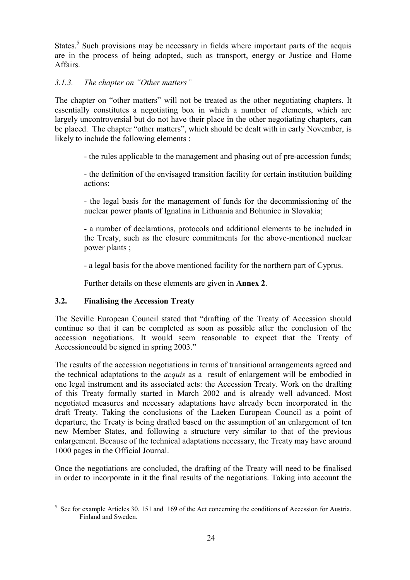States.<sup>5</sup> Such provisions may be necessary in fields where important parts of the acquis are in the process of being adopted, such as transport, energy or Justice and Home Affairs.

# *3.1.3. The chapter on "Other matters"*

The chapter on "other matters" will not be treated as the other negotiating chapters. It essentially constitutes a negotiating box in which a number of elements, which are largely uncontroversial but do not have their place in the other negotiating chapters, can be placed. The chapter "other matters", which should be dealt with in early November, is likely to include the following elements :

- the rules applicable to the management and phasing out of pre-accession funds;

- the definition of the envisaged transition facility for certain institution building actions;

- the legal basis for the management of funds for the decommissioning of the nuclear power plants of Ignalina in Lithuania and Bohunice in Slovakia;

- a number of declarations, protocols and additional elements to be included in the Treaty, such as the closure commitments for the above-mentioned nuclear power plants ;

- a legal basis for the above mentioned facility for the northern part of Cyprus.

Further details on these elements are given in **Annex 2**.

# **3.2. Finalising the Accession Treaty**

 $\overline{a}$ 

The Seville European Council stated that "drafting of the Treaty of Accession should continue so that it can be completed as soon as possible after the conclusion of the accession negotiations. It would seem reasonable to expect that the Treaty of Accessioncould be signed in spring 2003."

The results of the accession negotiations in terms of transitional arrangements agreed and the technical adaptations to the *acquis* as a result of enlargement will be embodied in one legal instrument and its associated acts: the Accession Treaty. Work on the drafting of this Treaty formally started in March 2002 and is already well advanced. Most negotiated measures and necessary adaptations have already been incorporated in the draft Treaty. Taking the conclusions of the Laeken European Council as a point of departure, the Treaty is being drafted based on the assumption of an enlargement of ten new Member States, and following a structure very similar to that of the previous enlargement. Because of the technical adaptations necessary, the Treaty may have around 1000 pages in the Official Journal.

Once the negotiations are concluded, the drafting of the Treaty will need to be finalised in order to incorporate in it the final results of the negotiations. Taking into account the

 $5$  See for example Articles 30, 151 and 169 of the Act concerning the conditions of Accession for Austria, Finland and Sweden.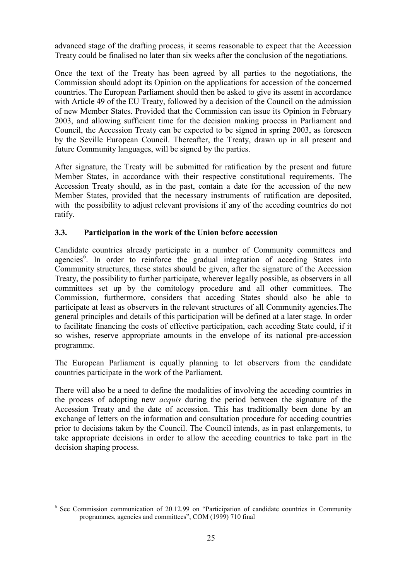advanced stage of the drafting process, it seems reasonable to expect that the Accession Treaty could be finalised no later than six weeks after the conclusion of the negotiations.

Once the text of the Treaty has been agreed by all parties to the negotiations, the Commission should adopt its Opinion on the applications for accession of the concerned countries. The European Parliament should then be asked to give its assent in accordance with Article 49 of the EU Treaty, followed by a decision of the Council on the admission of new Member States. Provided that the Commission can issue its Opinion in February 2003, and allowing sufficient time for the decision making process in Parliament and Council, the Accession Treaty can be expected to be signed in spring 2003, as foreseen by the Seville European Council. Thereafter, the Treaty, drawn up in all present and future Community languages, will be signed by the parties.

After signature, the Treaty will be submitted for ratification by the present and future Member States, in accordance with their respective constitutional requirements. The Accession Treaty should, as in the past, contain a date for the accession of the new Member States, provided that the necessary instruments of ratification are deposited, with the possibility to adjust relevant provisions if any of the acceding countries do not ratify.

#### **3.3. Participation in the work of the Union before accession**

Candidate countries already participate in a number of Community committees and agencies<sup>6</sup>. In order to reinforce the gradual integration of acceding States into Community structures, these states should be given, after the signature of the Accession Treaty, the possibility to further participate, wherever legally possible, as observers in all committees set up by the comitology procedure and all other committees. The Commission, furthermore, considers that acceding States should also be able to participate at least as observers in the relevant structures of all Community agencies.The general principles and details of this participation will be defined at a later stage. In order to facilitate financing the costs of effective participation, each acceding State could, if it so wishes, reserve appropriate amounts in the envelope of its national pre-accession programme.

The European Parliament is equally planning to let observers from the candidate countries participate in the work of the Parliament.

There will also be a need to define the modalities of involving the acceding countries in the process of adopting new *acquis* during the period between the signature of the Accession Treaty and the date of accession. This has traditionally been done by an exchange of letters on the information and consultation procedure for acceding countries prior to decisions taken by the Council. The Council intends, as in past enlargements, to take appropriate decisions in order to allow the acceding countries to take part in the decision shaping process.

 $\overline{a}$ 

<sup>&</sup>lt;sup>6</sup> See Commission communication of 20.12.99 on "Participation of candidate countries in Community programmes, agencies and committees", COM (1999) 710 final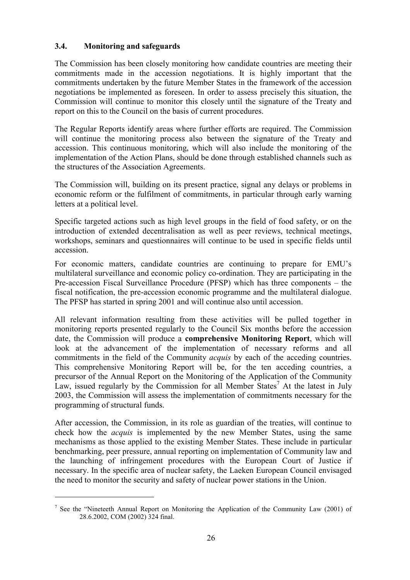# **3.4. Monitoring and safeguards**

The Commission has been closely monitoring how candidate countries are meeting their commitments made in the accession negotiations. It is highly important that the commitments undertaken by the future Member States in the framework of the accession negotiations be implemented as foreseen. In order to assess precisely this situation, the Commission will continue to monitor this closely until the signature of the Treaty and report on this to the Council on the basis of current procedures.

The Regular Reports identify areas where further efforts are required. The Commission will continue the monitoring process also between the signature of the Treaty and accession. This continuous monitoring, which will also include the monitoring of the implementation of the Action Plans, should be done through established channels such as the structures of the Association Agreements.

The Commission will, building on its present practice, signal any delays or problems in economic reform or the fulfilment of commitments, in particular through early warning letters at a political level.

Specific targeted actions such as high level groups in the field of food safety, or on the introduction of extended decentralisation as well as peer reviews, technical meetings, workshops, seminars and questionnaires will continue to be used in specific fields until accession.

For economic matters, candidate countries are continuing to prepare for EMU's multilateral surveillance and economic policy co-ordination. They are participating in the Pre-accession Fiscal Surveillance Procedure (PFSP) which has three components – the fiscal notification, the pre-accession economic programme and the multilateral dialogue. The PFSP has started in spring 2001 and will continue also until accession.

All relevant information resulting from these activities will be pulled together in monitoring reports presented regularly to the Council Six months before the accession date, the Commission will produce a **comprehensive Monitoring Report**, which will look at the advancement of the implementation of necessary reforms and all commitments in the field of the Community *acquis* by each of the acceding countries. This comprehensive Monitoring Report will be, for the ten acceding countries, a precursor of the Annual Report on the Monitoring of the Application of the Community Law, issued regularly by the Commission for all Member States<sup>7</sup> At the latest in July 2003, the Commission will assess the implementation of commitments necessary for the programming of structural funds.

After accession, the Commission, in its role as guardian of the treaties, will continue to check how the *acquis* is implemented by the new Member States, using the same mechanisms as those applied to the existing Member States. These include in particular benchmarking, peer pressure, annual reporting on implementation of Community law and the launching of infringement procedures with the European Court of Justice if necessary. In the specific area of nuclear safety, the Laeken European Council envisaged the need to monitor the security and safety of nuclear power stations in the Union.

 $\overline{a}$ 

<sup>&</sup>lt;sup>7</sup> See the "Nineteeth Annual Report on Monitoring the Application of the Community Law (2001) of 28.6.2002, COM (2002) 324 final.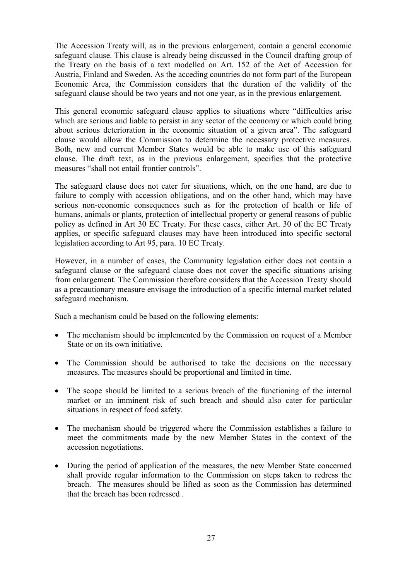The Accession Treaty will, as in the previous enlargement, contain a general economic safeguard clause. This clause is already being discussed in the Council drafting group of the Treaty on the basis of a text modelled on Art. 152 of the Act of Accession for Austria, Finland and Sweden. As the acceding countries do not form part of the European Economic Area, the Commission considers that the duration of the validity of the safeguard clause should be two years and not one year, as in the previous enlargement.

This general economic safeguard clause applies to situations where "difficulties arise which are serious and liable to persist in any sector of the economy or which could bring about serious deterioration in the economic situation of a given area". The safeguard clause would allow the Commission to determine the necessary protective measures. Both, new and current Member States would be able to make use of this safeguard clause. The draft text, as in the previous enlargement, specifies that the protective measures "shall not entail frontier controls".

The safeguard clause does not cater for situations, which, on the one hand, are due to failure to comply with accession obligations, and on the other hand, which may have serious non-economic consequences such as for the protection of health or life of humans, animals or plants, protection of intellectual property or general reasons of public policy as defined in Art 30 EC Treaty. For these cases, either Art. 30 of the EC Treaty applies, or specific safeguard clauses may have been introduced into specific sectoral legislation according to Art 95, para. 10 EC Treaty.

However, in a number of cases, the Community legislation either does not contain a safeguard clause or the safeguard clause does not cover the specific situations arising from enlargement. The Commission therefore considers that the Accession Treaty should as a precautionary measure envisage the introduction of a specific internal market related safeguard mechanism.

Such a mechanism could be based on the following elements:

- The mechanism should be implemented by the Commission on request of a Member State or on its own initiative.
- The Commission should be authorised to take the decisions on the necessary measures. The measures should be proportional and limited in time.
- The scope should be limited to a serious breach of the functioning of the internal market or an imminent risk of such breach and should also cater for particular situations in respect of food safety.
- The mechanism should be triggered where the Commission establishes a failure to meet the commitments made by the new Member States in the context of the accession negotiations.
- During the period of application of the measures, the new Member State concerned shall provide regular information to the Commission on steps taken to redress the breach. The measures should be lifted as soon as the Commission has determined that the breach has been redressed .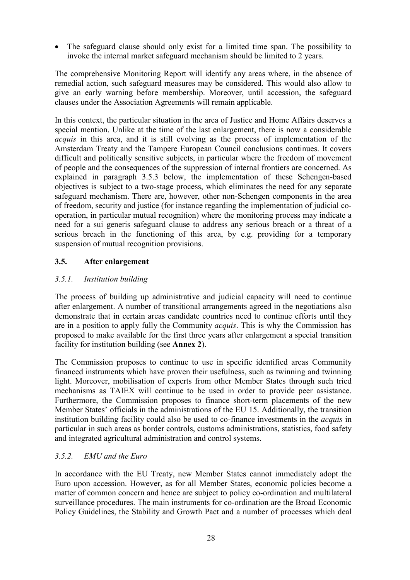The safeguard clause should only exist for a limited time span. The possibility to invoke the internal market safeguard mechanism should be limited to 2 years.

The comprehensive Monitoring Report will identify any areas where, in the absence of remedial action, such safeguard measures may be considered. This would also allow to give an early warning before membership. Moreover, until accession, the safeguard clauses under the Association Agreements will remain applicable.

In this context, the particular situation in the area of Justice and Home Affairs deserves a special mention. Unlike at the time of the last enlargement, there is now a considerable *acquis* in this area, and it is still evolving as the process of implementation of the Amsterdam Treaty and the Tampere European Council conclusions continues. It covers difficult and politically sensitive subjects, in particular where the freedom of movement of people and the consequences of the suppression of internal frontiers are concerned. As explained in paragraph 3.5.3 below, the implementation of these Schengen-based objectives is subject to a two-stage process, which eliminates the need for any separate safeguard mechanism. There are, however, other non-Schengen components in the area of freedom, security and justice (for instance regarding the implementation of judicial cooperation, in particular mutual recognition) where the monitoring process may indicate a need for a sui generis safeguard clause to address any serious breach or a threat of a serious breach in the functioning of this area, by e.g. providing for a temporary suspension of mutual recognition provisions.

# **3.5. After enlargement**

#### *3.5.1. Institution building*

The process of building up administrative and judicial capacity will need to continue after enlargement. A number of transitional arrangements agreed in the negotiations also demonstrate that in certain areas candidate countries need to continue efforts until they are in a position to apply fully the Community *acquis*. This is why the Commission has proposed to make available for the first three years after enlargement a special transition facility for institution building (see **Annex 2**).

The Commission proposes to continue to use in specific identified areas Community financed instruments which have proven their usefulness, such as twinning and twinning light. Moreover, mobilisation of experts from other Member States through such tried mechanisms as TAIEX will continue to be used in order to provide peer assistance. Furthermore, the Commission proposes to finance short-term placements of the new Member States' officials in the administrations of the EU 15. Additionally, the transition institution building facility could also be used to co-finance investments in the *acquis* in particular in such areas as border controls, customs administrations, statistics, food safety and integrated agricultural administration and control systems.

# *3.5.2. EMU and the Euro*

In accordance with the EU Treaty, new Member States cannot immediately adopt the Euro upon accession. However, as for all Member States, economic policies become a matter of common concern and hence are subject to policy co-ordination and multilateral surveillance procedures. The main instruments for co-ordination are the Broad Economic Policy Guidelines, the Stability and Growth Pact and a number of processes which deal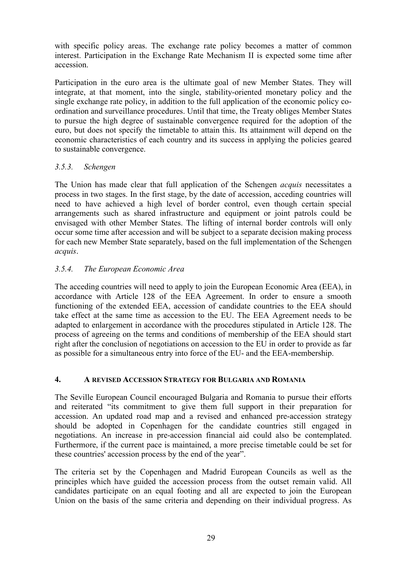with specific policy areas. The exchange rate policy becomes a matter of common interest. Participation in the Exchange Rate Mechanism II is expected some time after accession.

Participation in the euro area is the ultimate goal of new Member States. They will integrate, at that moment, into the single, stability-oriented monetary policy and the single exchange rate policy, in addition to the full application of the economic policy coordination and surveillance procedures. Until that time, the Treaty obliges Member States to pursue the high degree of sustainable convergence required for the adoption of the euro, but does not specify the timetable to attain this. Its attainment will depend on the economic characteristics of each country and its success in applying the policies geared to sustainable convergence.

#### *3.5.3. Schengen*

The Union has made clear that full application of the Schengen *acquis* necessitates a process in two stages. In the first stage, by the date of accession, acceding countries will need to have achieved a high level of border control, even though certain special arrangements such as shared infrastructure and equipment or joint patrols could be envisaged with other Member States. The lifting of internal border controls will only occur some time after accession and will be subject to a separate decision making process for each new Member State separately, based on the full implementation of the Schengen *acquis*.

# *3.5.4. The European Economic Area*

The acceding countries will need to apply to join the European Economic Area (EEA), in accordance with Article 128 of the EEA Agreement. In order to ensure a smooth functioning of the extended EEA, accession of candidate countries to the EEA should take effect at the same time as accession to the EU. The EEA Agreement needs to be adapted to enlargement in accordance with the procedures stipulated in Article 128. The process of agreeing on the terms and conditions of membership of the EEA should start right after the conclusion of negotiations on accession to the EU in order to provide as far as possible for a simultaneous entry into force of the EU- and the EEA-membership.

#### **4. A REVISED ACCESSION STRATEGY FOR BULGARIA AND ROMANIA**

The Seville European Council encouraged Bulgaria and Romania to pursue their efforts and reiterated "its commitment to give them full support in their preparation for accession. An updated road map and a revised and enhanced pre-accession strategy should be adopted in Copenhagen for the candidate countries still engaged in negotiations. An increase in pre-accession financial aid could also be contemplated. Furthermore, if the current pace is maintained, a more precise timetable could be set for these countries' accession process by the end of the year".

The criteria set by the Copenhagen and Madrid European Councils as well as the principles which have guided the accession process from the outset remain valid. All candidates participate on an equal footing and all are expected to join the European Union on the basis of the same criteria and depending on their individual progress. As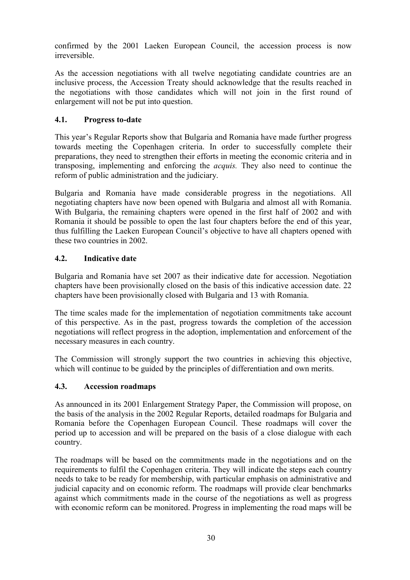confirmed by the 2001 Laeken European Council, the accession process is now irreversible.

As the accession negotiations with all twelve negotiating candidate countries are an inclusive process, the Accession Treaty should acknowledge that the results reached in the negotiations with those candidates which will not join in the first round of enlargement will not be put into question.

# **4.1. Progress to-date**

This year's Regular Reports show that Bulgaria and Romania have made further progress towards meeting the Copenhagen criteria. In order to successfully complete their preparations, they need to strengthen their efforts in meeting the economic criteria and in transposing, implementing and enforcing the *acquis.* They also need to continue the reform of public administration and the judiciary.

Bulgaria and Romania have made considerable progress in the negotiations. All negotiating chapters have now been opened with Bulgaria and almost all with Romania. With Bulgaria, the remaining chapters were opened in the first half of 2002 and with Romania it should be possible to open the last four chapters before the end of this year, thus fulfilling the Laeken European Council's objective to have all chapters opened with these two countries in 2002.

# **4.2. Indicative date**

Bulgaria and Romania have set 2007 as their indicative date for accession. Negotiation chapters have been provisionally closed on the basis of this indicative accession date. 22 chapters have been provisionally closed with Bulgaria and 13 with Romania.

The time scales made for the implementation of negotiation commitments take account of this perspective. As in the past, progress towards the completion of the accession negotiations will reflect progress in the adoption, implementation and enforcement of the necessary measures in each country.

The Commission will strongly support the two countries in achieving this objective, which will continue to be guided by the principles of differentiation and own merits.

# **4.3. Accession roadmaps**

As announced in its 2001 Enlargement Strategy Paper, the Commission will propose, on the basis of the analysis in the 2002 Regular Reports, detailed roadmaps for Bulgaria and Romania before the Copenhagen European Council. These roadmaps will cover the period up to accession and will be prepared on the basis of a close dialogue with each country.

The roadmaps will be based on the commitments made in the negotiations and on the requirements to fulfil the Copenhagen criteria. They will indicate the steps each country needs to take to be ready for membership, with particular emphasis on administrative and judicial capacity and on economic reform. The roadmaps will provide clear benchmarks against which commitments made in the course of the negotiations as well as progress with economic reform can be monitored. Progress in implementing the road maps will be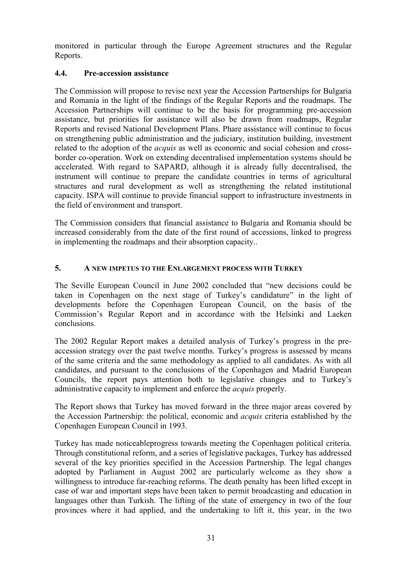monitored in particular through the Europe Agreement structures and the Regular Reports.

# **4.4. Pre-accession assistance**

The Commission will propose to revise next year the Accession Partnerships for Bulgaria and Romania in the light of the findings of the Regular Reports and the roadmaps. The Accession Partnerships will continue to be the basis for programming pre-accession assistance, but priorities for assistance will also be drawn from roadmaps, Regular Reports and revised National Development Plans. Phare assistance will continue to focus on strengthening public administration and the judiciary, institution building, investment related to the adoption of the *acquis* as well as economic and social cohesion and crossborder co-operation. Work on extending decentralised implementation systems should be accelerated. With regard to SAPARD, although it is already fully decentralised, the instrument will continue to prepare the candidate countries in terms of agricultural structures and rural development as well as strengthening the related institutional capacity. ISPA will continue to provide financial support to infrastructure investments in the field of environment and transport.

The Commission considers that financial assistance to Bulgaria and Romania should be increased considerably from the date of the first round of accessions, linked to progress in implementing the roadmaps and their absorption capacity..

# **5. A NEW IMPETUS TO THE ENLARGEMENT PROCESS WITH TURKEY**

The Seville European Council in June 2002 concluded that "new decisions could be taken in Copenhagen on the next stage of Turkey's candidature" in the light of developments before the Copenhagen European Council, on the basis of the Commission's Regular Report and in accordance with the Helsinki and Laeken conclusions.

The 2002 Regular Report makes a detailed analysis of Turkey's progress in the preaccession strategy over the past twelve months. Turkey's progress is assessed by means of the same criteria and the same methodology as applied to all candidates. As with all candidates, and pursuant to the conclusions of the Copenhagen and Madrid European Councils, the report pays attention both to legislative changes and to Turkey's administrative capacity to implement and enforce the *acquis* properly.

The Report shows that Turkey has moved forward in the three major areas covered by the Accession Partnership: the political, economic and *acquis* criteria established by the Copenhagen European Council in 1993.

Turkey has made noticeableprogress towards meeting the Copenhagen political criteria. Through constitutional reform, and a series of legislative packages, Turkey has addressed several of the key priorities specified in the Accession Partnership. The legal changes adopted by Parliament in August 2002 are particularly welcome as they show a willingness to introduce far-reaching reforms. The death penalty has been lifted except in case of war and important steps have been taken to permit broadcasting and education in languages other than Turkish. The lifting of the state of emergency in two of the four provinces where it had applied, and the undertaking to lift it, this year, in the two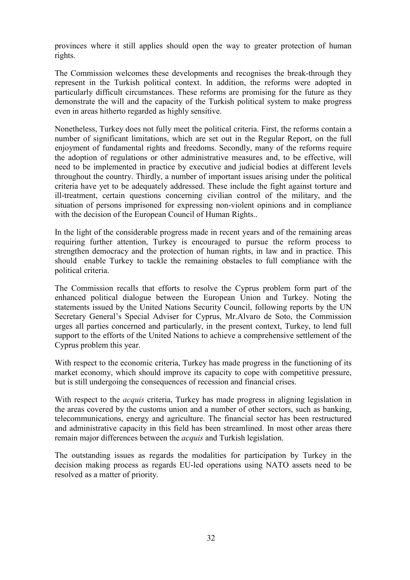provinces where it still applies should open the way to greater protection of human rights.

The Commission welcomes these developments and recognises the break-through they represent in the Turkish political context. In addition, the reforms were adopted in particularly difficult circumstances. These reforms are promising for the future as they demonstrate the will and the capacity of the Turkish political system to make progress even in areas hitherto regarded as highly sensitive.

Nonetheless, Turkey does not fully meet the political criteria. First, the reforms contain a number of significant limitations, which are set out in the Regular Report, on the full enjoyment of fundamental rights and freedoms. Secondly, many of the reforms require the adoption of regulations or other administrative measures and, to be effective, will need to be implemented in practice by executive and judicial bodies at different levels throughout the country. Thirdly, a number of important issues arising under the political criteria have yet to be adequately addressed. These include the fight against torture and ill-treatment, certain questions concerning civilian control of the military, and the situation of persons imprisoned for expressing non-violent opinions and in compliance with the decision of the European Council of Human Rights..

In the light of the considerable progress made in recent years and of the remaining areas requiring further attention, Turkey is encouraged to pursue the reform process to strengthen democracy and the protection of human rights, in law and in practice. This should enable Turkey to tackle the remaining obstacles to full compliance with the political criteria.

The Commission recalls that efforts to resolve the Cyprus problem form part of the enhanced political dialogue between the European Union and Turkey. Noting the statements issued by the United Nations Security Council, following reports by the UN Secretary General's Special Adviser for Cyprus, Mr.Alvaro de Soto, the Commission urges all parties concerned and particularly, in the present context, Turkey, to lend full support to the efforts of the United Nations to achieve a comprehensive settlement of the Cyprus problem this year.

With respect to the economic criteria, Turkey has made progress in the functioning of its market economy, which should improve its capacity to cope with competitive pressure, but is still undergoing the consequences of recession and financial crises.

With respect to the *acquis* criteria, Turkey has made progress in aligning legislation in the areas covered by the customs union and a number of other sectors, such as banking, telecommunications, energy and agriculture. The financial sector has been restructured and administrative capacity in this field has been streamlined. In most other areas there remain major differences between the *acquis* and Turkish legislation.

The outstanding issues as regards the modalities for participation by Turkey in the decision making process as regards EU-led operations using NATO assets need to be resolved as a matter of priority.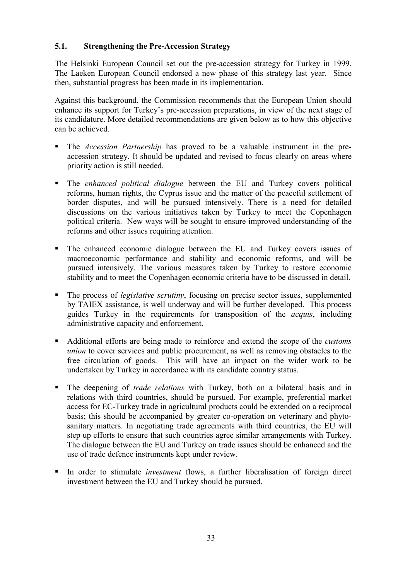# **5.1. Strengthening the Pre-Accession Strategy**

The Helsinki European Council set out the pre-accession strategy for Turkey in 1999. The Laeken European Council endorsed a new phase of this strategy last year. Since then, substantial progress has been made in its implementation.

Against this background, the Commission recommends that the European Union should enhance its support for Turkey's pre-accession preparations, in view of the next stage of its candidature. More detailed recommendations are given below as to how this objective can be achieved.

- The *Accession Partnership* has proved to be a valuable instrument in the preaccession strategy. It should be updated and revised to focus clearly on areas where priority action is still needed.
- The *enhanced political dialogue* between the EU and Turkey covers political reforms, human rights, the Cyprus issue and the matter of the peaceful settlement of border disputes, and will be pursued intensively. There is a need for detailed discussions on the various initiatives taken by Turkey to meet the Copenhagen political criteria. New ways will be sought to ensure improved understanding of the reforms and other issues requiring attention.
- The enhanced economic dialogue between the EU and Turkey covers issues of macroeconomic performance and stability and economic reforms, and will be pursued intensively. The various measures taken by Turkey to restore economic stability and to meet the Copenhagen economic criteria have to be discussed in detail.
- The process of *legislative scrutiny*, focusing on precise sector issues, supplemented by TAIEX assistance, is well underway and will be further developed. This process guides Turkey in the requirements for transposition of the *acquis*, including administrative capacity and enforcement.
- Additional efforts are being made to reinforce and extend the scope of the *customs union* to cover services and public procurement, as well as removing obstacles to the free circulation of goods. This will have an impact on the wider work to be undertaken by Turkey in accordance with its candidate country status.
- The deepening of *trade relations* with Turkey, both on a bilateral basis and in relations with third countries, should be pursued. For example, preferential market access for EC-Turkey trade in agricultural products could be extended on a reciprocal basis; this should be accompanied by greater co-operation on veterinary and phytosanitary matters. In negotiating trade agreements with third countries, the EU will step up efforts to ensure that such countries agree similar arrangements with Turkey. The dialogue between the EU and Turkey on trade issues should be enhanced and the use of trade defence instruments kept under review.
- In order to stimulate *investment* flows, a further liberalisation of foreign direct investment between the EU and Turkey should be pursued.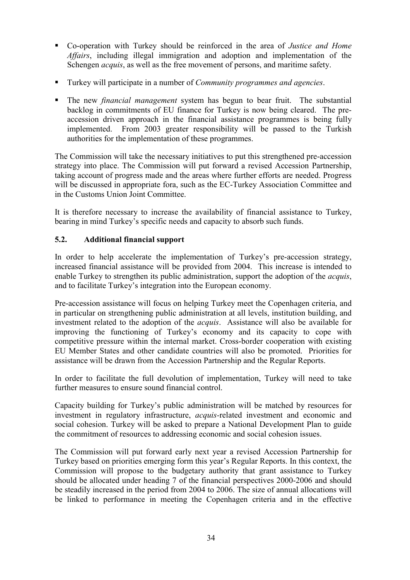- Co-operation with Turkey should be reinforced in the area of *Justice and Home Affairs*, including illegal immigration and adoption and implementation of the Schengen *acquis*, as well as the free movement of persons, and maritime safety.
- Turkey will participate in a number of *Community programmes and agencies*.
- The new *financial management* system has begun to bear fruit. The substantial backlog in commitments of EU finance for Turkey is now being cleared. The preaccession driven approach in the financial assistance programmes is being fully implemented. From 2003 greater responsibility will be passed to the Turkish authorities for the implementation of these programmes.

The Commission will take the necessary initiatives to put this strengthened pre-accession strategy into place. The Commission will put forward a revised Accession Partnership, taking account of progress made and the areas where further efforts are needed. Progress will be discussed in appropriate fora, such as the EC-Turkey Association Committee and in the Customs Union Joint Committee.

It is therefore necessary to increase the availability of financial assistance to Turkey, bearing in mind Turkey's specific needs and capacity to absorb such funds.

# **5.2. Additional financial support**

In order to help accelerate the implementation of Turkey's pre-accession strategy, increased financial assistance will be provided from 2004. This increase is intended to enable Turkey to strengthen its public administration, support the adoption of the *acquis*, and to facilitate Turkey's integration into the European economy.

Pre-accession assistance will focus on helping Turkey meet the Copenhagen criteria, and in particular on strengthening public administration at all levels, institution building, and investment related to the adoption of the *acquis*. Assistance will also be available for improving the functioning of Turkey's economy and its capacity to cope with competitive pressure within the internal market. Cross-border cooperation with existing EU Member States and other candidate countries will also be promoted. Priorities for assistance will be drawn from the Accession Partnership and the Regular Reports.

In order to facilitate the full devolution of implementation, Turkey will need to take further measures to ensure sound financial control.

Capacity building for Turkey's public administration will be matched by resources for investment in regulatory infrastructure, *acquis-*related investment and economic and social cohesion. Turkey will be asked to prepare a National Development Plan to guide the commitment of resources to addressing economic and social cohesion issues.

The Commission will put forward early next year a revised Accession Partnership for Turkey based on priorities emerging form this year's Regular Reports. In this context, the Commission will propose to the budgetary authority that grant assistance to Turkey should be allocated under heading 7 of the financial perspectives 2000-2006 and should be steadily increased in the period from 2004 to 2006. The size of annual allocations will be linked to performance in meeting the Copenhagen criteria and in the effective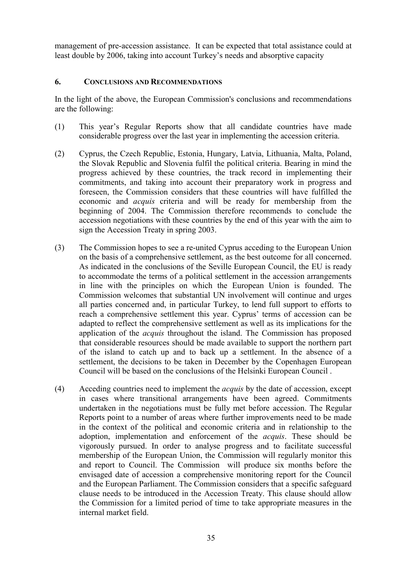management of pre-accession assistance. It can be expected that total assistance could at least double by 2006, taking into account Turkey's needs and absorptive capacity

# **6. CONCLUSIONS AND RECOMMENDATIONS**

In the light of the above, the European Commission's conclusions and recommendations are the following:

- (1) This year's Regular Reports show that all candidate countries have made considerable progress over the last year in implementing the accession criteria.
- (2) Cyprus, the Czech Republic, Estonia, Hungary, Latvia, Lithuania, Malta, Poland, the Slovak Republic and Slovenia fulfil the political criteria. Bearing in mind the progress achieved by these countries, the track record in implementing their commitments, and taking into account their preparatory work in progress and foreseen, the Commission considers that these countries will have fulfilled the economic and *acquis* criteria and will be ready for membership from the beginning of 2004. The Commission therefore recommends to conclude the accession negotiations with these countries by the end of this year with the aim to sign the Accession Treaty in spring 2003.
- (3) The Commission hopes to see a re-united Cyprus acceding to the European Union on the basis of a comprehensive settlement, as the best outcome for all concerned. As indicated in the conclusions of the Seville European Council, the EU is ready to accommodate the terms of a political settlement in the accession arrangements in line with the principles on which the European Union is founded. The Commission welcomes that substantial UN involvement will continue and urges all parties concerned and, in particular Turkey, to lend full support to efforts to reach a comprehensive settlement this year. Cyprus' terms of accession can be adapted to reflect the comprehensive settlement as well as its implications for the application of the *acquis* throughout the island. The Commission has proposed that considerable resources should be made available to support the northern part of the island to catch up and to back up a settlement. In the absence of a settlement, the decisions to be taken in December by the Copenhagen European Council will be based on the conclusions of the Helsinki European Council .
- (4) Acceding countries need to implement the *acquis* by the date of accession, except in cases where transitional arrangements have been agreed. Commitments undertaken in the negotiations must be fully met before accession. The Regular Reports point to a number of areas where further improvements need to be made in the context of the political and economic criteria and in relationship to the adoption, implementation and enforcement of the *acquis*. These should be vigorously pursued. In order to analyse progress and to facilitate successful membership of the European Union, the Commission will regularly monitor this and report to Council. The Commission will produce six months before the envisaged date of accession a comprehensive monitoring report for the Council and the European Parliament. The Commission considers that a specific safeguard clause needs to be introduced in the Accession Treaty. This clause should allow the Commission for a limited period of time to take appropriate measures in the internal market field.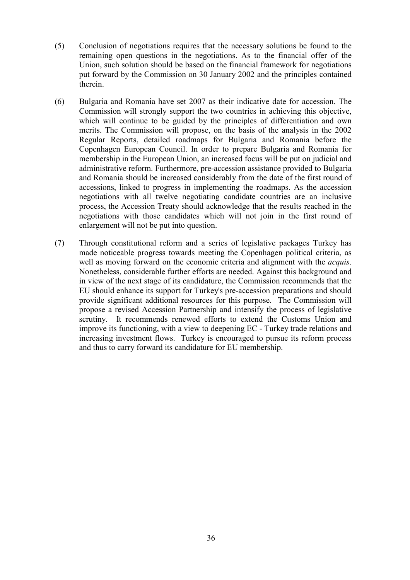- (5) Conclusion of negotiations requires that the necessary solutions be found to the remaining open questions in the negotiations. As to the financial offer of the Union, such solution should be based on the financial framework for negotiations put forward by the Commission on 30 January 2002 and the principles contained therein.
- (6) Bulgaria and Romania have set 2007 as their indicative date for accession. The Commission will strongly support the two countries in achieving this objective, which will continue to be guided by the principles of differentiation and own merits. The Commission will propose, on the basis of the analysis in the 2002 Regular Reports, detailed roadmaps for Bulgaria and Romania before the Copenhagen European Council. In order to prepare Bulgaria and Romania for membership in the European Union, an increased focus will be put on judicial and administrative reform. Furthermore, pre-accession assistance provided to Bulgaria and Romania should be increased considerably from the date of the first round of accessions, linked to progress in implementing the roadmaps. As the accession negotiations with all twelve negotiating candidate countries are an inclusive process, the Accession Treaty should acknowledge that the results reached in the negotiations with those candidates which will not join in the first round of enlargement will not be put into question.
- (7) Through constitutional reform and a series of legislative packages Turkey has made noticeable progress towards meeting the Copenhagen political criteria, as well as moving forward on the economic criteria and alignment with the *acquis*. Nonetheless, considerable further efforts are needed. Against this background and in view of the next stage of its candidature, the Commission recommends that the EU should enhance its support for Turkey's pre-accession preparations and should provide significant additional resources for this purpose. The Commission will propose a revised Accession Partnership and intensify the process of legislative scrutiny. It recommends renewed efforts to extend the Customs Union and improve its functioning, with a view to deepening EC - Turkey trade relations and increasing investment flows. Turkey is encouraged to pursue its reform process and thus to carry forward its candidature for EU membership.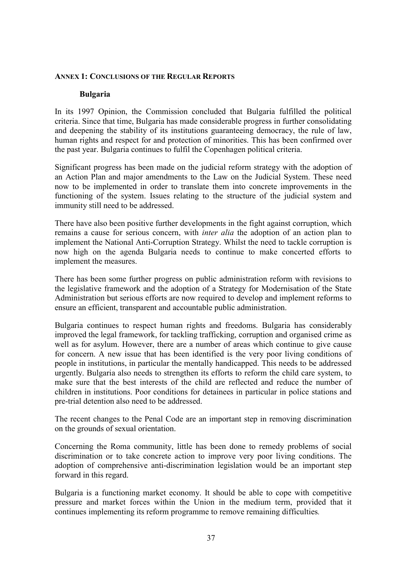#### **ANNEX 1: CONCLUSIONS OF THE REGULAR REPORTS**

### **Bulgaria**

In its 1997 Opinion, the Commission concluded that Bulgaria fulfilled the political criteria. Since that time, Bulgaria has made considerable progress in further consolidating and deepening the stability of its institutions guaranteeing democracy, the rule of law, human rights and respect for and protection of minorities. This has been confirmed over the past year. Bulgaria continues to fulfil the Copenhagen political criteria.

Significant progress has been made on the judicial reform strategy with the adoption of an Action Plan and major amendments to the Law on the Judicial System. These need now to be implemented in order to translate them into concrete improvements in the functioning of the system. Issues relating to the structure of the judicial system and immunity still need to be addressed.

There have also been positive further developments in the fight against corruption, which remains a cause for serious concern, with *inter alia* the adoption of an action plan to implement the National Anti-Corruption Strategy. Whilst the need to tackle corruption is now high on the agenda Bulgaria needs to continue to make concerted efforts to implement the measures.

There has been some further progress on public administration reform with revisions to the legislative framework and the adoption of a Strategy for Modernisation of the State Administration but serious efforts are now required to develop and implement reforms to ensure an efficient, transparent and accountable public administration.

Bulgaria continues to respect human rights and freedoms. Bulgaria has considerably improved the legal framework, for tackling trafficking, corruption and organised crime as well as for asylum. However, there are a number of areas which continue to give cause for concern. A new issue that has been identified is the very poor living conditions of people in institutions, in particular the mentally handicapped. This needs to be addressed urgently. Bulgaria also needs to strengthen its efforts to reform the child care system, to make sure that the best interests of the child are reflected and reduce the number of children in institutions. Poor conditions for detainees in particular in police stations and pre-trial detention also need to be addressed.

The recent changes to the Penal Code are an important step in removing discrimination on the grounds of sexual orientation.

Concerning the Roma community, little has been done to remedy problems of social discrimination or to take concrete action to improve very poor living conditions. The adoption of comprehensive anti-discrimination legislation would be an important step forward in this regard.

Bulgaria is a functioning market economy. It should be able to cope with competitive pressure and market forces within the Union in the medium term, provided that it continues implementing its reform programme to remove remaining difficulties*.*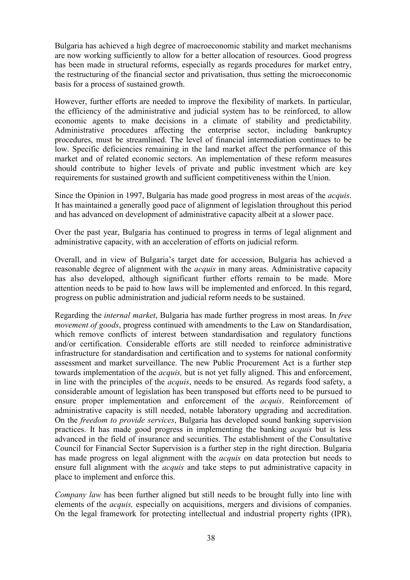Bulgaria has achieved a high degree of macroeconomic stability and market mechanisms are now working sufficiently to allow for a better allocation of resources. Good progress has been made in structural reforms, especially as regards procedures for market entry, the restructuring of the financial sector and privatisation, thus setting the microeconomic basis for a process of sustained growth.

However, further efforts are needed to improve the flexibility of markets. In particular, the efficiency of the administrative and judicial system has to be reinforced, to allow economic agents to make decisions in a climate of stability and predictability. Administrative procedures affecting the enterprise sector, including bankruptcy procedures, must be streamlined. The level of financial intermediation continues to be low. Specific deficiencies remaining in the land market affect the performance of this market and of related economic sectors. An implementation of these reform measures should contribute to higher levels of private and public investment which are key requirements for sustained growth and sufficient competitiveness within the Union.

Since the Opinion in 1997, Bulgaria has made good progress in most areas of the *acquis*. It has maintained a generally good pace of alignment of legislation throughout this period and has advanced on development of administrative capacity albeit at a slower pace.

Over the past year, Bulgaria has continued to progress in terms of legal alignment and administrative capacity, with an acceleration of efforts on judicial reform.

Overall, and in view of Bulgaria's target date for accession, Bulgaria has achieved a reasonable degree of alignment with the *acquis* in many areas. Administrative capacity has also developed, although significant further efforts remain to be made. More attention needs to be paid to how laws will be implemented and enforced. In this regard, progress on public administration and judicial reform needs to be sustained.

Regarding the *internal market*, Bulgaria has made further progress in most areas. In *free movement of goods*, progress continued with amendments to the Law on Standardisation, which remove conflicts of interest between standardisation and regulatory functions and/or certification. Considerable efforts are still needed to reinforce administrative infrastructure for standardisation and certification and to systems for national conformity assessment and market surveillance. The new Public Procurement Act is a further step towards implementation of the *acquis,* but is not yet fully aligned. This and enforcement, in line with the principles of the *acquis*, needs to be ensured. As regards food safety, a considerable amount of legislation has been transposed but efforts need to be pursued to ensure proper implementation and enforcement of the *acquis*. Reinforcement of administrative capacity is still needed, notable laboratory upgrading and accreditation. On the *freedom to provide services*, Bulgaria has developed sound banking supervision practices. It has made good progress in implementing the banking *acquis* but is less advanced in the field of insurance and securities. The establishment of the Consultative Council for Financial Sector Supervision is a further step in the right direction. Bulgaria has made progress on legal alignment with the *acquis* on data protection but needs to ensure full alignment with the *acquis* and take steps to put administrative capacity in place to implement and enforce this.

*Company law* has been further aligned but still needs to be brought fully into line with elements of the *acquis,* especially on acquisitions, mergers and divisions of companies. On the legal framework for protecting intellectual and industrial property rights (IPR),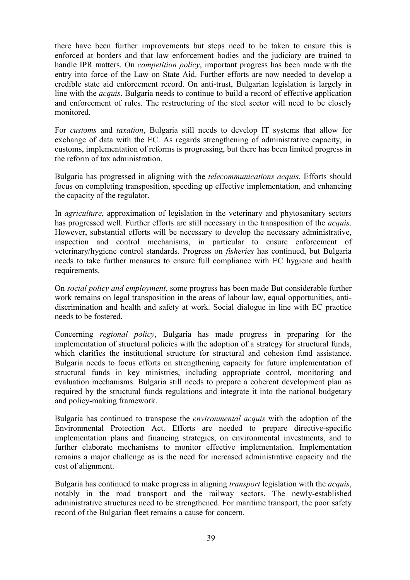there have been further improvements but steps need to be taken to ensure this is enforced at borders and that law enforcement bodies and the judiciary are trained to handle IPR matters. On *competition policy*, important progress has been made with the entry into force of the Law on State Aid. Further efforts are now needed to develop a credible state aid enforcement record. On anti-trust, Bulgarian legislation is largely in line with the *acquis*. Bulgaria needs to continue to build a record of effective application and enforcement of rules. The restructuring of the steel sector will need to be closely monitored.

For *customs* and *taxation*, Bulgaria still needs to develop IT systems that allow for exchange of data with the EC. As regards strengthening of administrative capacity, in customs, implementation of reforms is progressing, but there has been limited progress in the reform of tax administration.

Bulgaria has progressed in aligning with the *telecommunications acquis*. Efforts should focus on completing transposition, speeding up effective implementation, and enhancing the capacity of the regulator.

In *agriculture*, approximation of legislation in the veterinary and phytosanitary sectors has progressed well. Further efforts are still necessary in the transposition of the *acquis*. However, substantial efforts will be necessary to develop the necessary administrative, inspection and control mechanisms, in particular to ensure enforcement of veterinary/hygiene control standards. Progress on *fisheries* has continued, but Bulgaria needs to take further measures to ensure full compliance with EC hygiene and health requirements.

On *social policy and employment*, some progress has been made But considerable further work remains on legal transposition in the areas of labour law, equal opportunities, antidiscrimination and health and safety at work. Social dialogue in line with EC practice needs to be fostered.

Concerning *regional policy*, Bulgaria has made progress in preparing for the implementation of structural policies with the adoption of a strategy for structural funds, which clarifies the institutional structure for structural and cohesion fund assistance. Bulgaria needs to focus efforts on strengthening capacity for future implementation of structural funds in key ministries, including appropriate control, monitoring and evaluation mechanisms. Bulgaria still needs to prepare a coherent development plan as required by the structural funds regulations and integrate it into the national budgetary and policy-making framework.

Bulgaria has continued to transpose the *environmental acquis* with the adoption of the Environmental Protection Act. Efforts are needed to prepare directive-specific implementation plans and financing strategies, on environmental investments, and to further elaborate mechanisms to monitor effective implementation. Implementation remains a major challenge as is the need for increased administrative capacity and the cost of alignment.

Bulgaria has continued to make progress in aligning *transport* legislation with the *acquis*, notably in the road transport and the railway sectors. The newly-established administrative structures need to be strengthened. For maritime transport, the poor safety record of the Bulgarian fleet remains a cause for concern.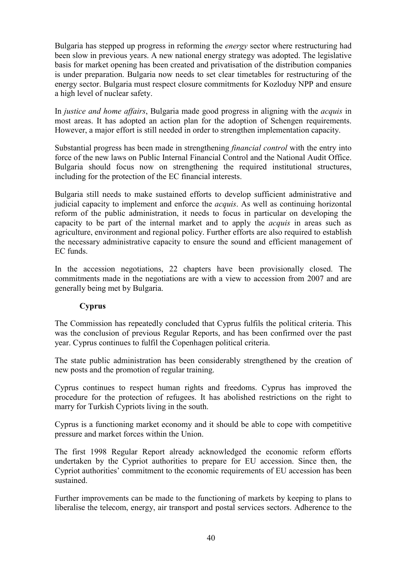Bulgaria has stepped up progress in reforming the *energy* sector where restructuring had been slow in previous years. A new national energy strategy was adopted. The legislative basis for market opening has been created and privatisation of the distribution companies is under preparation. Bulgaria now needs to set clear timetables for restructuring of the energy sector. Bulgaria must respect closure commitments for Kozloduy NPP and ensure a high level of nuclear safety.

In *justice and home affairs*, Bulgaria made good progress in aligning with the *acquis* in most areas. It has adopted an action plan for the adoption of Schengen requirements. However, a major effort is still needed in order to strengthen implementation capacity.

Substantial progress has been made in strengthening *financial control* with the entry into force of the new laws on Public Internal Financial Control and the National Audit Office. Bulgaria should focus now on strengthening the required institutional structures, including for the protection of the EC financial interests.

Bulgaria still needs to make sustained efforts to develop sufficient administrative and judicial capacity to implement and enforce the *acquis*. As well as continuing horizontal reform of the public administration, it needs to focus in particular on developing the capacity to be part of the internal market and to apply the *acquis* in areas such as agriculture, environment and regional policy. Further efforts are also required to establish the necessary administrative capacity to ensure the sound and efficient management of EC funds.

In the accession negotiations, 22 chapters have been provisionally closed. The commitments made in the negotiations are with a view to accession from 2007 and are generally being met by Bulgaria.

### **Cyprus**

The Commission has repeatedly concluded that Cyprus fulfils the political criteria. This was the conclusion of previous Regular Reports, and has been confirmed over the past year. Cyprus continues to fulfil the Copenhagen political criteria.

The state public administration has been considerably strengthened by the creation of new posts and the promotion of regular training.

Cyprus continues to respect human rights and freedoms. Cyprus has improved the procedure for the protection of refugees. It has abolished restrictions on the right to marry for Turkish Cypriots living in the south.

Cyprus is a functioning market economy and it should be able to cope with competitive pressure and market forces within the Union.

The first 1998 Regular Report already acknowledged the economic reform efforts undertaken by the Cypriot authorities to prepare for EU accession. Since then, the Cypriot authorities' commitment to the economic requirements of EU accession has been sustained.

Further improvements can be made to the functioning of markets by keeping to plans to liberalise the telecom, energy, air transport and postal services sectors. Adherence to the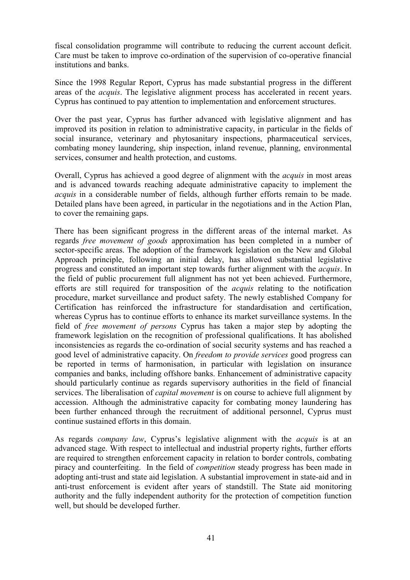fiscal consolidation programme will contribute to reducing the current account deficit. Care must be taken to improve co-ordination of the supervision of co-operative financial institutions and banks.

Since the 1998 Regular Report, Cyprus has made substantial progress in the different areas of the *acquis*. The legislative alignment process has accelerated in recent years. Cyprus has continued to pay attention to implementation and enforcement structures.

Over the past year, Cyprus has further advanced with legislative alignment and has improved its position in relation to administrative capacity, in particular in the fields of social insurance, veterinary and phytosanitary inspections, pharmaceutical services, combating money laundering, ship inspection, inland revenue, planning, environmental services, consumer and health protection, and customs.

Overall, Cyprus has achieved a good degree of alignment with the *acquis* in most areas and is advanced towards reaching adequate administrative capacity to implement the *acquis* in a considerable number of fields, although further efforts remain to be made. Detailed plans have been agreed, in particular in the negotiations and in the Action Plan, to cover the remaining gaps.

There has been significant progress in the different areas of the internal market. As regards *free movement of goods* approximation has been completed in a number of sector-specific areas. The adoption of the framework legislation on the New and Global Approach principle, following an initial delay, has allowed substantial legislative progress and constituted an important step towards further alignment with the *acquis*. In the field of public procurement full alignment has not yet been achieved. Furthermore, efforts are still required for transposition of the *acquis* relating to the notification procedure, market surveillance and product safety. The newly established Company for Certification has reinforced the infrastructure for standardisation and certification, whereas Cyprus has to continue efforts to enhance its market surveillance systems. In the field of *free movement of persons* Cyprus has taken a major step by adopting the framework legislation on the recognition of professional qualifications. It has abolished inconsistencies as regards the co-ordination of social security systems and has reached a good level of administrative capacity. On *freedom to provide services* good progress can be reported in terms of harmonisation, in particular with legislation on insurance companies and banks, including offshore banks. Enhancement of administrative capacity should particularly continue as regards supervisory authorities in the field of financial services. The liberalisation of *capital movement* is on course to achieve full alignment by accession. Although the administrative capacity for combating money laundering has been further enhanced through the recruitment of additional personnel. Cyprus must continue sustained efforts in this domain.

As regards *company law*, Cyprus's legislative alignment with the *acquis* is at an advanced stage. With respect to intellectual and industrial property rights, further efforts are required to strengthen enforcement capacity in relation to border controls, combating piracy and counterfeiting. In the field of *competition* steady progress has been made in adopting anti-trust and state aid legislation. A substantial improvement in state-aid and in anti-trust enforcement is evident after years of standstill. The State aid monitoring authority and the fully independent authority for the protection of competition function well, but should be developed further.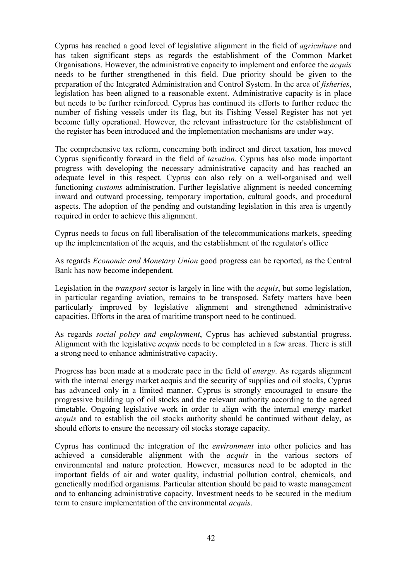Cyprus has reached a good level of legislative alignment in the field of *agriculture* and has taken significant steps as regards the establishment of the Common Market Organisations. However, the administrative capacity to implement and enforce the *acquis* needs to be further strengthened in this field. Due priority should be given to the preparation of the Integrated Administration and Control System. In the area of *fisheries*, legislation has been aligned to a reasonable extent. Administrative capacity is in place but needs to be further reinforced. Cyprus has continued its efforts to further reduce the number of fishing vessels under its flag, but its Fishing Vessel Register has not yet become fully operational. However, the relevant infrastructure for the establishment of the register has been introduced and the implementation mechanisms are under way.

The comprehensive tax reform, concerning both indirect and direct taxation, has moved Cyprus significantly forward in the field of *taxation*. Cyprus has also made important progress with developing the necessary administrative capacity and has reached an adequate level in this respect. Cyprus can also rely on a well-organised and well functioning *customs* administration. Further legislative alignment is needed concerning inward and outward processing, temporary importation, cultural goods, and procedural aspects. The adoption of the pending and outstanding legislation in this area is urgently required in order to achieve this alignment.

Cyprus needs to focus on full liberalisation of the telecommunications markets, speeding up the implementation of the acquis, and the establishment of the regulator's office

As regards *Economic and Monetary Union* good progress can be reported, as the Central Bank has now become independent.

Legislation in the *transport* sector is largely in line with the *acquis*, but some legislation, in particular regarding aviation, remains to be transposed. Safety matters have been particularly improved by legislative alignment and strengthened administrative capacities. Efforts in the area of maritime transport need to be continued.

As regards *social policy and employment*, Cyprus has achieved substantial progress. Alignment with the legislative *acquis* needs to be completed in a few areas. There is still a strong need to enhance administrative capacity.

Progress has been made at a moderate pace in the field of *energy*. As regards alignment with the internal energy market acquis and the security of supplies and oil stocks, Cyprus has advanced only in a limited manner. Cyprus is strongly encouraged to ensure the progressive building up of oil stocks and the relevant authority according to the agreed timetable. Ongoing legislative work in order to align with the internal energy market *acquis* and to establish the oil stocks authority should be continued without delay, as should efforts to ensure the necessary oil stocks storage capacity.

Cyprus has continued the integration of the *environment* into other policies and has achieved a considerable alignment with the *acquis* in the various sectors of environmental and nature protection. However, measures need to be adopted in the important fields of air and water quality, industrial pollution control, chemicals, and genetically modified organisms. Particular attention should be paid to waste management and to enhancing administrative capacity. Investment needs to be secured in the medium term to ensure implementation of the environmental *acquis*.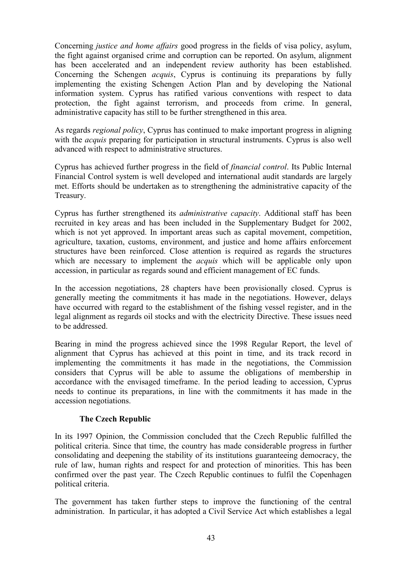Concerning *justice and home affairs* good progress in the fields of visa policy, asylum, the fight against organised crime and corruption can be reported. On asylum, alignment has been accelerated and an independent review authority has been established. Concerning the Schengen *acquis*, Cyprus is continuing its preparations by fully implementing the existing Schengen Action Plan and by developing the National information system. Cyprus has ratified various conventions with respect to data protection, the fight against terrorism, and proceeds from crime. In general, administrative capacity has still to be further strengthened in this area.

As regards *regional policy*, Cyprus has continued to make important progress in aligning with the *acquis* preparing for participation in structural instruments. Cyprus is also well advanced with respect to administrative structures.

Cyprus has achieved further progress in the field of *financial control*. Its Public Internal Financial Control system is well developed and international audit standards are largely met. Efforts should be undertaken as to strengthening the administrative capacity of the Treasury.

Cyprus has further strengthened its *administrative capacity*. Additional staff has been recruited in key areas and has been included in the Supplementary Budget for 2002, which is not yet approved. In important areas such as capital movement, competition, agriculture, taxation, customs, environment, and justice and home affairs enforcement structures have been reinforced. Close attention is required as regards the structures which are necessary to implement the *acquis* which will be applicable only upon accession, in particular as regards sound and efficient management of EC funds.

In the accession negotiations, 28 chapters have been provisionally closed. Cyprus is generally meeting the commitments it has made in the negotiations. However, delays have occurred with regard to the establishment of the fishing vessel register, and in the legal alignment as regards oil stocks and with the electricity Directive. These issues need to be addressed.

Bearing in mind the progress achieved since the 1998 Regular Report, the level of alignment that Cyprus has achieved at this point in time, and its track record in implementing the commitments it has made in the negotiations, the Commission considers that Cyprus will be able to assume the obligations of membership in accordance with the envisaged timeframe. In the period leading to accession, Cyprus needs to continue its preparations, in line with the commitments it has made in the accession negotiations.

### **The Czech Republic**

In its 1997 Opinion, the Commission concluded that the Czech Republic fulfilled the political criteria. Since that time, the country has made considerable progress in further consolidating and deepening the stability of its institutions guaranteeing democracy, the rule of law, human rights and respect for and protection of minorities. This has been confirmed over the past year. The Czech Republic continues to fulfil the Copenhagen political criteria.

The government has taken further steps to improve the functioning of the central administration. In particular, it has adopted a Civil Service Act which establishes a legal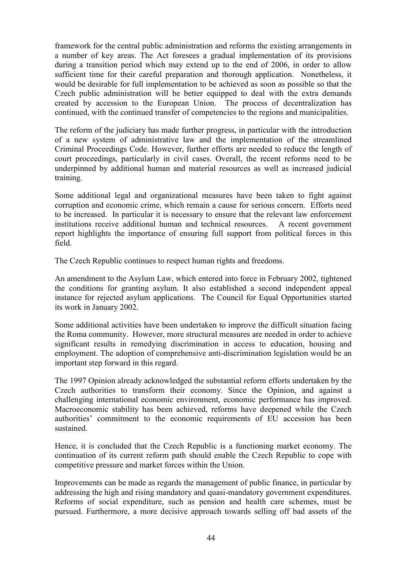framework for the central public administration and reforms the existing arrangements in a number of key areas. The Act foresees a gradual implementation of its provisions during a transition period which may extend up to the end of 2006, in order to allow sufficient time for their careful preparation and thorough application. Nonetheless, it would be desirable for full implementation to be achieved as soon as possible so that the Czech public administration will be better equipped to deal with the extra demands created by accession to the European Union. The process of decentralization has continued, with the continued transfer of competencies to the regions and municipalities.

The reform of the judiciary has made further progress, in particular with the introduction of a new system of administrative law and the implementation of the streamlined Criminal Proceedings Code. However, further efforts are needed to reduce the length of court proceedings, particularly in civil cases. Overall, the recent reforms need to be underpinned by additional human and material resources as well as increased judicial training.

Some additional legal and organizational measures have been taken to fight against corruption and economic crime, which remain a cause for serious concern. Efforts need to be increased. In particular it is necessary to ensure that the relevant law enforcement institutions receive additional human and technical resources. A recent government report highlights the importance of ensuring full support from political forces in this field.

The Czech Republic continues to respect human rights and freedoms.

An amendment to the Asylum Law, which entered into force in February 2002, tightened the conditions for granting asylum. It also established a second independent appeal instance for rejected asylum applications. The Council for Equal Opportunities started its work in January 2002.

Some additional activities have been undertaken to improve the difficult situation facing the Roma community. However, more structural measures are needed in order to achieve significant results in remedying discrimination in access to education, housing and employment. The adoption of comprehensive anti-discrimination legislation would be an important step forward in this regard.

The 1997 Opinion already acknowledged the substantial reform efforts undertaken by the Czech authorities to transform their economy. Since the Opinion, and against a challenging international economic environment, economic performance has improved. Macroeconomic stability has been achieved, reforms have deepened while the Czech authorities' commitment to the economic requirements of EU accession has been sustained.

Hence, it is concluded that the Czech Republic is a functioning market economy. The continuation of its current reform path should enable the Czech Republic to cope with competitive pressure and market forces within the Union.

Improvements can be made as regards the management of public finance, in particular by addressing the high and rising mandatory and quasi-mandatory government expenditures. Reforms of social expenditure, such as pension and health care schemes, must be pursued. Furthermore, a more decisive approach towards selling off bad assets of the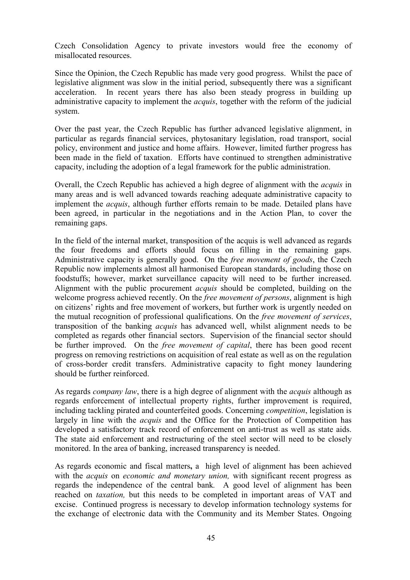Czech Consolidation Agency to private investors would free the economy of misallocated resources.

Since the Opinion, the Czech Republic has made very good progress. Whilst the pace of legislative alignment was slow in the initial period, subsequently there was a significant acceleration. In recent years there has also been steady progress in building up administrative capacity to implement the *acquis*, together with the reform of the judicial system.

Over the past year, the Czech Republic has further advanced legislative alignment, in particular as regards financial services, phytosanitary legislation, road transport, social policy, environment and justice and home affairs. However, limited further progress has been made in the field of taxation. Efforts have continued to strengthen administrative capacity, including the adoption of a legal framework for the public administration.

Overall, the Czech Republic has achieved a high degree of alignment with the *acquis* in many areas and is well advanced towards reaching adequate administrative capacity to implement the *acquis*, although further efforts remain to be made. Detailed plans have been agreed, in particular in the negotiations and in the Action Plan, to cover the remaining gaps.

In the field of the internal market, transposition of the acquis is well advanced as regards the four freedoms and efforts should focus on filling in the remaining gaps. Administrative capacity is generally good. On the *free movement of goods*, the Czech Republic now implements almost all harmonised European standards, including those on foodstuffs; however, market surveillance capacity will need to be further increased. Alignment with the public procurement *acquis* should be completed, building on the welcome progress achieved recently. On the *free movement of persons*, alignment is high on citizens' rights and free movement of workers, but further work is urgently needed on the mutual recognition of professional qualifications. On the *free movement of services*, transposition of the banking *acquis* has advanced well, whilst alignment needs to be completed as regards other financial sectors. Supervision of the financial sector should be further improved. On the *free movement of capital*, there has been good recent progress on removing restrictions on acquisition of real estate as well as on the regulation of cross-border credit transfers. Administrative capacity to fight money laundering should be further reinforced.

As regards *company law*, there is a high degree of alignment with the *acquis* although as regards enforcement of intellectual property rights, further improvement is required, including tackling pirated and counterfeited goods. Concerning *competition*, legislation is largely in line with the *acquis* and the Office for the Protection of Competition has developed a satisfactory track record of enforcement on anti-trust as well as state aids. The state aid enforcement and restructuring of the steel sector will need to be closely monitored. In the area of banking, increased transparency is needed.

As regards economic and fiscal matters**,** a high level of alignment has been achieved with the *acquis* on *economic and monetary union,* with significant recent progress as regards the independence of the central bank*.* A good level of alignment has been reached on *taxation,* but this needs to be completed in important areas of VAT and excise. Continued progress is necessary to develop information technology systems for the exchange of electronic data with the Community and its Member States. Ongoing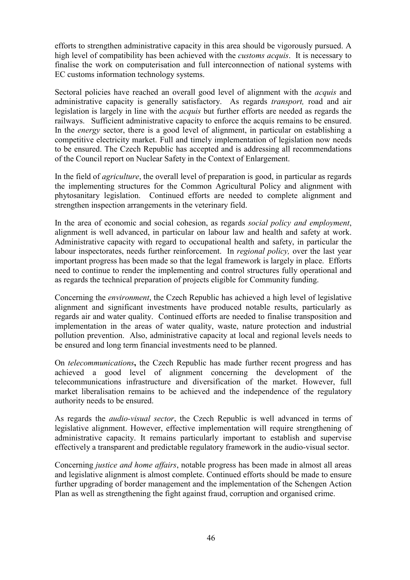efforts to strengthen administrative capacity in this area should be vigorously pursued. A high level of compatibility has been achieved with the *customs acquis*. It is necessary to finalise the work on computerisation and full interconnection of national systems with EC customs information technology systems.

Sectoral policies have reached an overall good level of alignment with the *acquis* and administrative capacity is generally satisfactory. As regards *transport,* road and air legislation is largely in line with the *acquis* but further efforts are needed as regards the railways. Sufficient administrative capacity to enforce the acquis remains to be ensured. In the *energy* sector, there is a good level of alignment, in particular on establishing a competitive electricity market. Full and timely implementation of legislation now needs to be ensured. The Czech Republic has accepted and is addressing all recommendations of the Council report on Nuclear Safety in the Context of Enlargement.

In the field of *agriculture*, the overall level of preparation is good, in particular as regards the implementing structures for the Common Agricultural Policy and alignment with phytosanitary legislation. Continued efforts are needed to complete alignment and strengthen inspection arrangements in the veterinary field.

In the area of economic and social cohesion, as regards *social policy and employment*, alignment is well advanced, in particular on labour law and health and safety at work. Administrative capacity with regard to occupational health and safety, in particular the labour inspectorates, needs further reinforcement. In *regional policy,* over the last year important progress has been made so that the legal framework is largely in place. Efforts need to continue to render the implementing and control structures fully operational and as regards the technical preparation of projects eligible for Community funding.

Concerning the *environment*, the Czech Republic has achieved a high level of legislative alignment and significant investments have produced notable results, particularly as regards air and water quality.Continued efforts are needed to finalise transposition and implementation in the areas of water quality, waste, nature protection and industrial pollution prevention. Also, administrative capacity at local and regional levels needs to be ensured and long term financial investments need to be planned.

On *telecommunications***,** the Czech Republic has made further recent progress and has achieved a good level of alignment concerning the development of the telecommunications infrastructure and diversification of the market. However, full market liberalisation remains to be achieved and the independence of the regulatory authority needs to be ensured.

As regards the *audio-visual sector*, the Czech Republic is well advanced in terms of legislative alignment. However, effective implementation will require strengthening of administrative capacity. It remains particularly important to establish and supervise effectively a transparent and predictable regulatory framework in the audio-visual sector.

Concerning *justice and home affairs*, notable progress has been made in almost all areas and legislative alignment is almost complete. Continued efforts should be made to ensure further upgrading of border management and the implementation of the Schengen Action Plan as well as strengthening the fight against fraud, corruption and organised crime.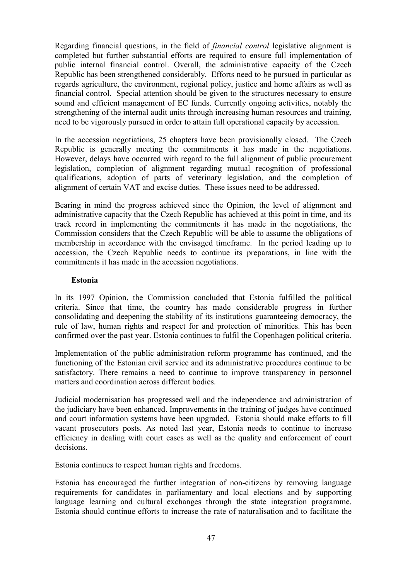Regarding financial questions, in the field of *financial control* legislative alignment is completed but further substantial efforts are required to ensure full implementation of public internal financial control. Overall, the administrative capacity of the Czech Republic has been strengthened considerably. Efforts need to be pursued in particular as regards agriculture, the environment, regional policy, justice and home affairs as well as financial control. Special attention should be given to the structures necessary to ensure sound and efficient management of EC funds. Currently ongoing activities, notably the strengthening of the internal audit units through increasing human resources and training, need to be vigorously pursued in order to attain full operational capacity by accession.

In the accession negotiations, 25 chapters have been provisionally closed. The Czech Republic is generally meeting the commitments it has made in the negotiations. However, delays have occurred with regard to the full alignment of public procurement legislation, completion of alignment regarding mutual recognition of professional qualifications, adoption of parts of veterinary legislation, and the completion of alignment of certain VAT and excise duties. These issues need to be addressed.

Bearing in mind the progress achieved since the Opinion, the level of alignment and administrative capacity that the Czech Republic has achieved at this point in time, and its track record in implementing the commitments it has made in the negotiations, the Commission considers that the Czech Republic will be able to assume the obligations of membership in accordance with the envisaged timeframe. In the period leading up to accession, the Czech Republic needs to continue its preparations, in line with the commitments it has made in the accession negotiations.

### **Estonia**

In its 1997 Opinion, the Commission concluded that Estonia fulfilled the political criteria. Since that time, the country has made considerable progress in further consolidating and deepening the stability of its institutions guaranteeing democracy, the rule of law, human rights and respect for and protection of minorities. This has been confirmed over the past year. Estonia continues to fulfil the Copenhagen political criteria.

Implementation of the public administration reform programme has continued, and the functioning of the Estonian civil service and its administrative procedures continue to be satisfactory. There remains a need to continue to improve transparency in personnel matters and coordination across different bodies.

Judicial modernisation has progressed well and the independence and administration of the judiciary have been enhanced. Improvements in the training of judges have continued and court information systems have been upgraded. Estonia should make efforts to fill vacant prosecutors posts. As noted last year, Estonia needs to continue to increase efficiency in dealing with court cases as well as the quality and enforcement of court decisions.

Estonia continues to respect human rights and freedoms.

Estonia has encouraged the further integration of non-citizens by removing language requirements for candidates in parliamentary and local elections and by supporting language learning and cultural exchanges through the state integration programme. Estonia should continue efforts to increase the rate of naturalisation and to facilitate the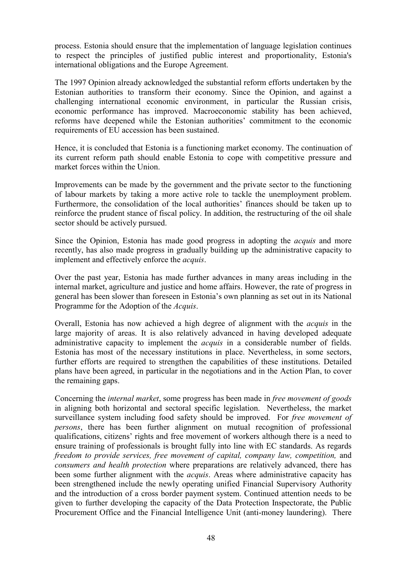process. Estonia should ensure that the implementation of language legislation continues to respect the principles of justified public interest and proportionality, Estonia's international obligations and the Europe Agreement.

The 1997 Opinion already acknowledged the substantial reform efforts undertaken by the Estonian authorities to transform their economy. Since the Opinion, and against a challenging international economic environment, in particular the Russian crisis, economic performance has improved. Macroeconomic stability has been achieved, reforms have deepened while the Estonian authorities' commitment to the economic requirements of EU accession has been sustained.

Hence, it is concluded that Estonia is a functioning market economy. The continuation of its current reform path should enable Estonia to cope with competitive pressure and market forces within the Union.

Improvements can be made by the government and the private sector to the functioning of labour markets by taking a more active role to tackle the unemployment problem. Furthermore, the consolidation of the local authorities' finances should be taken up to reinforce the prudent stance of fiscal policy. In addition, the restructuring of the oil shale sector should be actively pursued.

Since the Opinion, Estonia has made good progress in adopting the *acquis* and more recently, has also made progress in gradually building up the administrative capacity to implement and effectively enforce the *acquis*.

Over the past year, Estonia has made further advances in many areas including in the internal market, agriculture and justice and home affairs. However, the rate of progress in general has been slower than foreseen in Estonia's own planning as set out in its National Programme for the Adoption of the *Acquis*.

Overall, Estonia has now achieved a high degree of alignment with the *acquis* in the large majority of areas. It is also relatively advanced in having developed adequate administrative capacity to implement the *acquis* in a considerable number of fields. Estonia has most of the necessary institutions in place. Nevertheless, in some sectors, further efforts are required to strengthen the capabilities of these institutions. Detailed plans have been agreed, in particular in the negotiations and in the Action Plan, to cover the remaining gaps.

Concerning the *internal market*, some progress has been made in *free movement of goods* in aligning both horizontal and sectoral specific legislation. Nevertheless, the market surveillance system including food safety should be improved. For *free movement of persons*, there has been further alignment on mutual recognition of professional qualifications, citizens' rights and free movement of workers although there is a need to ensure training of professionals is brought fully into line with EC standards. As regards *freedom to provide services, free movement of capital, company law, competition, and consumers and health protection* where preparations are relatively advanced, there has been some further alignment with the *acquis*. Areas where administrative capacity has been strengthened include the newly operating unified Financial Supervisory Authority and the introduction of a cross border payment system. Continued attention needs to be given to further developing the capacity of the Data Protection Inspectorate, the Public Procurement Office and the Financial Intelligence Unit (anti-money laundering). There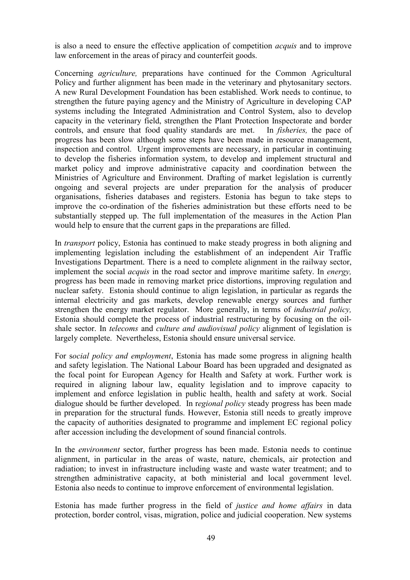is also a need to ensure the effective application of competition *acquis* and to improve law enforcement in the areas of piracy and counterfeit goods.

Concerning *agriculture,* preparations have continued for the Common Agricultural Policy and further alignment has been made in the veterinary and phytosanitary sectors. A new Rural Development Foundation has been established. Work needs to continue, to strengthen the future paying agency and the Ministry of Agriculture in developing CAP systems including the Integrated Administration and Control System, also to develop capacity in the veterinary field, strengthen the Plant Protection Inspectorate and border controls, and ensure that food quality standards are met. In *fisheries,* the pace of progress has been slow although some steps have been made in resource management, inspection and control. Urgent improvements are necessary, in particular in continuing to develop the fisheries information system, to develop and implement structural and market policy and improve administrative capacity and coordination between the Ministries of Agriculture and Environment. Drafting of market legislation is currently ongoing and several projects are under preparation for the analysis of producer organisations, fisheries databases and registers. Estonia has begun to take steps to improve the co-ordination of the fisheries administration but these efforts need to be substantially stepped up. The full implementation of the measures in the Action Plan would help to ensure that the current gaps in the preparations are filled.

In *transport* policy, Estonia has continued to make steady progress in both aligning and implementing legislation including the establishment of an independent Air Traffic Investigations Department. There is a need to complete alignment in the railway sector, implement the social *acquis* in the road sector and improve maritime safety. In *energy,* progress has been made in removing market price distortions, improving regulation and nuclear safety. Estonia should continue to align legislation, in particular as regards the internal electricity and gas markets, develop renewable energy sources and further strengthen the energy market regulator. More generally, in terms of *industrial policy,* Estonia should complete the process of industrial restructuring by focusing on the oilshale sector. In *telecoms* and *culture and audiovisual policy* alignment of legislation is largely complete. Nevertheless, Estonia should ensure universal service.

For s*ocial policy and employment*, Estonia has made some progress in aligning health and safety legislation. The National Labour Board has been upgraded and designated as the focal point for European Agency for Health and Safety at work. Further work is required in aligning labour law, equality legislation and to improve capacity to implement and enforce legislation in public health, health and safety at work. Social dialogue should be further developed. In r*egional policy* steady progress has been made in preparation for the structural funds. However, Estonia still needs to greatly improve the capacity of authorities designated to programme and implement EC regional policy after accession including the development of sound financial controls.

In the *environment* sector, further progress has been made. Estonia needs to continue alignment, in particular in the areas of waste, nature, chemicals, air protection and radiation; to invest in infrastructure including waste and waste water treatment; and to strengthen administrative capacity, at both ministerial and local government level. Estonia also needs to continue to improve enforcement of environmental legislation.

Estonia has made further progress in the field of *justice and home affairs* in data protection, border control, visas, migration, police and judicial cooperation. New systems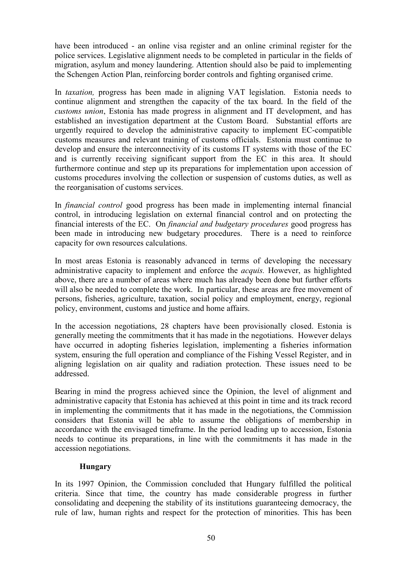have been introduced - an online visa register and an online criminal register for the police services. Legislative alignment needs to be completed in particular in the fields of migration, asylum and money laundering. Attention should also be paid to implementing the Schengen Action Plan, reinforcing border controls and fighting organised crime.

In *taxation,* progress has been made in aligning VAT legislation. Estonia needs to continue alignment and strengthen the capacity of the tax board. In the field of the *customs union*, Estonia has made progress in alignment and IT development, and has established an investigation department at the Custom Board. Substantial efforts are urgently required to develop the administrative capacity to implement EC-compatible customs measures and relevant training of customs officials. Estonia must continue to develop and ensure the interconnectivity of its customs IT systems with those of the EC and is currently receiving significant support from the EC in this area. It should furthermore continue and step up its preparations for implementation upon accession of customs procedures involving the collection or suspension of customs duties, as well as the reorganisation of customs services.

In *financial control* good progress has been made in implementing internal financial control, in introducing legislation on external financial control and on protecting the financial interests of the EC. On *financial and budgetary procedures* good progress has been made in introducing new budgetary procedures. There is a need to reinforce capacity for own resources calculations.

In most areas Estonia is reasonably advanced in terms of developing the necessary administrative capacity to implement and enforce the *acquis.* However, as highlighted above, there are a number of areas where much has already been done but further efforts will also be needed to complete the work. In particular, these areas are free movement of persons, fisheries, agriculture, taxation, social policy and employment, energy, regional policy, environment, customs and justice and home affairs.

In the accession negotiations, 28 chapters have been provisionally closed. Estonia is generally meeting the commitments that it has made in the negotiations. However delays have occurred in adopting fisheries legislation, implementing a fisheries information system, ensuring the full operation and compliance of the Fishing Vessel Register, and in aligning legislation on air quality and radiation protection. These issues need to be addressed.

Bearing in mind the progress achieved since the Opinion, the level of alignment and administrative capacity that Estonia has achieved at this point in time and its track record in implementing the commitments that it has made in the negotiations, the Commission considers that Estonia will be able to assume the obligations of membership in accordance with the envisaged timeframe. In the period leading up to accession, Estonia needs to continue its preparations, in line with the commitments it has made in the accession negotiations.

### **Hungary**

In its 1997 Opinion, the Commission concluded that Hungary fulfilled the political criteria. Since that time, the country has made considerable progress in further consolidating and deepening the stability of its institutions guaranteeing democracy, the rule of law, human rights and respect for the protection of minorities. This has been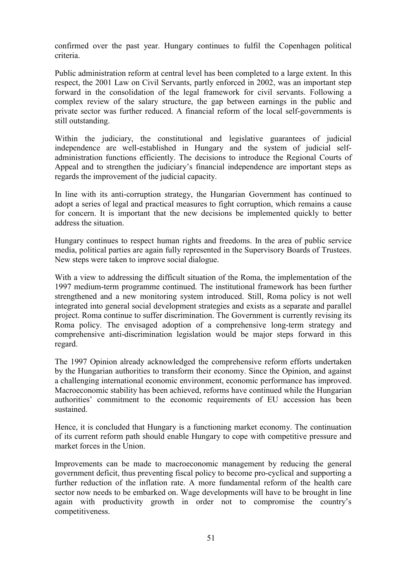confirmed over the past year. Hungary continues to fulfil the Copenhagen political criteria.

Public administration reform at central level has been completed to a large extent. In this respect, the 2001 Law on Civil Servants, partly enforced in 2002, was an important step forward in the consolidation of the legal framework for civil servants. Following a complex review of the salary structure, the gap between earnings in the public and private sector was further reduced. A financial reform of the local self-governments is still outstanding.

Within the judiciary, the constitutional and legislative guarantees of judicial independence are well-established in Hungary and the system of judicial selfadministration functions efficiently. The decisions to introduce the Regional Courts of Appeal and to strengthen the judiciary's financial independence are important steps as regards the improvement of the judicial capacity.

In line with its anti-corruption strategy, the Hungarian Government has continued to adopt a series of legal and practical measures to fight corruption, which remains a cause for concern. It is important that the new decisions be implemented quickly to better address the situation.

Hungary continues to respect human rights and freedoms. In the area of public service media, political parties are again fully represented in the Supervisory Boards of Trustees. New steps were taken to improve social dialogue.

With a view to addressing the difficult situation of the Roma, the implementation of the 1997 medium-term programme continued. The institutional framework has been further strengthened and a new monitoring system introduced. Still, Roma policy is not well integrated into general social development strategies and exists as a separate and parallel project. Roma continue to suffer discrimination. The Government is currently revising its Roma policy. The envisaged adoption of a comprehensive long-term strategy and comprehensive anti-discrimination legislation would be major steps forward in this regard.

The 1997 Opinion already acknowledged the comprehensive reform efforts undertaken by the Hungarian authorities to transform their economy. Since the Opinion, and against a challenging international economic environment, economic performance has improved. Macroeconomic stability has been achieved, reforms have continued while the Hungarian authorities' commitment to the economic requirements of EU accession has been sustained.

Hence, it is concluded that Hungary is a functioning market economy. The continuation of its current reform path should enable Hungary to cope with competitive pressure and market forces in the Union.

Improvements can be made to macroeconomic management by reducing the general government deficit, thus preventing fiscal policy to become pro-cyclical and supporting a further reduction of the inflation rate. A more fundamental reform of the health care sector now needs to be embarked on. Wage developments will have to be brought in line again with productivity growth in order not to compromise the country's competitiveness.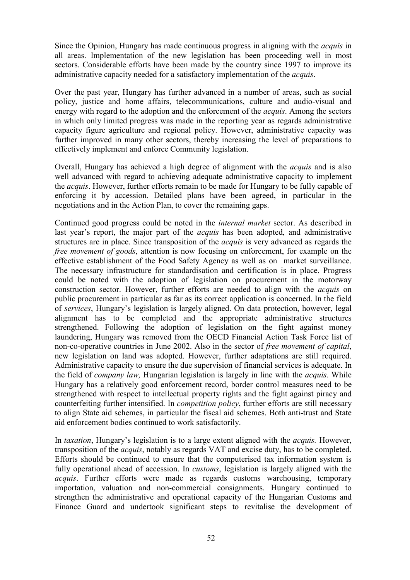Since the Opinion, Hungary has made continuous progress in aligning with the *acquis* in all areas. Implementation of the new legislation has been proceeding well in most sectors. Considerable efforts have been made by the country since 1997 to improve its administrative capacity needed for a satisfactory implementation of the *acquis*.

Over the past year, Hungary has further advanced in a number of areas, such as social policy, justice and home affairs, telecommunications, culture and audio-visual and energy with regard to the adoption and the enforcement of the *acquis*. Among the sectors in which only limited progress was made in the reporting year as regards administrative capacity figure agriculture and regional policy. However, administrative capacity was further improved in many other sectors, thereby increasing the level of preparations to effectively implement and enforce Community legislation.

Overall, Hungary has achieved a high degree of alignment with the *acquis* and is also well advanced with regard to achieving adequate administrative capacity to implement the *acquis*. However, further efforts remain to be made for Hungary to be fully capable of enforcing it by accession. Detailed plans have been agreed, in particular in the negotiations and in the Action Plan, to cover the remaining gaps.

Continued good progress could be noted in the *internal market* sector. As described in last year's report, the major part of the *acquis* has been adopted, and administrative structures are in place. Since transposition of the *acquis* is very advanced as regards the *free movement of goods*, attention is now focusing on enforcement, for example on the effective establishment of the Food Safety Agency as well as on market surveillance. The necessary infrastructure for standardisation and certification is in place. Progress could be noted with the adoption of legislation on procurement in the motorway construction sector. However, further efforts are needed to align with the *acquis* on public procurement in particular as far as its correct application is concerned. In the field of *services*, Hungary's legislation is largely aligned. On data protection, however, legal alignment has to be completed and the appropriate administrative structures strengthened. Following the adoption of legislation on the fight against money laundering, Hungary was removed from the OECD Financial Action Task Force list of non-co-operative countries in June 2002. Also in the sector of *free movement of capital*, new legislation on land was adopted. However, further adaptations are still required. Administrative capacity to ensure the due supervision of financial services is adequate. In the field of *company law,* Hungarian legislation is largely in line with the *acquis*. While Hungary has a relatively good enforcement record, border control measures need to be strengthened with respect to intellectual property rights and the fight against piracy and counterfeiting further intensified. In *competition policy*, further efforts are still necessary to align State aid schemes, in particular the fiscal aid schemes. Both anti-trust and State aid enforcement bodies continued to work satisfactorily.

In *taxation*, Hungary's legislation is to a large extent aligned with the *acquis.* However, transposition of the *acquis*, notably as regards VAT and excise duty, has to be completed. Efforts should be continued to ensure that the computerised tax information system is fully operational ahead of accession. In *customs*, legislation is largely aligned with the *acquis*. Further efforts were made as regards customs warehousing, temporary importation, valuation and non-commercial consignments. Hungary continued to strengthen the administrative and operational capacity of the Hungarian Customs and Finance Guard and undertook significant steps to revitalise the development of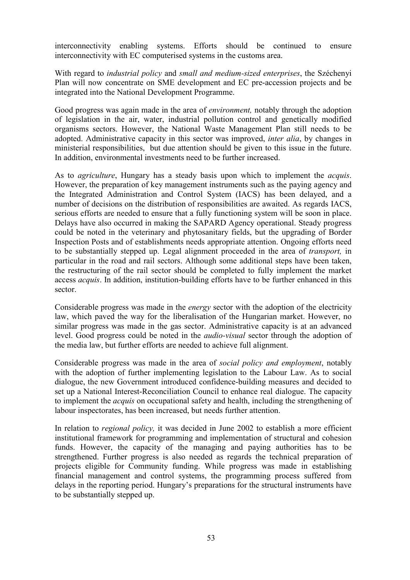interconnectivity enabling systems. Efforts should be continued to ensure interconnectivity with EC computerised systems in the customs area.

With regard to *industrial policy* and *small and medium-sized enterprises*, the Széchenyi Plan will now concentrate on SME development and EC pre-accession projects and be integrated into the National Development Programme.

Good progress was again made in the area of *environment,* notably through the adoption of legislation in the air, water, industrial pollution control and genetically modified organisms sectors. However, the National Waste Management Plan still needs to be adopted. Administrative capacity in this sector was improved, *inter alia*, by changes in ministerial responsibilities, but due attention should be given to this issue in the future. In addition, environmental investments need to be further increased.

As to *agriculture*, Hungary has a steady basis upon which to implement the *acquis*. However, the preparation of key management instruments such as the paying agency and the Integrated Administration and Control System (IACS) has been delayed, and a number of decisions on the distribution of responsibilities are awaited. As regards IACS, serious efforts are needed to ensure that a fully functioning system will be soon in place. Delays have also occurred in making the SAPARD Agency operational. Steady progress could be noted in the veterinary and phytosanitary fields, but the upgrading of Border Inspection Posts and of establishments needs appropriate attention. Ongoing efforts need to be substantially stepped up. Legal alignment proceeded in the area of *transport,* in particular in the road and rail sectors. Although some additional steps have been taken, the restructuring of the rail sector should be completed to fully implement the market access *acquis*. In addition, institution-building efforts have to be further enhanced in this sector.

Considerable progress was made in the *energy* sector with the adoption of the electricity law, which paved the way for the liberalisation of the Hungarian market. However, no similar progress was made in the gas sector. Administrative capacity is at an advanced level. Good progress could be noted in the *audio-visual* sector through the adoption of the media law, but further efforts are needed to achieve full alignment.

Considerable progress was made in the area of *social policy and employment*, notably with the adoption of further implementing legislation to the Labour Law. As to social dialogue, the new Government introduced confidence-building measures and decided to set up a National Interest-Reconciliation Council to enhance real dialogue. The capacity to implement the *acquis* on occupational safety and health, including the strengthening of labour inspectorates, has been increased, but needs further attention.

In relation to *regional policy,* it was decided in June 2002 to establish a more efficient institutional framework for programming and implementation of structural and cohesion funds. However, the capacity of the managing and paying authorities has to be strengthened. Further progress is also needed as regards the technical preparation of projects eligible for Community funding. While progress was made in establishing financial management and control systems, the programming process suffered from delays in the reporting period. Hungary's preparations for the structural instruments have to be substantially stepped up.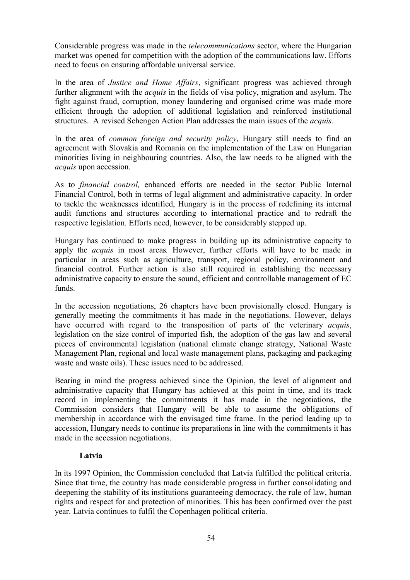Considerable progress was made in the *telecommunications* sector, where the Hungarian market was opened for competition with the adoption of the communications law. Efforts need to focus on ensuring affordable universal service.

In the area of *Justice and Home Affairs*, significant progress was achieved through further alignment with the *acquis* in the fields of visa policy, migration and asylum. The fight against fraud, corruption, money laundering and organised crime was made more efficient through the adoption of additional legislation and reinforced institutional structures. A revised Schengen Action Plan addresses the main issues of the *acquis.*

In the area of *common foreign and security policy*, Hungary still needs to find an agreement with Slovakia and Romania on the implementation of the Law on Hungarian minorities living in neighbouring countries. Also, the law needs to be aligned with the *acquis* upon accession.

As to *financial control,* enhanced efforts are needed in the sector Public Internal Financial Control, both in terms of legal alignment and administrative capacity. In order to tackle the weaknesses identified, Hungary is in the process of redefining its internal audit functions and structures according to international practice and to redraft the respective legislation. Efforts need, however, to be considerably stepped up.

Hungary has continued to make progress in building up its administrative capacity to apply the *acquis* in most areas*.* However, further efforts will have to be made in particular in areas such as agriculture, transport, regional policy, environment and financial control. Further action is also still required in establishing the necessary administrative capacity to ensure the sound, efficient and controllable management of EC funds.

In the accession negotiations, 26 chapters have been provisionally closed. Hungary is generally meeting the commitments it has made in the negotiations. However, delays have occurred with regard to the transposition of parts of the veterinary *acquis*, legislation on the size control of imported fish, the adoption of the gas law and several pieces of environmental legislation (national climate change strategy, National Waste Management Plan, regional and local waste management plans, packaging and packaging waste and waste oils). These issues need to be addressed.

Bearing in mind the progress achieved since the Opinion, the level of alignment and administrative capacity that Hungary has achieved at this point in time, and its track record in implementing the commitments it has made in the negotiations, the Commission considers that Hungary will be able to assume the obligations of membership in accordance with the envisaged time frame. In the period leading up to accession, Hungary needs to continue its preparations in line with the commitments it has made in the accession negotiations.

### **Latvia**

In its 1997 Opinion, the Commission concluded that Latvia fulfilled the political criteria. Since that time, the country has made considerable progress in further consolidating and deepening the stability of its institutions guaranteeing democracy, the rule of law, human rights and respect for and protection of minorities. This has been confirmed over the past year. Latvia continues to fulfil the Copenhagen political criteria.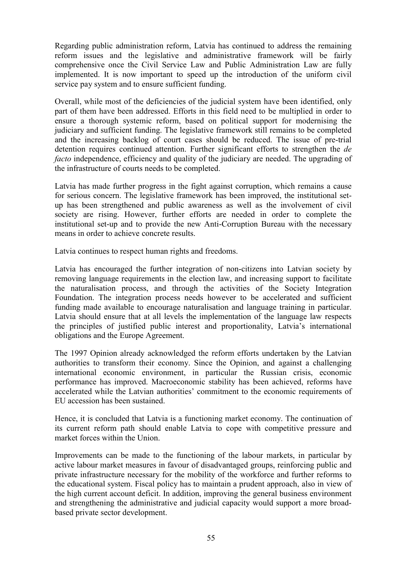Regarding public administration reform, Latvia has continued to address the remaining reform issues and the legislative and administrative framework will be fairly comprehensive once the Civil Service Law and Public Administration Law are fully implemented. It is now important to speed up the introduction of the uniform civil service pay system and to ensure sufficient funding.

Overall, while most of the deficiencies of the judicial system have been identified, only part of them have been addressed. Efforts in this field need to be multiplied in order to ensure a thorough systemic reform, based on political support for modernising the judiciary and sufficient funding. The legislative framework still remains to be completed and the increasing backlog of court cases should be reduced. The issue of pre-trial detention requires continued attention. Further significant efforts to strengthen the *de facto* independence, efficiency and quality of the judiciary are needed. The upgrading of the infrastructure of courts needs to be completed.

Latvia has made further progress in the fight against corruption, which remains a cause for serious concern. The legislative framework has been improved, the institutional setup has been strengthened and public awareness as well as the involvement of civil society are rising. However, further efforts are needed in order to complete the institutional set-up and to provide the new Anti-Corruption Bureau with the necessary means in order to achieve concrete results.

Latvia continues to respect human rights and freedoms.

Latvia has encouraged the further integration of non-citizens into Latvian society by removing language requirements in the election law, and increasing support to facilitate the naturalisation process, and through the activities of the Society Integration Foundation. The integration process needs however to be accelerated and sufficient funding made available to encourage naturalisation and language training in particular. Latvia should ensure that at all levels the implementation of the language law respects the principles of justified public interest and proportionality, Latvia's international obligations and the Europe Agreement.

The 1997 Opinion already acknowledged the reform efforts undertaken by the Latvian authorities to transform their economy. Since the Opinion, and against a challenging international economic environment, in particular the Russian crisis, economic performance has improved. Macroeconomic stability has been achieved, reforms have accelerated while the Latvian authorities' commitment to the economic requirements of EU accession has been sustained.

Hence, it is concluded that Latvia is a functioning market economy. The continuation of its current reform path should enable Latvia to cope with competitive pressure and market forces within the Union.

Improvements can be made to the functioning of the labour markets, in particular by active labour market measures in favour of disadvantaged groups, reinforcing public and private infrastructure necessary for the mobility of the workforce and further reforms to the educational system. Fiscal policy has to maintain a prudent approach, also in view of the high current account deficit. In addition, improving the general business environment and strengthening the administrative and judicial capacity would support a more broadbased private sector development.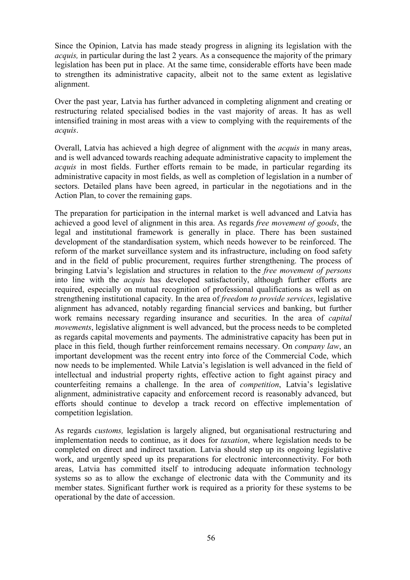Since the Opinion, Latvia has made steady progress in aligning its legislation with the *acquis,* in particular during the last 2 years. As a consequence the majority of the primary legislation has been put in place. At the same time, considerable efforts have been made to strengthen its administrative capacity, albeit not to the same extent as legislative alignment.

Over the past year, Latvia has further advanced in completing alignment and creating or restructuring related specialised bodies in the vast majority of areas. It has as well intensified training in most areas with a view to complying with the requirements of the *acquis*.

Overall, Latvia has achieved a high degree of alignment with the *acquis* in many areas, and is well advanced towards reaching adequate administrative capacity to implement the *acquis* in most fields. Further efforts remain to be made, in particular regarding its administrative capacity in most fields, as well as completion of legislation in a number of sectors. Detailed plans have been agreed, in particular in the negotiations and in the Action Plan, to cover the remaining gaps.

The preparation for participation in the internal market is well advanced and Latvia has achieved a good level of alignment in this area. As regards *free movement of goods*, the legal and institutional framework is generally in place. There has been sustained development of the standardisation system, which needs however to be reinforced. The reform of the market surveillance system and its infrastructure, including on food safety and in the field of public procurement, requires further strengthening. The process of bringing Latvia's legislation and structures in relation to the *free movement of persons* into line with the *acquis* has developed satisfactorily, although further efforts are required, especially on mutual recognition of professional qualifications as well as on strengthening institutional capacity. In the area of *freedom to provide services*, legislative alignment has advanced, notably regarding financial services and banking, but further work remains necessary regarding insurance and securities. In the area of *capital movements*, legislative alignment is well advanced, but the process needs to be completed as regards capital movements and payments. The administrative capacity has been put in place in this field, though further reinforcement remains necessary. On *company law*, an important development was the recent entry into force of the Commercial Code, which now needs to be implemented. While Latvia's legislation is well advanced in the field of intellectual and industrial property rights, effective action to fight against piracy and counterfeiting remains a challenge. In the area of *competition*, Latvia's legislative alignment, administrative capacity and enforcement record is reasonably advanced, but efforts should continue to develop a track record on effective implementation of competition legislation.

As regards *customs,* legislation is largely aligned, but organisational restructuring and implementation needs to continue, as it does for *taxation*, where legislation needs to be completed on direct and indirect taxation. Latvia should step up its ongoing legislative work, and urgently speed up its preparations for electronic interconnectivity. For both areas, Latvia has committed itself to introducing adequate information technology systems so as to allow the exchange of electronic data with the Community and its member states. Significant further work is required as a priority for these systems to be operational by the date of accession.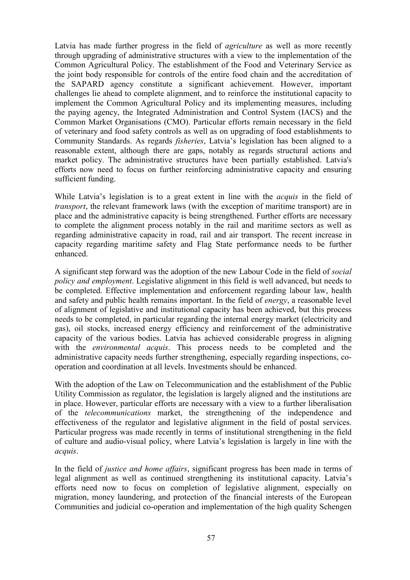Latvia has made further progress in the field of *agriculture* as well as more recently through upgrading of administrative structures with a view to the implementation of the Common Agricultural Policy. The establishment of the Food and Veterinary Service as the joint body responsible for controls of the entire food chain and the accreditation of the SAPARD agency constitute a significant achievement. However, important challenges lie ahead to complete alignment, and to reinforce the institutional capacity to implement the Common Agricultural Policy and its implementing measures, including the paying agency, the Integrated Administration and Control System (IACS) and the Common Market Organisations (CMO). Particular efforts remain necessary in the field of veterinary and food safety controls as well as on upgrading of food establishments to Community Standards. As regards *fisheries*, Latvia's legislation has been aligned to a reasonable extent, although there are gaps, notably as regards structural actions and market policy. The administrative structures have been partially established. Latvia's efforts now need to focus on further reinforcing administrative capacity and ensuring sufficient funding.

While Latvia's legislation is to a great extent in line with the *acquis* in the field of *transport*, the relevant framework laws (with the exception of maritime transport) are in place and the administrative capacity is being strengthened. Further efforts are necessary to complete the alignment process notably in the rail and maritime sectors as well as regarding administrative capacity in road, rail and air transport. The recent increase in capacity regarding maritime safety and Flag State performance needs to be further enhanced.

A significant step forward was the adoption of the new Labour Code in the field of *social policy and employment*. Legislative alignment in this field is well advanced, but needs to be completed. Effective implementation and enforcement regarding labour law, health and safety and public health remains important. In the field of *energy*, a reasonable level of alignment of legislative and institutional capacity has been achieved, but this process needs to be completed, in particular regarding the internal energy market (electricity and gas), oil stocks, increased energy efficiency and reinforcement of the administrative capacity of the various bodies. Latvia has achieved considerable progress in aligning with the *environmental acquis*. This process needs to be completed and the administrative capacity needs further strengthening, especially regarding inspections, cooperation and coordination at all levels. Investments should be enhanced.

With the adoption of the Law on Telecommunication and the establishment of the Public Utility Commission as regulator, the legislation is largely aligned and the institutions are in place. However, particular efforts are necessary with a view to a further liberalisation of the *telecommunications* market, the strengthening of the independence and effectiveness of the regulator and legislative alignment in the field of postal services. Particular progress was made recently in terms of institutional strengthening in the field of culture and audio-visual policy, where Latvia's legislation is largely in line with the *acquis*.

In the field of *justice and home affairs*, significant progress has been made in terms of legal alignment as well as continued strengthening its institutional capacity. Latvia's efforts need now to focus on completion of legislative alignment, especially on migration, money laundering, and protection of the financial interests of the European Communities and judicial co-operation and implementation of the high quality Schengen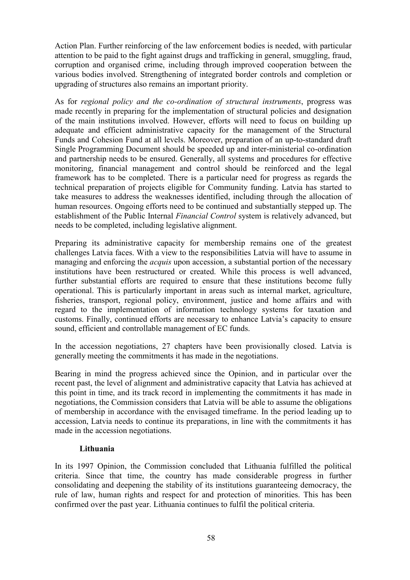Action Plan. Further reinforcing of the law enforcement bodies is needed, with particular attention to be paid to the fight against drugs and trafficking in general, smuggling, fraud, corruption and organised crime, including through improved cooperation between the various bodies involved. Strengthening of integrated border controls and completion or upgrading of structures also remains an important priority.

As for *regional policy and the co-ordination of structural instruments*, progress was made recently in preparing for the implementation of structural policies and designation of the main institutions involved. However, efforts will need to focus on building up adequate and efficient administrative capacity for the management of the Structural Funds and Cohesion Fund at all levels. Moreover, preparation of an up-to-standard draft Single Programming Document should be speeded up and inter-ministerial co-ordination and partnership needs to be ensured. Generally, all systems and procedures for effective monitoring, financial management and control should be reinforced and the legal framework has to be completed. There is a particular need for progress as regards the technical preparation of projects eligible for Community funding. Latvia has started to take measures to address the weaknesses identified, including through the allocation of human resources. Ongoing efforts need to be continued and substantially stepped up. The establishment of the Public Internal *Financial Control* system is relatively advanced, but needs to be completed, including legislative alignment.

Preparing its administrative capacity for membership remains one of the greatest challenges Latvia faces. With a view to the responsibilities Latvia will have to assume in managing and enforcing the *acquis* upon accession, a substantial portion of the necessary institutions have been restructured or created. While this process is well advanced, further substantial efforts are required to ensure that these institutions become fully operational. This is particularly important in areas such as internal market, agriculture, fisheries, transport, regional policy, environment, justice and home affairs and with regard to the implementation of information technology systems for taxation and customs. Finally, continued efforts are necessary to enhance Latvia's capacity to ensure sound, efficient and controllable management of EC funds.

In the accession negotiations, 27 chapters have been provisionally closed. Latvia is generally meeting the commitments it has made in the negotiations.

Bearing in mind the progress achieved since the Opinion, and in particular over the recent past, the level of alignment and administrative capacity that Latvia has achieved at this point in time, and its track record in implementing the commitments it has made in negotiations, the Commission considers that Latvia will be able to assume the obligations of membership in accordance with the envisaged timeframe. In the period leading up to accession, Latvia needs to continue its preparations, in line with the commitments it has made in the accession negotiations.

### **Lithuania**

In its 1997 Opinion, the Commission concluded that Lithuania fulfilled the political criteria. Since that time, the country has made considerable progress in further consolidating and deepening the stability of its institutions guaranteeing democracy, the rule of law, human rights and respect for and protection of minorities. This has been confirmed over the past year. Lithuania continues to fulfil the political criteria.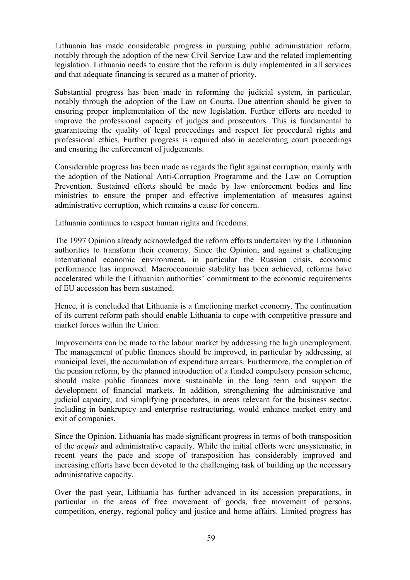Lithuania has made considerable progress in pursuing public administration reform, notably through the adoption of the new Civil Service Law and the related implementing legislation. Lithuania needs to ensure that the reform is duly implemented in all services and that adequate financing is secured as a matter of priority.

Substantial progress has been made in reforming the judicial system, in particular, notably through the adoption of the Law on Courts. Due attention should be given to ensuring proper implementation of the new legislation. Further efforts are needed to improve the professional capacity of judges and prosecutors. This is fundamental to guaranteeing the quality of legal proceedings and respect for procedural rights and professional ethics. Further progress is required also in accelerating court proceedings and ensuring the enforcement of judgements.

Considerable progress has been made as regards the fight against corruption, mainly with the adoption of the National Anti-Corruption Programme and the Law on Corruption Prevention. Sustained efforts should be made by law enforcement bodies and line ministries to ensure the proper and effective implementation of measures against administrative corruption, which remains a cause for concern.

Lithuania continues to respect human rights and freedoms.

The 1997 Opinion already acknowledged the reform efforts undertaken by the Lithuanian authorities to transform their economy. Since the Opinion, and against a challenging international economic environment, in particular the Russian crisis, economic performance has improved. Macroeconomic stability has been achieved, reforms have accelerated while the Lithuanian authorities' commitment to the economic requirements of EU accession has been sustained.

Hence, it is concluded that Lithuania is a functioning market economy. The continuation of its current reform path should enable Lithuania to cope with competitive pressure and market forces within the Union.

Improvements can be made to the labour market by addressing the high unemployment. The management of public finances should be improved, in particular by addressing, at municipal level, the accumulation of expenditure arrears. Furthermore, the completion of the pension reform, by the planned introduction of a funded compulsory pension scheme, should make public finances more sustainable in the long term and support the development of financial markets. In addition, strengthening the administrative and judicial capacity, and simplifying procedures, in areas relevant for the business sector, including in bankruptcy and enterprise restructuring, would enhance market entry and exit of companies.

Since the Opinion, Lithuania has made significant progress in terms of both transposition of the *acquis* and administrative capacity. While the initial efforts were unsystematic, in recent years the pace and scope of transposition has considerably improved and increasing efforts have been devoted to the challenging task of building up the necessary administrative capacity.

Over the past year, Lithuania has further advanced in its accession preparations, in particular in the areas of free movement of goods, free movement of persons, competition, energy, regional policy and justice and home affairs. Limited progress has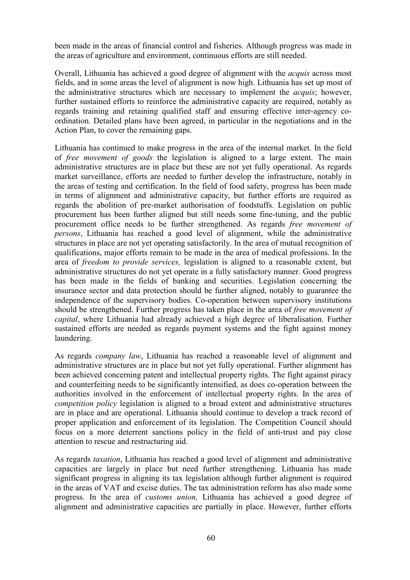been made in the areas of financial control and fisheries. Although progress was made in the areas of agriculture and environment, continuous efforts are still needed.

Overall, Lithuania has achieved a good degree of alignment with the *acquis* across most fields, and in some areas the level of alignment is now high. Lithuania has set up most of the administrative structures which are necessary to implement the *acquis*; however, further sustained efforts to reinforce the administrative capacity are required, notably as regards training and retaining qualified staff and ensuring effective inter-agency coordination. Detailed plans have been agreed, in particular in the negotiations and in the Action Plan, to cover the remaining gaps.

Lithuania has continued to make progress in the area of the internal market. In the field of *free movement of goods* the legislation is aligned to a large extent. The main administrative structures are in place but these are not yet fully operational. As regards market surveillance, efforts are needed to further develop the infrastructure, notably in the areas of testing and certification. In the field of food safety, progress has been made in terms of alignment and administrative capacity, but further efforts are required as regards the abolition of pre-market authorisation of foodstuffs. Legislation on public procurement has been further aligned but still needs some fine-tuning, and the public procurement office needs to be further strengthened. As regards *free movement of persons*, Lithuania has reached a good level of alignment, while the administrative structures in place are not yet operating satisfactorily. In the area of mutual recognition of qualifications, major efforts remain to be made in the area of medical professions. In the area of *freedom to provide services,* legislation is aligned to a reasonable extent, but administrative structures do not yet operate in a fully satisfactory manner. Good progress has been made in the fields of banking and securities. Legislation concerning the insurance sector and data protection should be further aligned, notably to guarantee the independence of the supervisory bodies. Co-operation between supervisory institutions should be strengthened. Further progress has taken place in the area of *free movement of capital*, where Lithuania had already achieved a high degree of liberalisation. Further sustained efforts are needed as regards payment systems and the fight against money laundering.

As regards *company law*, Lithuania has reached a reasonable level of alignment and administrative structures are in place but not yet fully operational. Further alignment has been achieved concerning patent and intellectual property rights. The fight against piracy and counterfeiting needs to be significantly intensified, as does co-operation between the authorities involved in the enforcement of intellectual property rights. In the area of *competition policy* legislation is aligned to a broad extent and administrative structures are in place and are operational. Lithuania should continue to develop a track record of proper application and enforcement of its legislation. The Competition Council should focus on a more deterrent sanctions policy in the field of anti-trust and pay close attention to rescue and restructuring aid.

As regards *taxation*, Lithuania has reached a good level of alignment and administrative capacities are largely in place but need further strengthening. Lithuania has made significant progress in aligning its tax legislation although further alignment is required in the areas of VAT and excise duties. The tax administration reform has also made some progress. In the area of *customs union,* Lithuania has achieved a good degree of alignment and administrative capacities are partially in place. However, further efforts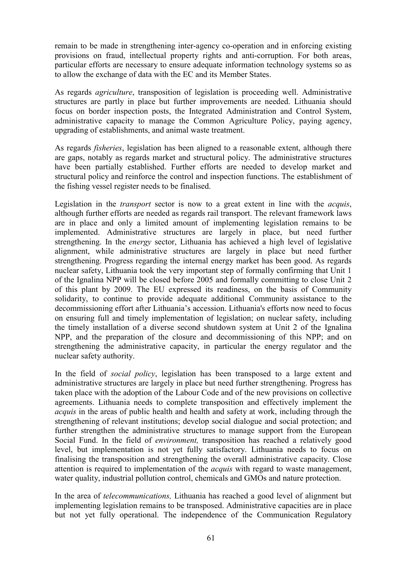remain to be made in strengthening inter-agency co-operation and in enforcing existing provisions on fraud, intellectual property rights and anti-corruption. For both areas, particular efforts are necessary to ensure adequate information technology systems so as to allow the exchange of data with the EC and its Member States.

As regards *agriculture*, transposition of legislation is proceeding well. Administrative structures are partly in place but further improvements are needed. Lithuania should focus on border inspection posts, the Integrated Administration and Control System, administrative capacity to manage the Common Agriculture Policy, paying agency, upgrading of establishments, and animal waste treatment.

As regards *fisheries*, legislation has been aligned to a reasonable extent, although there are gaps, notably as regards market and structural policy. The administrative structures have been partially established. Further efforts are needed to develop market and structural policy and reinforce the control and inspection functions. The establishment of the fishing vessel register needs to be finalised.

Legislation in the *transport* sector is now to a great extent in line with the *acquis*, although further efforts are needed as regards rail transport. The relevant framework laws are in place and only a limited amount of implementing legislation remains to be implemented. Administrative structures are largely in place, but need further strengthening. In the *energy* sector, Lithuania has achieved a high level of legislative alignment, while administrative structures are largely in place but need further strengthening. Progress regarding the internal energy market has been good. As regards nuclear safety, Lithuania took the very important step of formally confirming that Unit 1 of the Ignalina NPP will be closed before 2005 and formally committing to close Unit 2 of this plant by 2009. The EU expressed its readiness, on the basis of Community solidarity, to continue to provide adequate additional Community assistance to the decommissioning effort after Lithuania's accession. Lithuania's efforts now need to focus on ensuring full and timely implementation of legislation; on nuclear safety, including the timely installation of a diverse second shutdown system at Unit 2 of the Ignalina NPP, and the preparation of the closure and decommissioning of this NPP; and on strengthening the administrative capacity, in particular the energy regulator and the nuclear safety authority.

In the field of *social policy*, legislation has been transposed to a large extent and administrative structures are largely in place but need further strengthening. Progress has taken place with the adoption of the Labour Code and of the new provisions on collective agreements. Lithuania needs to complete transposition and effectively implement the *acquis* in the areas of public health and health and safety at work, including through the strengthening of relevant institutions; develop social dialogue and social protection; and further strengthen the administrative structures to manage support from the European Social Fund. In the field of *environment,* transposition has reached a relatively good level, but implementation is not yet fully satisfactory. Lithuania needs to focus on finalising the transposition and strengthening the overall administrative capacity. Close attention is required to implementation of the *acquis* with regard to waste management, water quality, industrial pollution control, chemicals and GMOs and nature protection.

In the area of *telecommunications,* Lithuania has reached a good level of alignment but implementing legislation remains to be transposed. Administrative capacities are in place but not yet fully operational. The independence of the Communication Regulatory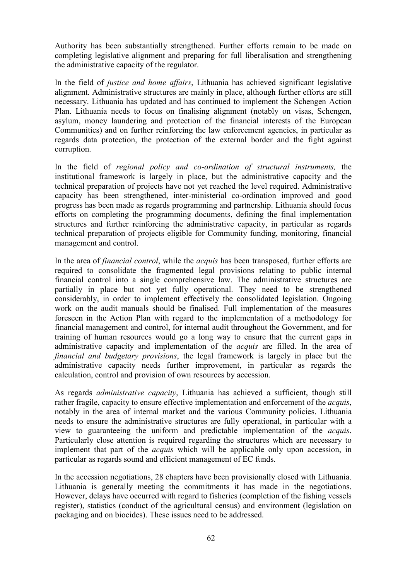Authority has been substantially strengthened. Further efforts remain to be made on completing legislative alignment and preparing for full liberalisation and strengthening the administrative capacity of the regulator.

In the field of *justice and home affairs*, Lithuania has achieved significant legislative alignment. Administrative structures are mainly in place, although further efforts are still necessary. Lithuania has updated and has continued to implement the Schengen Action Plan. Lithuania needs to focus on finalising alignment (notably on visas, Schengen, asylum, money laundering and protection of the financial interests of the European Communities) and on further reinforcing the law enforcement agencies, in particular as regards data protection, the protection of the external border and the fight against corruption.

In the field of *regional policy and co-ordination of structural instruments,* the institutional framework is largely in place, but the administrative capacity and the technical preparation of projects have not yet reached the level required. Administrative capacity has been strengthened, inter-ministerial co-ordination improved and good progress has been made as regards programming and partnership. Lithuania should focus efforts on completing the programming documents, defining the final implementation structures and further reinforcing the administrative capacity, in particular as regards technical preparation of projects eligible for Community funding, monitoring, financial management and control.

In the area of *financial control*, while the *acquis* has been transposed, further efforts are required to consolidate the fragmented legal provisions relating to public internal financial control into a single comprehensive law. The administrative structures are partially in place but not yet fully operational. They need to be strengthened considerably, in order to implement effectively the consolidated legislation. Ongoing work on the audit manuals should be finalised. Full implementation of the measures foreseen in the Action Plan with regard to the implementation of a methodology for financial management and control, for internal audit throughout the Government, and for training of human resources would go a long way to ensure that the current gaps in administrative capacity and implementation of the *acquis* are filled. In the area of *financial and budgetary provisions*, the legal framework is largely in place but the administrative capacity needs further improvement, in particular as regards the calculation, control and provision of own resources by accession.

As regards *administrative capacity*, Lithuania has achieved a sufficient, though still rather fragile, capacity to ensure effective implementation and enforcement of the *acquis*, notably in the area of internal market and the various Community policies. Lithuania needs to ensure the administrative structures are fully operational, in particular with a view to guaranteeing the uniform and predictable implementation of the *acquis*. Particularly close attention is required regarding the structures which are necessary to implement that part of the *acquis* which will be applicable only upon accession, in particular as regards sound and efficient management of EC funds.

In the accession negotiations, 28 chapters have been provisionally closed with Lithuania. Lithuania is generally meeting the commitments it has made in the negotiations. However, delays have occurred with regard to fisheries (completion of the fishing vessels register), statistics (conduct of the agricultural census) and environment (legislation on packaging and on biocides). These issues need to be addressed.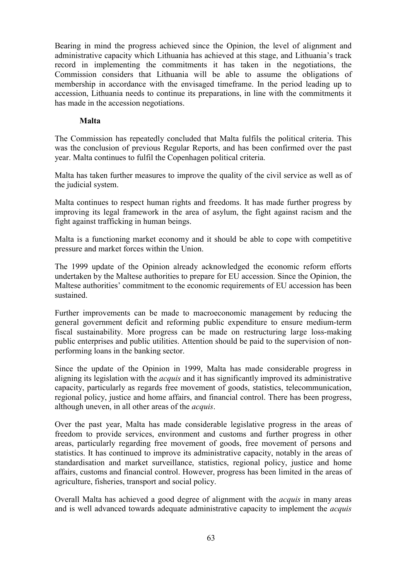Bearing in mind the progress achieved since the Opinion, the level of alignment and administrative capacity which Lithuania has achieved at this stage, and Lithuania's track record in implementing the commitments it has taken in the negotiations, the Commission considers that Lithuania will be able to assume the obligations of membership in accordance with the envisaged timeframe. In the period leading up to accession, Lithuania needs to continue its preparations, in line with the commitments it has made in the accession negotiations.

## **Malta**

The Commission has repeatedly concluded that Malta fulfils the political criteria. This was the conclusion of previous Regular Reports, and has been confirmed over the past year. Malta continues to fulfil the Copenhagen political criteria.

Malta has taken further measures to improve the quality of the civil service as well as of the judicial system.

Malta continues to respect human rights and freedoms. It has made further progress by improving its legal framework in the area of asylum, the fight against racism and the fight against trafficking in human beings.

Malta is a functioning market economy and it should be able to cope with competitive pressure and market forces within the Union.

The 1999 update of the Opinion already acknowledged the economic reform efforts undertaken by the Maltese authorities to prepare for EU accession. Since the Opinion, the Maltese authorities' commitment to the economic requirements of EU accession has been sustained.

Further improvements can be made to macroeconomic management by reducing the general government deficit and reforming public expenditure to ensure medium-term fiscal sustainability. More progress can be made on restructuring large loss-making public enterprises and public utilities. Attention should be paid to the supervision of nonperforming loans in the banking sector.

Since the update of the Opinion in 1999, Malta has made considerable progress in aligning its legislation with the *acquis* and it has significantly improved its administrative capacity, particularly as regards free movement of goods, statistics, telecommunication, regional policy, justice and home affairs, and financial control. There has been progress, although uneven, in all other areas of the *acquis*.

Over the past year, Malta has made considerable legislative progress in the areas of freedom to provide services, environment and customs and further progress in other areas, particularly regarding free movement of goods, free movement of persons and statistics. It has continued to improve its administrative capacity, notably in the areas of standardisation and market surveillance, statistics, regional policy, justice and home affairs, customs and financial control. However, progress has been limited in the areas of agriculture, fisheries, transport and social policy.

Overall Malta has achieved a good degree of alignment with the *acquis* in many areas and is well advanced towards adequate administrative capacity to implement the *acquis*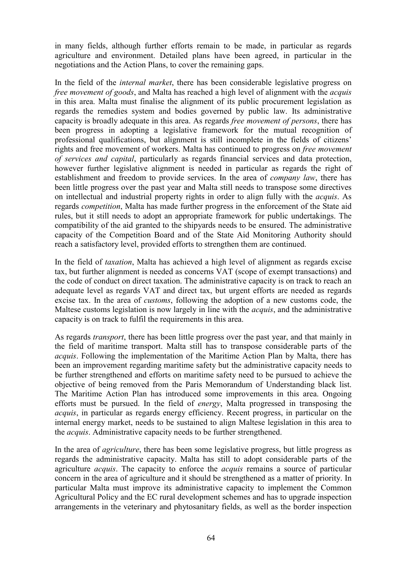in many fields, although further efforts remain to be made, in particular as regards agriculture and environment. Detailed plans have been agreed, in particular in the negotiations and the Action Plans, to cover the remaining gaps.

In the field of the *internal market*, there has been considerable legislative progress on *free movement of goods*, and Malta has reached a high level of alignment with the *acquis* in this area. Malta must finalise the alignment of its public procurement legislation as regards the remedies system and bodies governed by public law. Its administrative capacity is broadly adequate in this area. As regards *free movement of persons*, there has been progress in adopting a legislative framework for the mutual recognition of professional qualifications, but alignment is still incomplete in the fields of citizens' rights and free movement of workers. Malta has continued to progress on *free movement of services and capital*, particularly as regards financial services and data protection, however further legislative alignment is needed in particular as regards the right of establishment and freedom to provide services. In the area of *company law*, there has been little progress over the past year and Malta still needs to transpose some directives on intellectual and industrial property rights in order to align fully with the *acquis*. As regards *competition*, Malta has made further progress in the enforcement of the State aid rules, but it still needs to adopt an appropriate framework for public undertakings. The compatibility of the aid granted to the shipyards needs to be ensured. The administrative capacity of the Competition Board and of the State Aid Monitoring Authority should reach a satisfactory level, provided efforts to strengthen them are continued.

In the field of *taxation*, Malta has achieved a high level of alignment as regards excise tax, but further alignment is needed as concerns VAT (scope of exempt transactions) and the code of conduct on direct taxation. The administrative capacity is on track to reach an adequate level as regards VAT and direct tax, but urgent efforts are needed as regards excise tax. In the area of *customs*, following the adoption of a new customs code, the Maltese customs legislation is now largely in line with the *acquis*, and the administrative capacity is on track to fulfil the requirements in this area.

As regards *transport*, there has been little progress over the past year, and that mainly in the field of maritime transport. Malta still has to transpose considerable parts of the *acquis*. Following the implementation of the Maritime Action Plan by Malta, there has been an improvement regarding maritime safety but the administrative capacity needs to be further strengthened and efforts on maritime safety need to be pursued to achieve the objective of being removed from the Paris Memorandum of Understanding black list. The Maritime Action Plan has introduced some improvements in this area. Ongoing efforts must be pursued. In the field of *energy*, Malta progressed in transposing the *acquis*, in particular as regards energy efficiency. Recent progress, in particular on the internal energy market, needs to be sustained to align Maltese legislation in this area to the *acquis*. Administrative capacity needs to be further strengthened.

In the area of *agriculture*, there has been some legislative progress, but little progress as regards the administrative capacity. Malta has still to adopt considerable parts of the agriculture *acquis*. The capacity to enforce the *acquis* remains a source of particular concern in the area of agriculture and it should be strengthened as a matter of priority. In particular Malta must improve its administrative capacity to implement the Common Agricultural Policy and the EC rural development schemes and has to upgrade inspection arrangements in the veterinary and phytosanitary fields, as well as the border inspection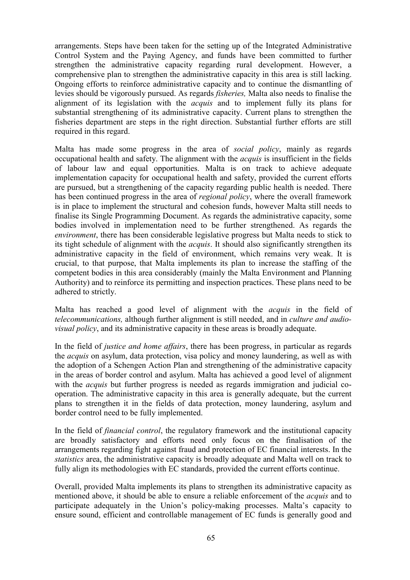arrangements. Steps have been taken for the setting up of the Integrated Administrative Control System and the Paying Agency, and funds have been committed to further strengthen the administrative capacity regarding rural development. However, a comprehensive plan to strengthen the administrative capacity in this area is still lacking. Ongoing efforts to reinforce administrative capacity and to continue the dismantling of levies should be vigorously pursued. As regards *fisheries,* Malta also needs to finalise the alignment of its legislation with the *acquis* and to implement fully its plans for substantial strengthening of its administrative capacity. Current plans to strengthen the fisheries department are steps in the right direction. Substantial further efforts are still required in this regard.

Malta has made some progress in the area of *social policy*, mainly as regards occupational health and safety. The alignment with the *acquis* is insufficient in the fields of labour law and equal opportunities. Malta is on track to achieve adequate implementation capacity for occupational health and safety, provided the current efforts are pursued, but a strengthening of the capacity regarding public health is needed. There has been continued progress in the area of *regional policy*, where the overall framework is in place to implement the structural and cohesion funds, however Malta still needs to finalise its Single Programming Document. As regards the administrative capacity, some bodies involved in implementation need to be further strengthened. As regards the *environment*, there has been considerable legislative progress but Malta needs to stick to its tight schedule of alignment with the *acquis*. It should also significantly strengthen its administrative capacity in the field of environment, which remains very weak. It is crucial, to that purpose, that Malta implements its plan to increase the staffing of the competent bodies in this area considerably (mainly the Malta Environment and Planning Authority) and to reinforce its permitting and inspection practices. These plans need to be adhered to strictly.

Malta has reached a good level of alignment with the *acquis* in the field of *telecommunications,* although further alignment is still needed, and in *culture and audiovisual policy*, and its administrative capacity in these areas is broadly adequate.

In the field of *justice and home affairs*, there has been progress, in particular as regards the *acquis* on asylum, data protection, visa policy and money laundering, as well as with the adoption of a Schengen Action Plan and strengthening of the administrative capacity in the areas of border control and asylum. Malta has achieved a good level of alignment with the *acquis* but further progress is needed as regards immigration and judicial cooperation. The administrative capacity in this area is generally adequate, but the current plans to strengthen it in the fields of data protection, money laundering, asylum and border control need to be fully implemented.

In the field of *financial control*, the regulatory framework and the institutional capacity are broadly satisfactory and efforts need only focus on the finalisation of the arrangements regarding fight against fraud and protection of EC financial interests. In the *statistics* area, the administrative capacity is broadly adequate and Malta well on track to fully align its methodologies with EC standards, provided the current efforts continue.

Overall, provided Malta implements its plans to strengthen its administrative capacity as mentioned above, it should be able to ensure a reliable enforcement of the *acquis* and to participate adequately in the Union's policy-making processes. Malta's capacity to ensure sound, efficient and controllable management of EC funds is generally good and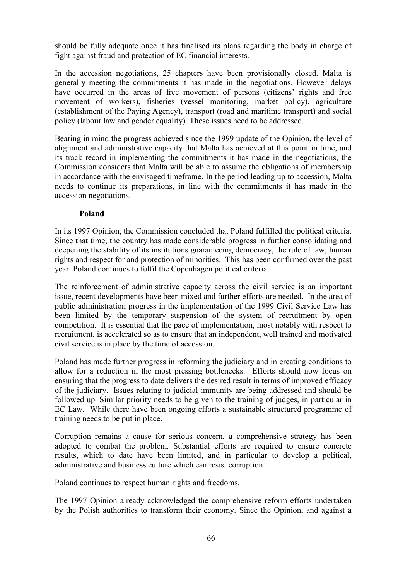should be fully adequate once it has finalised its plans regarding the body in charge of fight against fraud and protection of EC financial interests.

In the accession negotiations, 25 chapters have been provisionally closed. Malta is generally meeting the commitments it has made in the negotiations. However delays have occurred in the areas of free movement of persons (citizens' rights and free movement of workers), fisheries (vessel monitoring, market policy), agriculture (establishment of the Paying Agency), transport (road and maritime transport) and social policy (labour law and gender equality). These issues need to be addressed.

Bearing in mind the progress achieved since the 1999 update of the Opinion, the level of alignment and administrative capacity that Malta has achieved at this point in time, and its track record in implementing the commitments it has made in the negotiations, the Commission considers that Malta will be able to assume the obligations of membership in accordance with the envisaged timeframe. In the period leading up to accession, Malta needs to continue its preparations, in line with the commitments it has made in the accession negotiations.

# **Poland**

In its 1997 Opinion, the Commission concluded that Poland fulfilled the political criteria. Since that time, the country has made considerable progress in further consolidating and deepening the stability of its institutions guaranteeing democracy, the rule of law, human rights and respect for and protection of minorities. This has been confirmed over the past year. Poland continues to fulfil the Copenhagen political criteria.

The reinforcement of administrative capacity across the civil service is an important issue, recent developments have been mixed and further efforts are needed. In the area of public administration progress in the implementation of the 1999 Civil Service Law has been limited by the temporary suspension of the system of recruitment by open competition. It is essential that the pace of implementation, most notably with respect to recruitment, is accelerated so as to ensure that an independent, well trained and motivated civil service is in place by the time of accession.

Poland has made further progress in reforming the judiciary and in creating conditions to allow for a reduction in the most pressing bottlenecks. Efforts should now focus on ensuring that the progress to date delivers the desired result in terms of improved efficacy of the judiciary. Issues relating to judicial immunity are being addressed and should be followed up. Similar priority needs to be given to the training of judges, in particular in EC Law. While there have been ongoing efforts a sustainable structured programme of training needs to be put in place.

Corruption remains a cause for serious concern, a comprehensive strategy has been adopted to combat the problem. Substantial efforts are required to ensure concrete results, which to date have been limited, and in particular to develop a political, administrative and business culture which can resist corruption.

Poland continues to respect human rights and freedoms.

The 1997 Opinion already acknowledged the comprehensive reform efforts undertaken by the Polish authorities to transform their economy. Since the Opinion, and against a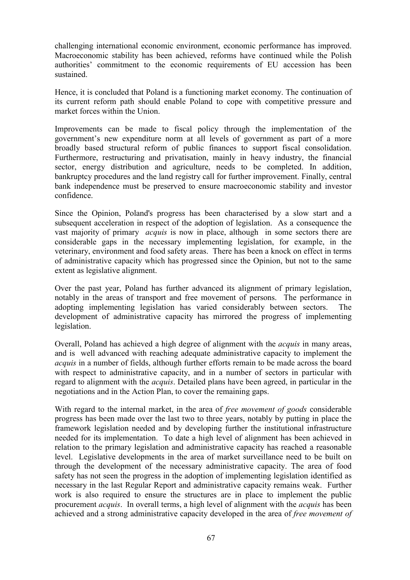challenging international economic environment, economic performance has improved. Macroeconomic stability has been achieved, reforms have continued while the Polish authorities' commitment to the economic requirements of EU accession has been sustained.

Hence, it is concluded that Poland is a functioning market economy. The continuation of its current reform path should enable Poland to cope with competitive pressure and market forces within the Union.

Improvements can be made to fiscal policy through the implementation of the government's new expenditure norm at all levels of government as part of a more broadly based structural reform of public finances to support fiscal consolidation. Furthermore, restructuring and privatisation, mainly in heavy industry, the financial sector, energy distribution and agriculture, needs to be completed. In addition, bankruptcy procedures and the land registry call for further improvement. Finally, central bank independence must be preserved to ensure macroeconomic stability and investor confidence.

Since the Opinion, Poland's progress has been characterised by a slow start and a subsequent acceleration in respect of the adoption of legislation. As a consequence the vast majority of primary *acquis* is now in place, although in some sectors there are considerable gaps in the necessary implementing legislation, for example, in the veterinary, environment and food safety areas. There has been a knock on effect in terms of administrative capacity which has progressed since the Opinion, but not to the same extent as legislative alignment.

Over the past year, Poland has further advanced its alignment of primary legislation, notably in the areas of transport and free movement of persons. The performance in adopting implementing legislation has varied considerably between sectors. The development of administrative capacity has mirrored the progress of implementing legislation.

Overall, Poland has achieved a high degree of alignment with the *acquis* in many areas, and is well advanced with reaching adequate administrative capacity to implement the *acquis* in a number of fields, although further efforts remain to be made across the board with respect to administrative capacity, and in a number of sectors in particular with regard to alignment with the *acquis*. Detailed plans have been agreed, in particular in the negotiations and in the Action Plan, to cover the remaining gaps.

With regard to the internal market, in the area of *free movement of goods* considerable progress has been made over the last two to three years, notably by putting in place the framework legislation needed and by developing further the institutional infrastructure needed for its implementation. To date a high level of alignment has been achieved in relation to the primary legislation and administrative capacity has reached a reasonable level. Legislative developments in the area of market surveillance need to be built on through the development of the necessary administrative capacity. The area of food safety has not seen the progress in the adoption of implementing legislation identified as necessary in the last Regular Report and administrative capacity remains weak. Further work is also required to ensure the structures are in place to implement the public procurement *acquis*. In overall terms, a high level of alignment with the *acquis* has been achieved and a strong administrative capacity developed in the area of *free movement of*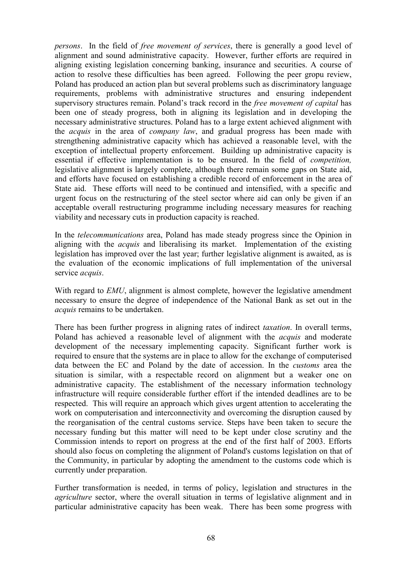*persons*. In the field of *free movement of services*, there is generally a good level of alignment and sound administrative capacity. However, further efforts are required in aligning existing legislation concerning banking, insurance and securities. A course of action to resolve these difficulties has been agreed. Following the peer gropu review, Poland has produced an action plan but several problems such as discriminatory language requirements, problems with administrative structures and ensuring independent supervisory structures remain. Poland's track record in the *free movement of capital* has been one of steady progress, both in aligning its legislation and in developing the necessary administrative structures. Poland has to a large extent achieved alignment with the *acquis* in the area of *company law*, and gradual progress has been made with strengthening administrative capacity which has achieved a reasonable level, with the exception of intellectual property enforcement. Building up administrative capacity is essential if effective implementation is to be ensured. In the field of *competition,* legislative alignment is largely complete, although there remain some gaps on State aid, and efforts have focused on establishing a credible record of enforcement in the area of State aid. These efforts will need to be continued and intensified, with a specific and urgent focus on the restructuring of the steel sector where aid can only be given if an acceptable overall restructuring programme including necessary measures for reaching viability and necessary cuts in production capacity is reached.

In the *telecommunications* area, Poland has made steady progress since the Opinion in aligning with the *acquis* and liberalising its market. Implementation of the existing legislation has improved over the last year; further legislative alignment is awaited, as is the evaluation of the economic implications of full implementation of the universal service *acquis*.

With regard to *EMU*, alignment is almost complete, however the legislative amendment necessary to ensure the degree of independence of the National Bank as set out in the *acquis* remains to be undertaken.

There has been further progress in aligning rates of indirect *taxation*. In overall terms, Poland has achieved a reasonable level of alignment with the *acquis* and moderate development of the necessary implementing capacity. Significant further work is required to ensure that the systems are in place to allow for the exchange of computerised data between the EC and Poland by the date of accession. In the *customs* area the situation is similar, with a respectable record on alignment but a weaker one on administrative capacity. The establishment of the necessary information technology infrastructure will require considerable further effort if the intended deadlines are to be respected. This will require an approach which gives urgent attention to accelerating the work on computerisation and interconnectivity and overcoming the disruption caused by the reorganisation of the central customs service. Steps have been taken to secure the necessary funding but this matter will need to be kept under close scrutiny and the Commission intends to report on progress at the end of the first half of 2003. Efforts should also focus on completing the alignment of Poland's customs legislation on that of the Community, in particular by adopting the amendment to the customs code which is currently under preparation.

Further transformation is needed, in terms of policy, legislation and structures in the *agriculture* sector, where the overall situation in terms of legislative alignment and in particular administrative capacity has been weak. There has been some progress with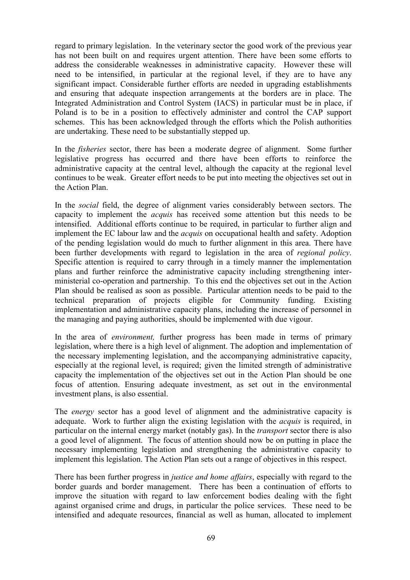regard to primary legislation. In the veterinary sector the good work of the previous year has not been built on and requires urgent attention. There have been some efforts to address the considerable weaknesses in administrative capacity. However these will need to be intensified, in particular at the regional level, if they are to have any significant impact. Considerable further efforts are needed in upgrading establishments and ensuring that adequate inspection arrangements at the borders are in place. The Integrated Administration and Control System (IACS) in particular must be in place, if Poland is to be in a position to effectively administer and control the CAP support schemes. This has been acknowledged through the efforts which the Polish authorities are undertaking. These need to be substantially stepped up.

In the *fisheries* sector, there has been a moderate degree of alignment. Some further legislative progress has occurred and there have been efforts to reinforce the administrative capacity at the central level, although the capacity at the regional level continues to be weak. Greater effort needs to be put into meeting the objectives set out in the Action Plan.

In the *social* field, the degree of alignment varies considerably between sectors. The capacity to implement the *acquis* has received some attention but this needs to be intensified. Additional efforts continue to be required, in particular to further align and implement the EC labour law and the *acquis* on occupational health and safety. Adoption of the pending legislation would do much to further alignment in this area. There have been further developments with regard to legislation in the area of *regional policy*. Specific attention is required to carry through in a timely manner the implementation plans and further reinforce the administrative capacity including strengthening interministerial co-operation and partnership. To this end the objectives set out in the Action Plan should be realised as soon as possible. Particular attention needs to be paid to the technical preparation of projects eligible for Community funding. Existing implementation and administrative capacity plans, including the increase of personnel in the managing and paying authorities, should be implemented with due vigour.

In the area of *environment,* further progress has been made in terms of primary legislation, where there is a high level of alignment. The adoption and implementation of the necessary implementing legislation, and the accompanying administrative capacity, especially at the regional level, is required; given the limited strength of administrative capacity the implementation of the objectives set out in the Action Plan should be one focus of attention. Ensuring adequate investment, as set out in the environmental investment plans, is also essential.

The *energy* sector has a good level of alignment and the administrative capacity is adequate. Work to further align the existing legislation with the *acquis* is required, in particular on the internal energy market (notably gas). In the *transport* sector there is also a good level of alignment. The focus of attention should now be on putting in place the necessary implementing legislation and strengthening the administrative capacity to implement this legislation. The Action Plan sets out a range of objectives in this respect.

There has been further progress in *justice and home affairs*, especially with regard to the border guards and border management. There has been a continuation of efforts to improve the situation with regard to law enforcement bodies dealing with the fight against organised crime and drugs, in particular the police services. These need to be intensified and adequate resources, financial as well as human, allocated to implement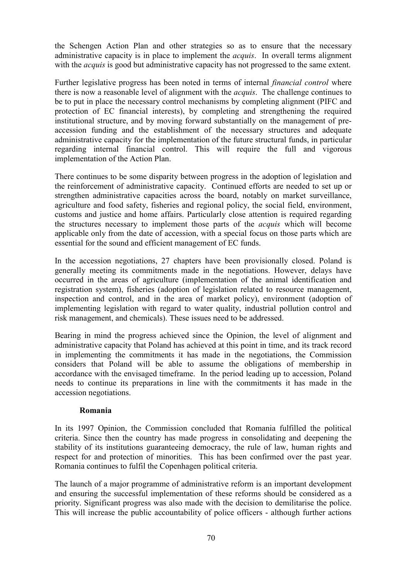the Schengen Action Plan and other strategies so as to ensure that the necessary administrative capacity is in place to implement the *acquis*. In overall terms alignment with the *acquis* is good but administrative capacity has not progressed to the same extent.

Further legislative progress has been noted in terms of internal *financial control* where there is now a reasonable level of alignment with the *acquis*. The challenge continues to be to put in place the necessary control mechanisms by completing alignment (PIFC and protection of EC financial interests), by completing and strengthening the required institutional structure, and by moving forward substantially on the management of preaccession funding and the establishment of the necessary structures and adequate administrative capacity for the implementation of the future structural funds, in particular regarding internal financial control. This will require the full and vigorous implementation of the Action Plan.

There continues to be some disparity between progress in the adoption of legislation and the reinforcement of administrative capacity. Continued efforts are needed to set up or strengthen administrative capacities across the board, notably on market surveillance, agriculture and food safety, fisheries and regional policy, the social field, environment, customs and justice and home affairs. Particularly close attention is required regarding the structures necessary to implement those parts of the *acquis* which will become applicable only from the date of accession, with a special focus on those parts which are essential for the sound and efficient management of EC funds.

In the accession negotiations, 27 chapters have been provisionally closed. Poland is generally meeting its commitments made in the negotiations. However, delays have occurred in the areas of agriculture (implementation of the animal identification and registration system), fisheries (adoption of legislation related to resource management, inspection and control, and in the area of market policy), environment (adoption of implementing legislation with regard to water quality, industrial pollution control and risk management, and chemicals). These issues need to be addressed.

Bearing in mind the progress achieved since the Opinion, the level of alignment and administrative capacity that Poland has achieved at this point in time, and its track record in implementing the commitments it has made in the negotiations, the Commission considers that Poland will be able to assume the obligations of membership in accordance with the envisaged timeframe. In the period leading up to accession, Poland needs to continue its preparations in line with the commitments it has made in the accession negotiations.

### **Romania**

In its 1997 Opinion, the Commission concluded that Romania fulfilled the political criteria. Since then the country has made progress in consolidating and deepening the stability of its institutions guaranteeing democracy, the rule of law, human rights and respect for and protection of minorities. This has been confirmed over the past year. Romania continues to fulfil the Copenhagen political criteria.

The launch of a major programme of administrative reform is an important development and ensuring the successful implementation of these reforms should be considered as a priority. Significant progress was also made with the decision to demilitarise the police. This will increase the public accountability of police officers - although further actions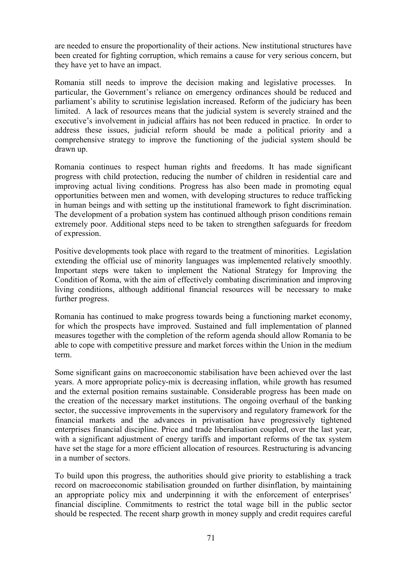are needed to ensure the proportionality of their actions. New institutional structures have been created for fighting corruption, which remains a cause for very serious concern, but they have yet to have an impact.

Romania still needs to improve the decision making and legislative processes. In particular, the Government's reliance on emergency ordinances should be reduced and parliament's ability to scrutinise legislation increased. Reform of the judiciary has been limited. A lack of resources means that the judicial system is severely strained and the executive's involvement in judicial affairs has not been reduced in practice. In order to address these issues, judicial reform should be made a political priority and a comprehensive strategy to improve the functioning of the judicial system should be drawn up.

Romania continues to respect human rights and freedoms. It has made significant progress with child protection, reducing the number of children in residential care and improving actual living conditions. Progress has also been made in promoting equal opportunities between men and women, with developing structures to reduce trafficking in human beings and with setting up the institutional framework to fight discrimination. The development of a probation system has continued although prison conditions remain extremely poor. Additional steps need to be taken to strengthen safeguards for freedom of expression.

Positive developments took place with regard to the treatment of minorities. Legislation extending the official use of minority languages was implemented relatively smoothly. Important steps were taken to implement the National Strategy for Improving the Condition of Roma, with the aim of effectively combating discrimination and improving living conditions, although additional financial resources will be necessary to make further progress.

Romania has continued to make progress towards being a functioning market economy, for which the prospects have improved. Sustained and full implementation of planned measures together with the completion of the reform agenda should allow Romania to be able to cope with competitive pressure and market forces within the Union in the medium term.

Some significant gains on macroeconomic stabilisation have been achieved over the last years. A more appropriate policy-mix is decreasing inflation, while growth has resumed and the external position remains sustainable. Considerable progress has been made on the creation of the necessary market institutions. The ongoing overhaul of the banking sector, the successive improvements in the supervisory and regulatory framework for the financial markets and the advances in privatisation have progressively tightened enterprises financial discipline. Price and trade liberalisation coupled, over the last year, with a significant adjustment of energy tariffs and important reforms of the tax system have set the stage for a more efficient allocation of resources. Restructuring is advancing in a number of sectors.

To build upon this progress, the authorities should give priority to establishing a track record on macroeconomic stabilisation grounded on further disinflation, by maintaining an appropriate policy mix and underpinning it with the enforcement of enterprises' financial discipline. Commitments to restrict the total wage bill in the public sector should be respected. The recent sharp growth in money supply and credit requires careful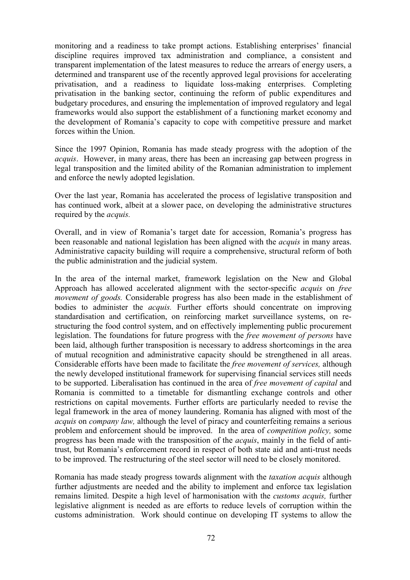monitoring and a readiness to take prompt actions. Establishing enterprises' financial discipline requires improved tax administration and compliance, a consistent and transparent implementation of the latest measures to reduce the arrears of energy users, a determined and transparent use of the recently approved legal provisions for accelerating privatisation, and a readiness to liquidate loss-making enterprises. Completing privatisation in the banking sector, continuing the reform of public expenditures and budgetary procedures, and ensuring the implementation of improved regulatory and legal frameworks would also support the establishment of a functioning market economy and the development of Romania's capacity to cope with competitive pressure and market forces within the Union.

Since the 1997 Opinion, Romania has made steady progress with the adoption of the *acquis*. However, in many areas, there has been an increasing gap between progress in legal transposition and the limited ability of the Romanian administration to implement and enforce the newly adopted legislation.

Over the last year, Romania has accelerated the process of legislative transposition and has continued work, albeit at a slower pace, on developing the administrative structures required by the *acquis.*

Overall, and in view of Romania's target date for accession, Romania's progress has been reasonable and national legislation has been aligned with the *acquis* in many areas. Administrative capacity building will require a comprehensive, structural reform of both the public administration and the judicial system.

In the area of the internal market, framework legislation on the New and Global Approach has allowed accelerated alignment with the sector-specific *acquis* on *free movement of goods.* Considerable progress has also been made in the establishment of bodies to administer the *acquis.* Further efforts should concentrate on improving standardisation and certification, on reinforcing market surveillance systems, on restructuring the food control system, and on effectively implementing public procurement legislation. The foundations for future progress with the *free movement of persons* have been laid, although further transposition is necessary to address shortcomings in the area of mutual recognition and administrative capacity should be strengthened in all areas. Considerable efforts have been made to facilitate the *free movement of services,* although the newly developed institutional framework for supervising financial services still needs to be supported. Liberalisation has continued in the area of *free movement of capital* and Romania is committed to a timetable for dismantling exchange controls and other restrictions on capital movements. Further efforts are particularly needed to revise the legal framework in the area of money laundering. Romania has aligned with most of the *acquis* on *company law,* although the level of piracy and counterfeiting remains a serious problem and enforcement should be improved. In the area of *competition policy,* some progress has been made with the transposition of the *acquis*, mainly in the field of antitrust, but Romania's enforcement record in respect of both state aid and anti-trust needs to be improved. The restructuring of the steel sector will need to be closely monitored.

Romania has made steady progress towards alignment with the *taxation acquis* although further adjustments are needed and the ability to implement and enforce tax legislation remains limited. Despite a high level of harmonisation with the *customs acquis,* further legislative alignment is needed as are efforts to reduce levels of corruption within the customs administration. Work should continue on developing IT systems to allow the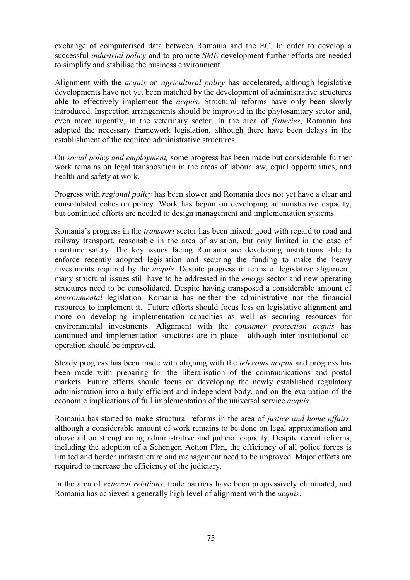exchange of computerised data between Romania and the EC. In order to develop a successful *industrial policy* and to promote *SME* development further efforts are needed to simplify and stabilise the business environment.

Alignment with the *acquis* on *agricultural policy* has accelerated, although legislative developments have not yet been matched by the development of administrative structures able to effectively implement the *acquis*. Structural reforms have only been slowly introduced. Inspection arrangements should be improved in the phytosanitary sector and, even more urgently, in the veterinary sector. In the area of *fisheries*, Romania has adopted the necessary framework legislation, although there have been delays in the establishment of the required administrative structures.

On *social policy and employment,* some progress has been made but considerable further work remains on legal transposition in the areas of labour law, equal opportunities, and health and safety at work.

Progress with *regional policy* has been slower and Romania does not yet have a clear and consolidated cohesion policy. Work has begun on developing administrative capacity, but continued efforts are needed to design management and implementation systems.

Romania's progress in the *transport* sector has been mixed: good with regard to road and railway transport, reasonable in the area of aviation, but only limited in the case of maritime safety. The key issues facing Romania are developing institutions able to enforce recently adopted legislation and securing the funding to make the heavy investments required by the *acquis*. Despite progress in terms of legislative alignment, many structural issues still have to be addressed in the *energy* sector and new operating structures need to be consolidated. Despite having transposed a considerable amount of *environmental* legislation*,* Romania has neither the administrative nor the financial resources to implement it. Future efforts should focus less on legislative alignment and more on developing implementation capacities as well as securing resources for environmental investments. Alignment with the *consumer protection acquis* has continued and implementation structures are in place - although inter-institutional cooperation should be improved.

Steady progress has been made with aligning with the *telecoms acquis* and progress has been made with preparing for the liberalisation of the communications and postal markets. Future efforts should focus on developing the newly established regulatory administration into a truly efficient and independent body, and on the evaluation of the economic implications of full implementation of the universal service *acquis*.

Romania has started to make structural reforms in the area of *justice and home affairs,* although a considerable amount of work remains to be done on legal approximation and above all on strengthening administrative and judicial capacity. Despite recent reforms, including the adoption of a Schengen Action Plan, the efficiency of all police forces is limited and border infrastructure and management need to be improved. Major efforts are required to increase the efficiency of the judiciary.

In the area of *external relations*, trade barriers have been progressively eliminated, and Romania has achieved a generally high level of alignment with the *acquis*.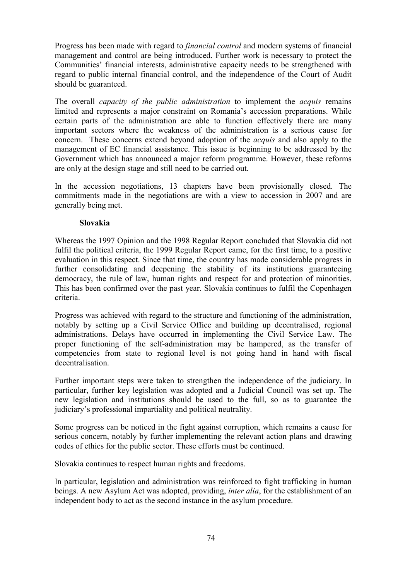Progress has been made with regard to *financial control* and modern systems of financial management and control are being introduced. Further work is necessary to protect the Communities' financial interests, administrative capacity needs to be strengthened with regard to public internal financial control, and the independence of the Court of Audit should be guaranteed.

The overall *capacity of the public administration* to implement the *acquis* remains limited and represents a major constraint on Romania's accession preparations. While certain parts of the administration are able to function effectively there are many important sectors where the weakness of the administration is a serious cause for concern. These concerns extend beyond adoption of the *acquis* and also apply to the management of EC financial assistance. This issue is beginning to be addressed by the Government which has announced a major reform programme. However, these reforms are only at the design stage and still need to be carried out.

In the accession negotiations, 13 chapters have been provisionally closed. The commitments made in the negotiations are with a view to accession in 2007 and are generally being met.

### **Slovakia**

Whereas the 1997 Opinion and the 1998 Regular Report concluded that Slovakia did not fulfil the political criteria, the 1999 Regular Report came, for the first time, to a positive evaluation in this respect. Since that time, the country has made considerable progress in further consolidating and deepening the stability of its institutions guaranteeing democracy, the rule of law, human rights and respect for and protection of minorities. This has been confirmed over the past year. Slovakia continues to fulfil the Copenhagen criteria.

Progress was achieved with regard to the structure and functioning of the administration, notably by setting up a Civil Service Office and building up decentralised, regional administrations. Delays have occurred in implementing the Civil Service Law. The proper functioning of the self-administration may be hampered, as the transfer of competencies from state to regional level is not going hand in hand with fiscal decentralisation.

Further important steps were taken to strengthen the independence of the judiciary. In particular, further key legislation was adopted and a Judicial Council was set up. The new legislation and institutions should be used to the full, so as to guarantee the judiciary's professional impartiality and political neutrality.

Some progress can be noticed in the fight against corruption, which remains a cause for serious concern, notably by further implementing the relevant action plans and drawing codes of ethics for the public sector. These efforts must be continued.

Slovakia continues to respect human rights and freedoms.

In particular, legislation and administration was reinforced to fight trafficking in human beings. A new Asylum Act was adopted, providing, *inter alia*, for the establishment of an independent body to act as the second instance in the asylum procedure.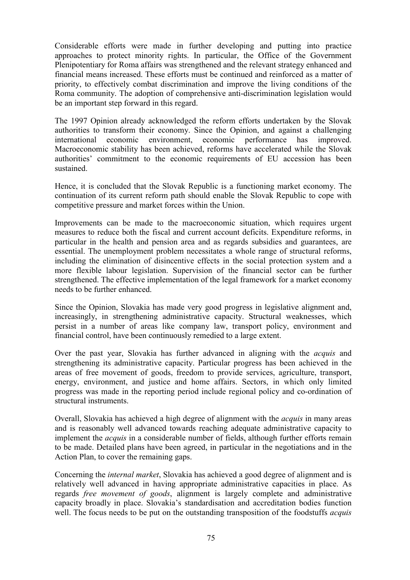Considerable efforts were made in further developing and putting into practice approaches to protect minority rights. In particular, the Office of the Government Plenipotentiary for Roma affairs was strengthened and the relevant strategy enhanced and financial means increased. These efforts must be continued and reinforced as a matter of priority, to effectively combat discrimination and improve the living conditions of the Roma community. The adoption of comprehensive anti-discrimination legislation would be an important step forward in this regard.

The 1997 Opinion already acknowledged the reform efforts undertaken by the Slovak authorities to transform their economy. Since the Opinion, and against a challenging international economic environment, economic performance has improved. Macroeconomic stability has been achieved, reforms have accelerated while the Slovak authorities' commitment to the economic requirements of EU accession has been sustained.

Hence, it is concluded that the Slovak Republic is a functioning market economy. The continuation of its current reform path should enable the Slovak Republic to cope with competitive pressure and market forces within the Union.

Improvements can be made to the macroeconomic situation, which requires urgent measures to reduce both the fiscal and current account deficits. Expenditure reforms, in particular in the health and pension area and as regards subsidies and guarantees, are essential. The unemployment problem necessitates a whole range of structural reforms, including the elimination of disincentive effects in the social protection system and a more flexible labour legislation. Supervision of the financial sector can be further strengthened. The effective implementation of the legal framework for a market economy needs to be further enhanced.

Since the Opinion, Slovakia has made very good progress in legislative alignment and, increasingly, in strengthening administrative capacity. Structural weaknesses, which persist in a number of areas like company law, transport policy, environment and financial control, have been continuously remedied to a large extent.

Over the past year, Slovakia has further advanced in aligning with the *acquis* and strengthening its administrative capacity. Particular progress has been achieved in the areas of free movement of goods, freedom to provide services, agriculture, transport, energy, environment, and justice and home affairs. Sectors, in which only limited progress was made in the reporting period include regional policy and co-ordination of structural instruments.

Overall, Slovakia has achieved a high degree of alignment with the *acquis* in many areas and is reasonably well advanced towards reaching adequate administrative capacity to implement the *acquis* in a considerable number of fields, although further efforts remain to be made. Detailed plans have been agreed, in particular in the negotiations and in the Action Plan, to cover the remaining gaps.

Concerning the *internal market*, Slovakia has achieved a good degree of alignment and is relatively well advanced in having appropriate administrative capacities in place. As regards *free movement of goods*, alignment is largely complete and administrative capacity broadly in place. Slovakia's standardisation and accreditation bodies function well. The focus needs to be put on the outstanding transposition of the foodstuffs *acquis*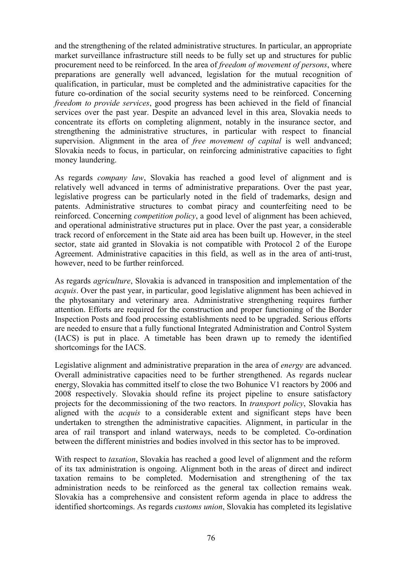and the strengthening of the related administrative structures. In particular, an appropriate market surveillance infrastructure still needs to be fully set up and structures for public procurement need to be reinforced. In the area of *freedom of movement of persons*, where preparations are generally well advanced, legislation for the mutual recognition of qualification, in particular, must be completed and the administrative capacities for the future co-ordination of the social security systems need to be reinforced. Concerning *freedom to provide services*, good progress has been achieved in the field of financial services over the past year. Despite an advanced level in this area, Slovakia needs to concentrate its efforts on completing alignment, notably in the insurance sector, and strengthening the administrative structures, in particular with respect to financial supervision. Alignment in the area of *free movement of capital* is well andvanced; Slovakia needs to focus, in particular, on reinforcing administrative capacities to fight money laundering.

As regards *company law*, Slovakia has reached a good level of alignment and is relatively well advanced in terms of administrative preparations. Over the past year, legislative progress can be particularly noted in the field of trademarks, design and patents. Administrative structures to combat piracy and counterfeiting need to be reinforced. Concerning *competition policy*, a good level of alignment has been achieved, and operational administrative structures put in place. Over the past year, a considerable track record of enforcement in the State aid area has been built up. However, in the steel sector, state aid granted in Slovakia is not compatible with Protocol 2 of the Europe Agreement. Administrative capacities in this field, as well as in the area of anti-trust, however, need to be further reinforced.

As regards *agriculture*, Slovakia is advanced in transposition and implementation of the *acquis*. Over the past year, in particular, good legislative alignment has been achieved in the phytosanitary and veterinary area. Administrative strengthening requires further attention. Efforts are required for the construction and proper functioning of the Border Inspection Posts and food processing establishments need to be upgraded. Serious efforts are needed to ensure that a fully functional Integrated Administration and Control System (IACS) is put in place. A timetable has been drawn up to remedy the identified shortcomings for the IACS.

Legislative alignment and administrative preparation in the area of *energy* are advanced. Overall administrative capacities need to be further strengthened. As regards nuclear energy, Slovakia has committed itself to close the two Bohunice V1 reactors by 2006 and 2008 respectively. Slovakia should refine its project pipeline to ensure satisfactory projects for the decommissioning of the two reactors. In *transport policy*, Slovakia has aligned with the *acquis* to a considerable extent and significant steps have been undertaken to strengthen the administrative capacities. Alignment, in particular in the area of rail transport and inland waterways, needs to be completed. Co-ordination between the different ministries and bodies involved in this sector has to be improved.

With respect to *taxation*, Slovakia has reached a good level of alignment and the reform of its tax administration is ongoing. Alignment both in the areas of direct and indirect taxation remains to be completed. Modernisation and strengthening of the tax administration needs to be reinforced as the general tax collection remains weak. Slovakia has a comprehensive and consistent reform agenda in place to address the identified shortcomings. As regards *customs union*, Slovakia has completed its legislative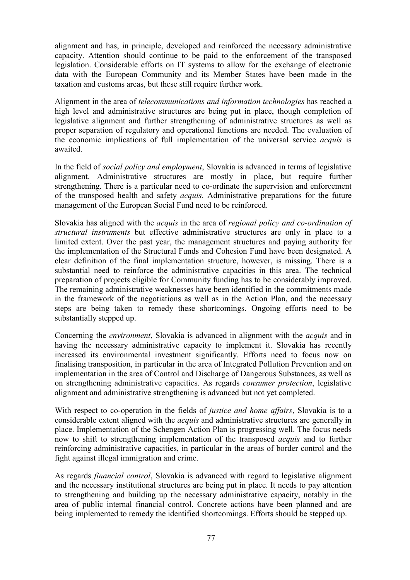alignment and has, in principle, developed and reinforced the necessary administrative capacity. Attention should continue to be paid to the enforcement of the transposed legislation. Considerable efforts on IT systems to allow for the exchange of electronic data with the European Community and its Member States have been made in the taxation and customs areas, but these still require further work.

Alignment in the area of *telecommunications and information technologies* has reached a high level and administrative structures are being put in place, though completion of legislative alignment and further strengthening of administrative structures as well as proper separation of regulatory and operational functions are needed. The evaluation of the economic implications of full implementation of the universal service *acquis* is awaited.

In the field of *social policy and employment*, Slovakia is advanced in terms of legislative alignment. Administrative structures are mostly in place, but require further strengthening. There is a particular need to co-ordinate the supervision and enforcement of the transposed health and safety *acquis*. Administrative preparations for the future management of the European Social Fund need to be reinforced.

Slovakia has aligned with the *acquis* in the area of *regional policy and co-ordination of structural instruments* but effective administrative structures are only in place to a limited extent. Over the past year, the management structures and paying authority for the implementation of the Structural Funds and Cohesion Fund have been designated. A clear definition of the final implementation structure, however, is missing. There is a substantial need to reinforce the administrative capacities in this area. The technical preparation of projects eligible for Community funding has to be considerably improved. The remaining administrative weaknesses have been identified in the commitments made in the framework of the negotiations as well as in the Action Plan, and the necessary steps are being taken to remedy these shortcomings. Ongoing efforts need to be substantially stepped up.

Concerning the *environment*, Slovakia is advanced in alignment with the *acquis* and in having the necessary administrative capacity to implement it. Slovakia has recently increased its environmental investment significantly. Efforts need to focus now on finalising transposition, in particular in the area of Integrated Pollution Prevention and on implementation in the area of Control and Discharge of Dangerous Substances, as well as on strengthening administrative capacities. As regards *consumer protection*, legislative alignment and administrative strengthening is advanced but not yet completed.

With respect to co-operation in the fields of *justice and home affairs*, Slovakia is to a considerable extent aligned with the *acquis* and administrative structures are generally in place. Implementation of the Schengen Action Plan is progressing well. The focus needs now to shift to strengthening implementation of the transposed *acquis* and to further reinforcing administrative capacities, in particular in the areas of border control and the fight against illegal immigration and crime.

As regards *financial control*, Slovakia is advanced with regard to legislative alignment and the necessary institutional structures are being put in place. It needs to pay attention to strengthening and building up the necessary administrative capacity, notably in the area of public internal financial control. Concrete actions have been planned and are being implemented to remedy the identified shortcomings. Efforts should be stepped up.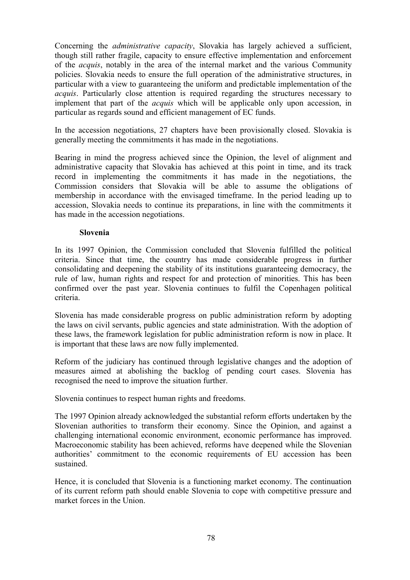Concerning the *administrative capacity*, Slovakia has largely achieved a sufficient, though still rather fragile, capacity to ensure effective implementation and enforcement of the *acquis*, notably in the area of the internal market and the various Community policies. Slovakia needs to ensure the full operation of the administrative structures, in particular with a view to guaranteeing the uniform and predictable implementation of the *acquis*. Particularly close attention is required regarding the structures necessary to implement that part of the *acquis* which will be applicable only upon accession, in particular as regards sound and efficient management of EC funds.

In the accession negotiations, 27 chapters have been provisionally closed. Slovakia is generally meeting the commitments it has made in the negotiations.

Bearing in mind the progress achieved since the Opinion, the level of alignment and administrative capacity that Slovakia has achieved at this point in time, and its track record in implementing the commitments it has made in the negotiations, the Commission considers that Slovakia will be able to assume the obligations of membership in accordance with the envisaged timeframe. In the period leading up to accession, Slovakia needs to continue its preparations, in line with the commitments it has made in the accession negotiations.

### **Slovenia**

In its 1997 Opinion, the Commission concluded that Slovenia fulfilled the political criteria. Since that time, the country has made considerable progress in further consolidating and deepening the stability of its institutions guaranteeing democracy, the rule of law, human rights and respect for and protection of minorities. This has been confirmed over the past year. Slovenia continues to fulfil the Copenhagen political criteria.

Slovenia has made considerable progress on public administration reform by adopting the laws on civil servants, public agencies and state administration. With the adoption of these laws, the framework legislation for public administration reform is now in place. It is important that these laws are now fully implemented.

Reform of the judiciary has continued through legislative changes and the adoption of measures aimed at abolishing the backlog of pending court cases. Slovenia has recognised the need to improve the situation further.

Slovenia continues to respect human rights and freedoms.

The 1997 Opinion already acknowledged the substantial reform efforts undertaken by the Slovenian authorities to transform their economy. Since the Opinion, and against a challenging international economic environment, economic performance has improved. Macroeconomic stability has been achieved, reforms have deepened while the Slovenian authorities' commitment to the economic requirements of EU accession has been sustained.

Hence, it is concluded that Slovenia is a functioning market economy. The continuation of its current reform path should enable Slovenia to cope with competitive pressure and market forces in the Union.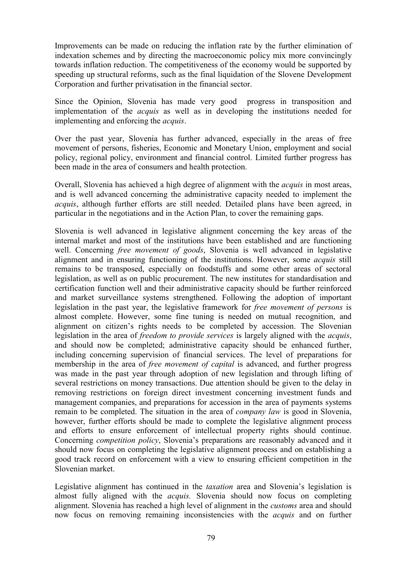Improvements can be made on reducing the inflation rate by the further elimination of indexation schemes and by directing the macroeconomic policy mix more convincingly towards inflation reduction. The competitiveness of the economy would be supported by speeding up structural reforms, such as the final liquidation of the Slovene Development Corporation and further privatisation in the financial sector.

Since the Opinion, Slovenia has made very good progress in transposition and implementation of the *acquis* as well as in developing the institutions needed for implementing and enforcing the *acquis*.

Over the past year, Slovenia has further advanced, especially in the areas of free movement of persons, fisheries, Economic and Monetary Union, employment and social policy, regional policy, environment and financial control. Limited further progress has been made in the area of consumers and health protection.

Overall, Slovenia has achieved a high degree of alignment with the *acquis* in most areas, and is well advanced concerning the administrative capacity needed to implement the *acquis*, although further efforts are still needed. Detailed plans have been agreed, in particular in the negotiations and in the Action Plan, to cover the remaining gaps.

Slovenia is well advanced in legislative alignment concerning the key areas of the internal market and most of the institutions have been established and are functioning well. Concerning *free movement of goods*, Slovenia is well advanced in legislative alignment and in ensuring functioning of the institutions. However, some *acquis* still remains to be transposed, especially on foodstuffs and some other areas of sectoral legislation, as well as on public procurement. The new institutes for standardisation and certification function well and their administrative capacity should be further reinforced and market surveillance systems strengthened. Following the adoption of important legislation in the past year, the legislative framework for *free movement of persons* is almost complete. However, some fine tuning is needed on mutual recognition, and alignment on citizen's rights needs to be completed by accession. The Slovenian legislation in the area of *freedom to provide services* is largely aligned with the *acquis*, and should now be completed; administrative capacity should be enhanced further, including concerning supervision of financial services. The level of preparations for membership in the area of *free movement of capital* is advanced, and further progress was made in the past year through adoption of new legislation and through lifting of several restrictions on money transactions. Due attention should be given to the delay in removing restrictions on foreign direct investment concerning investment funds and management companies, and preparations for accession in the area of payments systems remain to be completed. The situation in the area of *company law* is good in Slovenia, however, further efforts should be made to complete the legislative alignment process and efforts to ensure enforcement of intellectual property rights should continue. Concerning *competition policy*, Slovenia's preparations are reasonably advanced and it should now focus on completing the legislative alignment process and on establishing a good track record on enforcement with a view to ensuring efficient competition in the Slovenian market.

Legislative alignment has continued in the *taxation* area and Slovenia's legislation is almost fully aligned with the *acquis.* Slovenia should now focus on completing alignment. Slovenia has reached a high level of alignment in the *customs* area and should now focus on removing remaining inconsistencies with the *acquis* and on further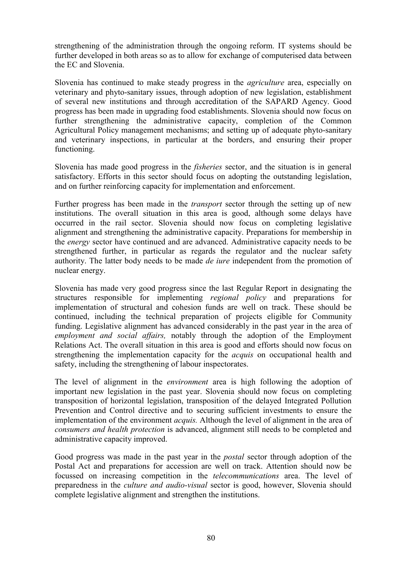strengthening of the administration through the ongoing reform. IT systems should be further developed in both areas so as to allow for exchange of computerised data between the EC and Slovenia.

Slovenia has continued to make steady progress in the *agriculture* area, especially on veterinary and phyto-sanitary issues, through adoption of new legislation, establishment of several new institutions and through accreditation of the SAPARD Agency. Good progress has been made in upgrading food establishments. Slovenia should now focus on further strengthening the administrative capacity, completion of the Common Agricultural Policy management mechanisms; and setting up of adequate phyto-sanitary and veterinary inspections, in particular at the borders, and ensuring their proper functioning.

Slovenia has made good progress in the *fisheries* sector, and the situation is in general satisfactory. Efforts in this sector should focus on adopting the outstanding legislation, and on further reinforcing capacity for implementation and enforcement.

Further progress has been made in the *transport* sector through the setting up of new institutions. The overall situation in this area is good, although some delays have occurred in the rail sector. Slovenia should now focus on completing legislative alignment and strengthening the administrative capacity. Preparations for membership in the *energy* sector have continued and are advanced. Administrative capacity needs to be strengthened further, in particular as regards the regulator and the nuclear safety authority. The latter body needs to be made *de iure* independent from the promotion of nuclear energy.

Slovenia has made very good progress since the last Regular Report in designating the structures responsible for implementing *regional policy* and preparations for implementation of structural and cohesion funds are well on track. These should be continued, including the technical preparation of projects eligible for Community funding. Legislative alignment has advanced considerably in the past year in the area of *employment and social affairs,* notably through the adoption of the Employment Relations Act. The overall situation in this area is good and efforts should now focus on strengthening the implementation capacity for the *acquis* on occupational health and safety, including the strengthening of labour inspectorates.

The level of alignment in the *environment* area is high following the adoption of important new legislation in the past year. Slovenia should now focus on completing transposition of horizontal legislation, transposition of the delayed Integrated Pollution Prevention and Control directive and to securing sufficient investments to ensure the implementation of the environment *acquis.* Although the level of alignment in the area of *consumers and health protection* is advanced, alignment still needs to be completed and administrative capacity improved.

Good progress was made in the past year in the *postal* sector through adoption of the Postal Act and preparations for accession are well on track. Attention should now be focussed on increasing competition in the *telecommunications* area. The level of preparedness in the *culture and audio-visual* sector is good, however, Slovenia should complete legislative alignment and strengthen the institutions.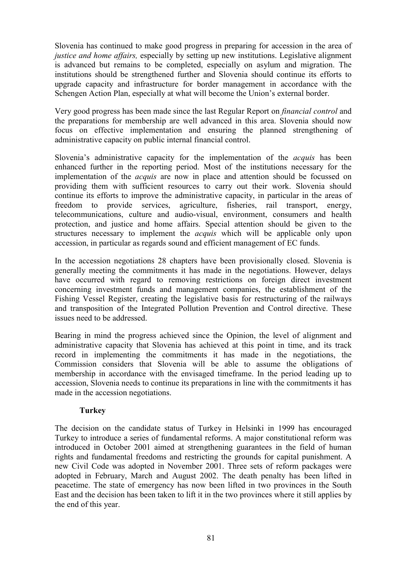Slovenia has continued to make good progress in preparing for accession in the area of *justice and home affairs,* especially by setting up new institutions. Legislative alignment is advanced but remains to be completed, especially on asylum and migration. The institutions should be strengthened further and Slovenia should continue its efforts to upgrade capacity and infrastructure for border management in accordance with the Schengen Action Plan, especially at what will become the Union's external border.

Very good progress has been made since the last Regular Report on *financial control* and the preparations for membership are well advanced in this area. Slovenia should now focus on effective implementation and ensuring the planned strengthening of administrative capacity on public internal financial control.

Slovenia's administrative capacity for the implementation of the *acquis* has been enhanced further in the reporting period. Most of the institutions necessary for the implementation of the *acquis* are now in place and attention should be focussed on providing them with sufficient resources to carry out their work. Slovenia should continue its efforts to improve the administrative capacity, in particular in the areas of freedom to provide services, agriculture, fisheries, rail transport, energy, telecommunications, culture and audio-visual, environment, consumers and health protection, and justice and home affairs. Special attention should be given to the structures necessary to implement the *acquis* which will be applicable only upon accession, in particular as regards sound and efficient management of EC funds.

In the accession negotiations 28 chapters have been provisionally closed. Slovenia is generally meeting the commitments it has made in the negotiations. However, delays have occurred with regard to removing restrictions on foreign direct investment concerning investment funds and management companies, the establishment of the Fishing Vessel Register, creating the legislative basis for restructuring of the railways and transposition of the Integrated Pollution Prevention and Control directive. These issues need to be addressed.

Bearing in mind the progress achieved since the Opinion, the level of alignment and administrative capacity that Slovenia has achieved at this point in time, and its track record in implementing the commitments it has made in the negotiations, the Commission considers that Slovenia will be able to assume the obligations of membership in accordance with the envisaged timeframe. In the period leading up to accession, Slovenia needs to continue its preparations in line with the commitments it has made in the accession negotiations.

## **Turkey**

The decision on the candidate status of Turkey in Helsinki in 1999 has encouraged Turkey to introduce a series of fundamental reforms. A major constitutional reform was introduced in October 2001 aimed at strengthening guarantees in the field of human rights and fundamental freedoms and restricting the grounds for capital punishment. A new Civil Code was adopted in November 2001. Three sets of reform packages were adopted in February, March and August 2002. The death penalty has been lifted in peacetime. The state of emergency has now been lifted in two provinces in the South East and the decision has been taken to lift it in the two provinces where it still applies by the end of this year.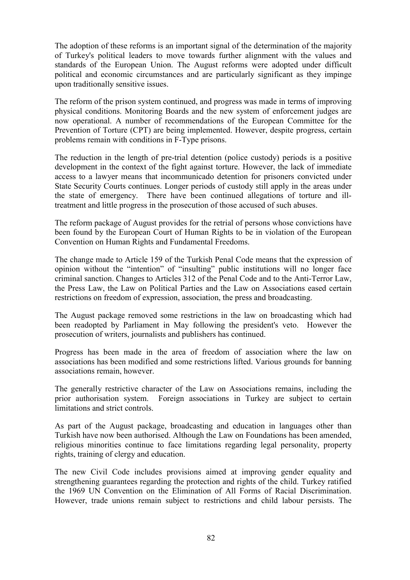The adoption of these reforms is an important signal of the determination of the majority of Turkey's political leaders to move towards further alignment with the values and standards of the European Union. The August reforms were adopted under difficult political and economic circumstances and are particularly significant as they impinge upon traditionally sensitive issues.

The reform of the prison system continued, and progress was made in terms of improving physical conditions. Monitoring Boards and the new system of enforcement judges are now operational. A number of recommendations of the European Committee for the Prevention of Torture (CPT) are being implemented. However, despite progress, certain problems remain with conditions in F-Type prisons.

The reduction in the length of pre-trial detention (police custody) periods is a positive development in the context of the fight against torture. However, the lack of immediate access to a lawyer means that incommunicado detention for prisoners convicted under State Security Courts continues. Longer periods of custody still apply in the areas under the state of emergency. There have been continued allegations of torture and illtreatment and little progress in the prosecution of those accused of such abuses.

The reform package of August provides for the retrial of persons whose convictions have been found by the European Court of Human Rights to be in violation of the European Convention on Human Rights and Fundamental Freedoms.

The change made to Article 159 of the Turkish Penal Code means that the expression of opinion without the "intention" of "insulting" public institutions will no longer face criminal sanction. Changes to Articles 312 of the Penal Code and to the Anti-Terror Law, the Press Law, the Law on Political Parties and the Law on Associations eased certain restrictions on freedom of expression, association, the press and broadcasting.

The August package removed some restrictions in the law on broadcasting which had been readopted by Parliament in May following the president's veto. However the prosecution of writers, journalists and publishers has continued.

Progress has been made in the area of freedom of association where the law on associations has been modified and some restrictions lifted. Various grounds for banning associations remain, however.

The generally restrictive character of the Law on Associations remains, including the prior authorisation system. Foreign associations in Turkey are subject to certain limitations and strict controls.

As part of the August package, broadcasting and education in languages other than Turkish have now been authorised. Although the Law on Foundations has been amended, religious minorities continue to face limitations regarding legal personality, property rights, training of clergy and education.

The new Civil Code includes provisions aimed at improving gender equality and strengthening guarantees regarding the protection and rights of the child. Turkey ratified the 1969 UN Convention on the Elimination of All Forms of Racial Discrimination. However, trade unions remain subject to restrictions and child labour persists. The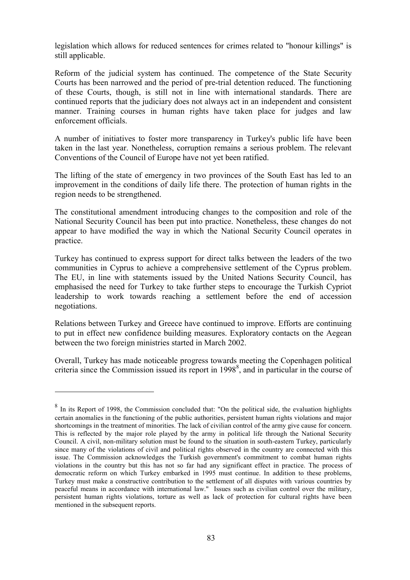legislation which allows for reduced sentences for crimes related to "honour killings" is still applicable.

Reform of the judicial system has continued. The competence of the State Security Courts has been narrowed and the period of pre-trial detention reduced. The functioning of these Courts, though, is still not in line with international standards. There are continued reports that the judiciary does not always act in an independent and consistent manner. Training courses in human rights have taken place for judges and law enforcement officials.

A number of initiatives to foster more transparency in Turkey's public life have been taken in the last year. Nonetheless, corruption remains a serious problem. The relevant Conventions of the Council of Europe have not yet been ratified.

The lifting of the state of emergency in two provinces of the South East has led to an improvement in the conditions of daily life there. The protection of human rights in the region needs to be strengthened.

The constitutional amendment introducing changes to the composition and role of the National Security Council has been put into practice. Nonetheless, these changes do not appear to have modified the way in which the National Security Council operates in practice.

Turkey has continued to express support for direct talks between the leaders of the two communities in Cyprus to achieve a comprehensive settlement of the Cyprus problem. The EU, in line with statements issued by the United Nations Security Council, has emphasised the need for Turkey to take further steps to encourage the Turkish Cypriot leadership to work towards reaching a settlement before the end of accession negotiations.

Relations between Turkey and Greece have continued to improve. Efforts are continuing to put in effect new confidence building measures. Exploratory contacts on the Aegean between the two foreign ministries started in March 2002.

Overall, Turkey has made noticeable progress towards meeting the Copenhagen political criteria since the Commission issued its report in 1998<sup>8</sup>, and in particular in the course of

 $\overline{a}$ 

<sup>&</sup>lt;sup>8</sup> In its Report of 1998, the Commission concluded that: "On the political side, the evaluation highlights certain anomalies in the functioning of the public authorities, persistent human rights violations and major shortcomings in the treatment of minorities. The lack of civilian control of the army give cause for concern. This is reflected by the major role played by the army in political life through the National Security Council. A civil, non-military solution must be found to the situation in south-eastern Turkey, particularly since many of the violations of civil and political rights observed in the country are connected with this issue. The Commission acknowledges the Turkish government's commitment to combat human rights violations in the country but this has not so far had any significant effect in practice. The process of democratic reform on which Turkey embarked in 1995 must continue. In addition to these problems, Turkey must make a constructive contribution to the settlement of all disputes with various countries by peaceful means in accordance with international law." Issues such as civilian control over the military, persistent human rights violations, torture as well as lack of protection for cultural rights have been mentioned in the subsequent reports.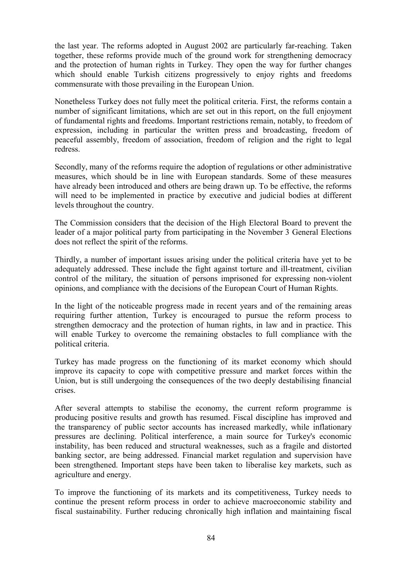the last year. The reforms adopted in August 2002 are particularly far-reaching. Taken together, these reforms provide much of the ground work for strengthening democracy and the protection of human rights in Turkey. They open the way for further changes which should enable Turkish citizens progressively to enjoy rights and freedoms commensurate with those prevailing in the European Union.

Nonetheless Turkey does not fully meet the political criteria. First, the reforms contain a number of significant limitations, which are set out in this report, on the full enjoyment of fundamental rights and freedoms. Important restrictions remain, notably, to freedom of expression, including in particular the written press and broadcasting, freedom of peaceful assembly, freedom of association, freedom of religion and the right to legal redress.

Secondly, many of the reforms require the adoption of regulations or other administrative measures, which should be in line with European standards. Some of these measures have already been introduced and others are being drawn up. To be effective, the reforms will need to be implemented in practice by executive and judicial bodies at different levels throughout the country.

The Commission considers that the decision of the High Electoral Board to prevent the leader of a major political party from participating in the November 3 General Elections does not reflect the spirit of the reforms.

Thirdly, a number of important issues arising under the political criteria have yet to be adequately addressed. These include the fight against torture and ill-treatment, civilian control of the military, the situation of persons imprisoned for expressing non-violent opinions, and compliance with the decisions of the European Court of Human Rights.

In the light of the noticeable progress made in recent years and of the remaining areas requiring further attention, Turkey is encouraged to pursue the reform process to strengthen democracy and the protection of human rights, in law and in practice. This will enable Turkey to overcome the remaining obstacles to full compliance with the political criteria.

Turkey has made progress on the functioning of its market economy which should improve its capacity to cope with competitive pressure and market forces within the Union, but is still undergoing the consequences of the two deeply destabilising financial crises.

After several attempts to stabilise the economy, the current reform programme is producing positive results and growth has resumed. Fiscal discipline has improved and the transparency of public sector accounts has increased markedly, while inflationary pressures are declining. Political interference, a main source for Turkey's economic instability, has been reduced and structural weaknesses, such as a fragile and distorted banking sector, are being addressed. Financial market regulation and supervision have been strengthened. Important steps have been taken to liberalise key markets, such as agriculture and energy.

To improve the functioning of its markets and its competitiveness, Turkey needs to continue the present reform process in order to achieve macroeconomic stability and fiscal sustainability. Further reducing chronically high inflation and maintaining fiscal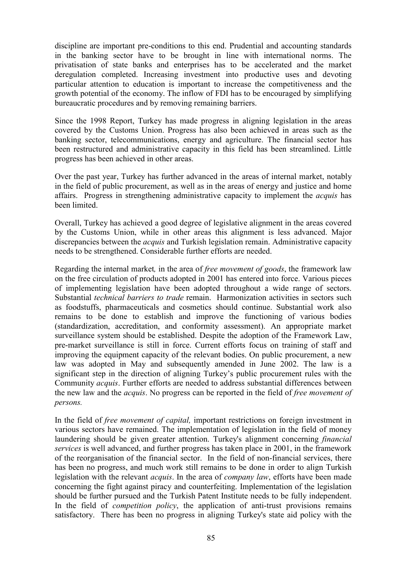discipline are important pre-conditions to this end. Prudential and accounting standards in the banking sector have to be brought in line with international norms. The privatisation of state banks and enterprises has to be accelerated and the market deregulation completed. Increasing investment into productive uses and devoting particular attention to education is important to increase the competitiveness and the growth potential of the economy. The inflow of FDI has to be encouraged by simplifying bureaucratic procedures and by removing remaining barriers.

Since the 1998 Report, Turkey has made progress in aligning legislation in the areas covered by the Customs Union. Progress has also been achieved in areas such as the banking sector, telecommunications, energy and agriculture. The financial sector has been restructured and administrative capacity in this field has been streamlined. Little progress has been achieved in other areas.

Over the past year, Turkey has further advanced in the areas of internal market, notably in the field of public procurement, as well as in the areas of energy and justice and home affairs. Progress in strengthening administrative capacity to implement the *acquis* has been limited.

Overall, Turkey has achieved a good degree of legislative alignment in the areas covered by the Customs Union, while in other areas this alignment is less advanced. Major discrepancies between the *acquis* and Turkish legislation remain. Administrative capacity needs to be strengthened. Considerable further efforts are needed.

Regarding the internal market*,* in the area of *free movement of goods*, the framework law on the free circulation of products adopted in 2001 has entered into force. Various pieces of implementing legislation have been adopted throughout a wide range of sectors. Substantial *technical barriers to trade* remain. Harmonization activities in sectors such as foodstuffs, pharmaceuticals and cosmetics should continue. Substantial work also remains to be done to establish and improve the functioning of various bodies (standardization, accreditation, and conformity assessment). An appropriate market surveillance system should be established. Despite the adoption of the Framework Law, pre-market surveillance is still in force. Current efforts focus on training of staff and improving the equipment capacity of the relevant bodies. On public procurement, a new law was adopted in May and subsequently amended in June 2002. The law is a significant step in the direction of aligning Turkey's public procurement rules with the Community *acquis*. Further efforts are needed to address substantial differences between the new law and the *acquis*. No progress can be reported in the field of *free movement of persons.*

In the field of *free movement of capital,* important restrictions on foreign investment in various sectors have remained. The implementation of legislation in the field of money laundering should be given greater attention. Turkey's alignment concerning *financial services* is well advanced, and further progress has taken place in 2001, in the framework of the reorganisation of the financial sector. In the field of non-financial services, there has been no progress, and much work still remains to be done in order to align Turkish legislation with the relevant *acquis*. In the area of *company law*, efforts have been made concerning the fight against piracy and counterfeiting. Implementation of the legislation should be further pursued and the Turkish Patent Institute needs to be fully independent. In the field of *competition policy*, the application of anti-trust provisions remains satisfactory. There has been no progress in aligning Turkey's state aid policy with the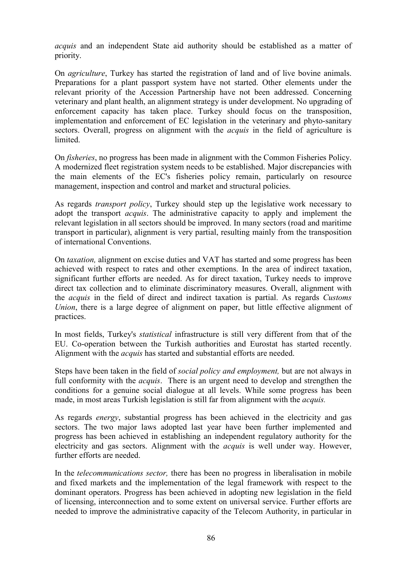*acquis* and an independent State aid authority should be established as a matter of priority.

On *agriculture*, Turkey has started the registration of land and of live bovine animals. Preparations for a plant passport system have not started. Other elements under the relevant priority of the Accession Partnership have not been addressed. Concerning veterinary and plant health, an alignment strategy is under development. No upgrading of enforcement capacity has taken place. Turkey should focus on the transposition, implementation and enforcement of EC legislation in the veterinary and phyto-sanitary sectors. Overall, progress on alignment with the *acquis* in the field of agriculture is limited.

On *fisheries*, no progress has been made in alignment with the Common Fisheries Policy. A modernized fleet registration system needs to be established. Major discrepancies with the main elements of the EC's fisheries policy remain, particularly on resource management, inspection and control and market and structural policies.

As regards *transport policy*, Turkey should step up the legislative work necessary to adopt the transport *acquis*. The administrative capacity to apply and implement the relevant legislation in all sectors should be improved. In many sectors (road and maritime transport in particular), alignment is very partial, resulting mainly from the transposition of international Conventions.

On *taxation,* alignment on excise duties and VAT has started and some progress has been achieved with respect to rates and other exemptions. In the area of indirect taxation, significant further efforts are needed. As for direct taxation, Turkey needs to improve direct tax collection and to eliminate discriminatory measures. Overall, alignment with the *acquis* in the field of direct and indirect taxation is partial. As regards *Customs Union*, there is a large degree of alignment on paper, but little effective alignment of practices.

In most fields, Turkey's *statistical* infrastructure is still very different from that of the EU. Co-operation between the Turkish authorities and Eurostat has started recently. Alignment with the *acquis* has started and substantial efforts are needed.

Steps have been taken in the field of *social policy and employment,* but are not always in full conformity with the *acquis*. There is an urgent need to develop and strengthen the conditions for a genuine social dialogue at all levels. While some progress has been made, in most areas Turkish legislation is still far from alignment with the *acquis.*

As regards *energy*, substantial progress has been achieved in the electricity and gas sectors. The two major laws adopted last year have been further implemented and progress has been achieved in establishing an independent regulatory authority for the electricity and gas sectors. Alignment with the *acquis* is well under way. However, further efforts are needed.

In the *telecommunications sector,* there has been no progress in liberalisation in mobile and fixed markets and the implementation of the legal framework with respect to the dominant operators. Progress has been achieved in adopting new legislation in the field of licensing, interconnection and to some extent on universal service. Further efforts are needed to improve the administrative capacity of the Telecom Authority, in particular in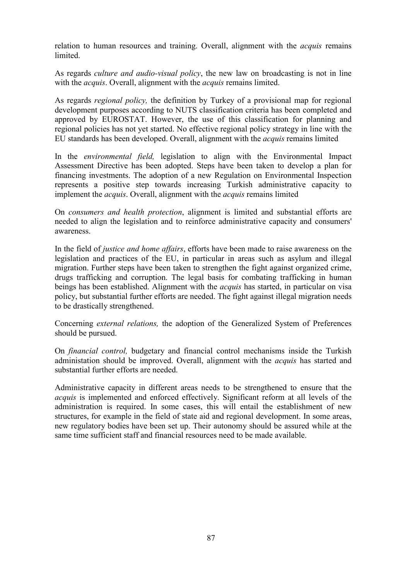relation to human resources and training. Overall, alignment with the *acquis* remains limited.

As regards *culture and audio-visual policy*, the new law on broadcasting is not in line with the *acquis*. Overall, alignment with the *acquis* remains limited.

As regards *regional policy,* the definition by Turkey of a provisional map for regional development purposes according to NUTS classification criteria has been completed and approved by EUROSTAT. However, the use of this classification for planning and regional policies has not yet started. No effective regional policy strategy in line with the EU standards has been developed. Overall, alignment with the *acquis* remains limited

In the *environmental field,* legislation to align with the Environmental Impact Assessment Directive has been adopted. Steps have been taken to develop a plan for financing investments. The adoption of a new Regulation on Environmental Inspection represents a positive step towards increasing Turkish administrative capacity to implement the *acquis*. Overall, alignment with the *acquis* remains limited

On *consumers and health protection*, alignment is limited and substantial efforts are needed to align the legislation and to reinforce administrative capacity and consumers' awareness.

In the field of *justice and home affairs*, efforts have been made to raise awareness on the legislation and practices of the EU, in particular in areas such as asylum and illegal migration. Further steps have been taken to strengthen the fight against organized crime, drugs trafficking and corruption. The legal basis for combating trafficking in human beings has been established. Alignment with the *acquis* has started, in particular on visa policy, but substantial further efforts are needed. The fight against illegal migration needs to be drastically strengthened.

Concerning *external relations,* the adoption of the Generalized System of Preferences should be pursued.

On *financial control,* budgetary and financial control mechanisms inside the Turkish administation should be improved. Overall, alignment with the *acquis* has started and substantial further efforts are needed.

Administrative capacity in different areas needs to be strengthened to ensure that the *acquis* is implemented and enforced effectively. Significant reform at all levels of the administration is required. In some cases, this will entail the establishment of new structures, for example in the field of state aid and regional development. In some areas, new regulatory bodies have been set up. Their autonomy should be assured while at the same time sufficient staff and financial resources need to be made available.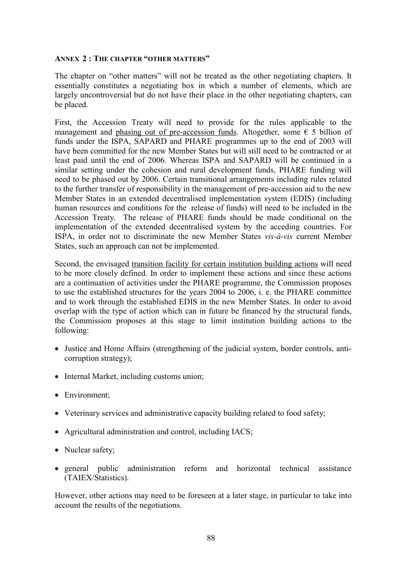### **ANNEX 2 : THE CHAPTER "OTHER MATTERS"**

The chapter on "other matters" will not be treated as the other negotiating chapters. It essentially constitutes a negotiating box in which a number of elements, which are largely uncontroversial but do not have their place in the other negotiating chapters, can be placed.

First, the Accession Treaty will need to provide for the rules applicable to the management and phasing out of pre-accession funds. Altogether, some  $\epsilon$  5 billion of funds under the ISPA, SAPARD and PHARE programmes up to the end of 2003 will have been committed for the new Member States but will still need to be contracted or at least paid until the end of 2006. Whereas ISPA and SAPARD will be continued in a similar setting under the cohesion and rural development funds, PHARE funding will need to be phased out by 2006. Certain transitional arrangements including rules related to the further transfer of responsibility in the management of pre-accession aid to the new Member States in an extended decentralised implementation system (EDIS) (including human resources and conditions for the release of funds) will need to be included in the Accession Treaty. The release of PHARE funds should be made conditional on the implementation of the extended decentralised system by the acceding countries. For ISPA, in order not to discriminate the new Member States *vis-à-vis* current Member States, such an approach can not be implemented.

Second, the envisaged transition facility for certain institution building actions will need to be more closely defined. In order to implement these actions and since these actions are a continuation of activities under the PHARE programme, the Commission proposes to use the established structures for the years 2004 to 2006, i. e. the PHARE committee and to work through the established EDIS in the new Member States. In order to avoid overlap with the type of action which can in future be financed by the structural funds, the Commission proposes at this stage to limit institution building actions to the following:

- Justice and Home Affairs (strengthening of the judicial system, border controls, anticorruption strategy);
- Internal Market, including customs union;
- Environment;
- Veterinary services and administrative capacity building related to food safety;
- Agricultural administration and control, including IACS;
- Nuclear safety;
- general public administration reform and horizontal technical assistance (TAIEX/Statistics).

However, other actions may need to be foreseen at a later stage, in particular to take into account the results of the negotiations.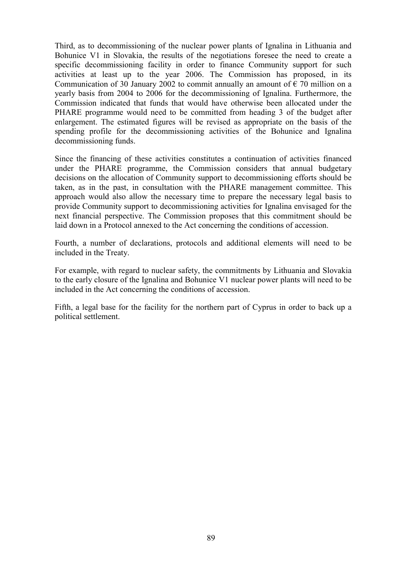Third, as to decommissioning of the nuclear power plants of Ignalina in Lithuania and Bohunice V1 in Slovakia, the results of the negotiations foresee the need to create a specific decommissioning facility in order to finance Community support for such activities at least up to the year 2006. The Commission has proposed, in its Communication of 30 January 2002 to commit annually an amount of  $\epsilon$  70 million on a yearly basis from 2004 to 2006 for the decommissioning of Ignalina. Furthermore, the Commission indicated that funds that would have otherwise been allocated under the PHARE programme would need to be committed from heading 3 of the budget after enlargement. The estimated figures will be revised as appropriate on the basis of the spending profile for the decommissioning activities of the Bohunice and Ignalina decommissioning funds.

Since the financing of these activities constitutes a continuation of activities financed under the PHARE programme, the Commission considers that annual budgetary decisions on the allocation of Community support to decommissioning efforts should be taken, as in the past, in consultation with the PHARE management committee. This approach would also allow the necessary time to prepare the necessary legal basis to provide Community support to decommissioning activities for Ignalina envisaged for the next financial perspective. The Commission proposes that this commitment should be laid down in a Protocol annexed to the Act concerning the conditions of accession.

Fourth, a number of declarations, protocols and additional elements will need to be included in the Treaty.

For example, with regard to nuclear safety, the commitments by Lithuania and Slovakia to the early closure of the Ignalina and Bohunice V1 nuclear power plants will need to be included in the Act concerning the conditions of accession.

Fifth, a legal base for the facility for the northern part of Cyprus in order to back up a political settlement.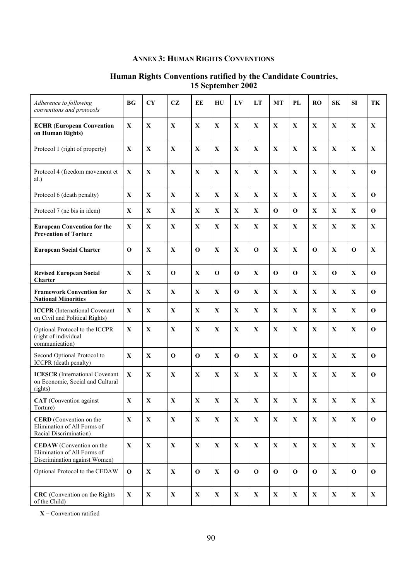## **ANNEX 3: HUMAN RIGHTS CONVENTIONS**

| Adherence to following<br>conventions and protocols                                             | <b>BG</b>   | <b>CY</b>   | CZ           | EE           | HU           | LV           | LT           | <b>MT</b>    | PL           | <b>RO</b>    | <b>SK</b>    | <b>SI</b>   | TK           |
|-------------------------------------------------------------------------------------------------|-------------|-------------|--------------|--------------|--------------|--------------|--------------|--------------|--------------|--------------|--------------|-------------|--------------|
| <b>ECHR (European Convention</b><br>on Human Rights)                                            | X           | $\mathbf X$ | $\mathbf{X}$ | $\mathbf{X}$ | X            | $\mathbf{X}$ | $\mathbf X$  | $\mathbf{X}$ | $\mathbf{X}$ | $\mathbf X$  | $\mathbf X$  | $\mathbf X$ | $\mathbf X$  |
| Protocol 1 (right of property)                                                                  | $\mathbf X$ | $\mathbf X$ | $\mathbf{X}$ | $\mathbf{X}$ | X            | $\mathbf{X}$ | X            | $\mathbf{X}$ | $\mathbf{X}$ | $\mathbf X$  | $\mathbf X$  | $\mathbf X$ | $\mathbf{X}$ |
| Protocol 4 (freedom movement et<br>al.)                                                         | $\mathbf X$ | X           | $\mathbf X$  | $\mathbf{X}$ | X            | $\mathbf{X}$ | X            | $\mathbf X$  | $\mathbf X$  | $\mathbf X$  | $\mathbf X$  | $\mathbf X$ | $\mathbf 0$  |
| Protocol 6 (death penalty)                                                                      | X           | $\mathbf X$ | $\mathbf{X}$ | $\mathbf{X}$ | $\mathbf{X}$ | $\mathbf{X}$ | X            | $\mathbf{X}$ | $\mathbf{X}$ | $\mathbf{X}$ | $\mathbf{X}$ | $\mathbf X$ | $\mathbf{o}$ |
| Protocol 7 (ne bis in idem)                                                                     | X           | $\mathbf X$ | X            | $\mathbf X$  | $\mathbf X$  | X            | $\mathbf X$  | $\bf{0}$     | $\mathbf{O}$ | $\mathbf X$  | X            | X           | $\mathbf{o}$ |
| <b>European Convention for the</b><br><b>Prevention of Torture</b>                              | $\mathbf X$ | $\mathbf X$ | $\mathbf X$  | $\mathbf{X}$ | $\mathbf X$  | $\mathbf X$  | $\mathbf X$  | $\mathbf{X}$ | $\mathbf{X}$ | $\mathbf X$  | $\mathbf{X}$ | $\mathbf X$ | $\mathbf{X}$ |
| <b>European Social Charter</b>                                                                  | $\bf{0}$    | $\mathbf X$ | $\mathbf X$  | $\mathbf 0$  | $\mathbf{X}$ | X            | $\mathbf 0$  | $\mathbf X$  | $\mathbf{X}$ | $\mathbf 0$  | $\mathbf X$  | $\mathbf 0$ | $\mathbf X$  |
| <b>Revised European Social</b><br><b>Charter</b>                                                | $\mathbf X$ | $\mathbf X$ | $\mathbf 0$  | $\mathbf{X}$ | $\mathbf 0$  | $\mathbf 0$  | $\mathbf X$  | $\mathbf{O}$ | $\mathbf 0$  | $\mathbf X$  | $\mathbf 0$  | $\mathbf X$ | $\mathbf 0$  |
| <b>Framework Convention for</b><br><b>National Minorities</b>                                   | $\mathbf X$ | $\mathbf X$ | $\mathbf X$  | $\mathbf{X}$ | $\mathbf{X}$ | 0            | $\mathbf X$  | $\mathbf{X}$ | $\mathbf{X}$ | $\mathbf X$  | X            | $\mathbf X$ | $\mathbf{o}$ |
| <b>ICCPR</b> (International Covenant<br>on Civil and Political Rights)                          | $\mathbf X$ | $\mathbf X$ | X            | X            | X            | X            | X            | X            | $\mathbf{X}$ | $\mathbf X$  | $\mathbf{X}$ | $\mathbf X$ | $\mathbf{o}$ |
| Optional Protocol to the ICCPR<br>(right of individual<br>communication)                        | $\mathbf X$ | $\mathbf X$ | $\mathbf X$  | $\mathbf X$  | $\mathbf X$  | $\mathbf X$  | $\mathbf X$  | $\mathbf X$  | $\mathbf{X}$ | $\mathbf X$  | $\mathbf X$  | $\mathbf X$ | $\mathbf{o}$ |
| Second Optional Protocol to<br>ICCPR (death penalty)                                            | X           | $\mathbf X$ | $\mathbf 0$  | $\mathbf 0$  | $\mathbf X$  | $\mathbf{O}$ | $\mathbf X$  | $\mathbf{X}$ | $\mathbf 0$  | $\mathbf X$  | $\mathbf X$  | $\mathbf X$ | $\mathbf{o}$ |
| <b>ICESCR</b> (International Covenant<br>on Economic, Social and Cultural<br>rights)            | $\mathbf X$ | $\mathbf X$ | X            | X            | X            | $\mathbf X$  | X            | $\mathbf X$  | $\mathbf X$  | $\mathbf X$  | X            | X           | $\mathbf{o}$ |
| <b>CAT</b> (Convention against<br>Torture)                                                      | $\mathbf X$ | $\mathbf X$ | $\mathbf X$  | $\mathbf X$  | $\mathbf X$  | $\mathbf X$  | $\mathbf X$  | $\mathbf X$  | $\mathbf X$  | $\mathbf X$  | X            | $\mathbf X$ | $\mathbf X$  |
| <b>CERD</b> (Convention on the<br>Elimination of All Forms of<br>Racial Discrimination)         | $\mathbf X$ | $\mathbf X$ | $\mathbf{X}$ | $\mathbf X$  | $\mathbf X$  | $\mathbf X$  | $\mathbf X$  | $\mathbf X$  | $\mathbf X$  | $\mathbf X$  | $\mathbf X$  | $\mathbf X$ | $\mathbf 0$  |
| <b>CEDAW</b> (Convention on the<br>Elimination of All Forms of<br>Discrimination against Women) | $\mathbf X$ | $\mathbf X$ | $\mathbf X$  | $\mathbf X$  | $\mathbf{X}$ | $\mathbf X$  | $\mathbf X$  | $\mathbf X$  | $\mathbf X$  | $\mathbf X$  | $\mathbf X$  | $\mathbf X$ | $\mathbf{X}$ |
| Optional Protocol to the CEDAW                                                                  | $\mathbf 0$ | $\mathbf X$ | $\mathbf{X}$ | $\mathbf 0$  | $\mathbf{X}$ | $\mathbf{o}$ | $\mathbf{o}$ | $\mathbf{O}$ | $\mathbf 0$  | $\mathbf 0$  | $\mathbf X$  | $\mathbf 0$ | $\mathbf 0$  |
| <b>CRC</b> (Convention on the Rights<br>of the Child)                                           | $\mathbf X$ | $\mathbf X$ | X            | $\mathbf X$  | X            | X            | $\mathbf X$  | $\mathbf X$  | $\mathbf X$  | $\mathbf X$  | $\mathbf X$  | $\mathbf X$ | X            |

### **Human Rights Conventions ratified by the Candidate Countries, 15 September 2002**

**X** = Convention ratified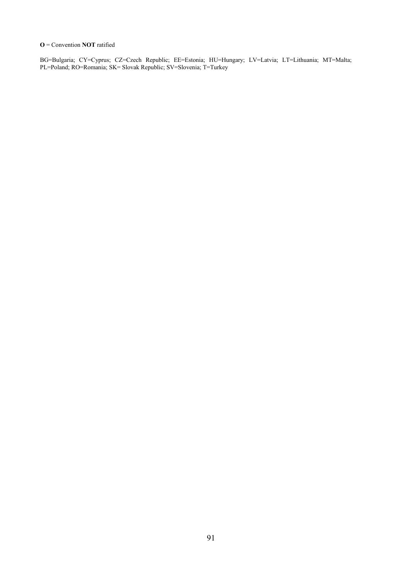## **O** = Convention **NOT** ratified

BG=Bulgaria; CY=Cyprus; CZ=Czech Republic; EE=Estonia; HU=Hungary; LV=Latvia; LT=Lithuania; MT=Malta; PL=Poland; RO=Romania; SK= Slovak Republic; SV=Slovenia; T=Turkey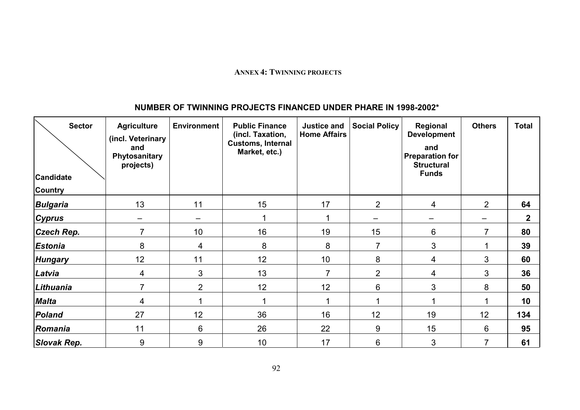#### **ANNEX 4: TWINNING PROJECTS**

#### **NUMBER OF TWINNING PROJECTS FINANCED UNDER PHARE IN 1998-2002\***

| <b>Sector</b><br><b>Candidate</b><br><b>Country</b> | <b>Agriculture</b><br>(incl. Veterinary<br>and<br>Phytosanitary<br>projects) | <b>Environment</b> | <b>Public Finance</b><br>(incl. Taxation,<br><b>Customs, Internal</b><br>Market, etc.) | <b>Justice and</b><br><b>Home Affairs</b> | <b>Social Policy</b> | Regional<br><b>Development</b><br>and<br><b>Preparation for</b><br><b>Structural</b><br><b>Funds</b> | <b>Others</b> | <b>Total</b> |
|-----------------------------------------------------|------------------------------------------------------------------------------|--------------------|----------------------------------------------------------------------------------------|-------------------------------------------|----------------------|------------------------------------------------------------------------------------------------------|---------------|--------------|
| <b>Bulgaria</b>                                     | 13                                                                           | 11                 | 15                                                                                     | 17                                        | 2                    | $\overline{4}$                                                                                       | 2             | 64           |
| <b>Cyprus</b>                                       |                                                                              | -                  |                                                                                        |                                           |                      |                                                                                                      |               | $\mathbf{2}$ |
| Czech Rep.                                          | 7                                                                            | 10 <sup>1</sup>    | 16                                                                                     | 19                                        | 15                   | 6                                                                                                    |               | 80           |
| Estonia                                             | 8                                                                            | $\overline{4}$     | 8                                                                                      | 8                                         |                      | 3                                                                                                    |               | 39           |
| <b>Hungary</b>                                      | 12                                                                           | 11                 | 12                                                                                     | 10                                        | 8                    | 4                                                                                                    | 3             | 60           |
| Latvia                                              | 4                                                                            | $\mathbf{3}$       | 13                                                                                     | $\overline{7}$                            | $\overline{2}$       | 4                                                                                                    | 3             | 36           |
| Lithuania                                           | $\overline{7}$                                                               | 2                  | 12                                                                                     | 12                                        | 6                    | 3                                                                                                    | 8             | 50           |
| <b>Malta</b>                                        | 4                                                                            |                    |                                                                                        |                                           |                      |                                                                                                      |               | 10           |
| <b>Poland</b>                                       | 27                                                                           | 12                 | 36                                                                                     | 16                                        | 12                   | 19                                                                                                   | 12            | 134          |
| Romania                                             | 11                                                                           | 6                  | 26                                                                                     | 22                                        | 9                    | 15                                                                                                   | 6             | 95           |
| Slovak Rep.                                         | 9                                                                            | 9                  | 10                                                                                     | 17                                        | 6                    | 3                                                                                                    | 7             | 61           |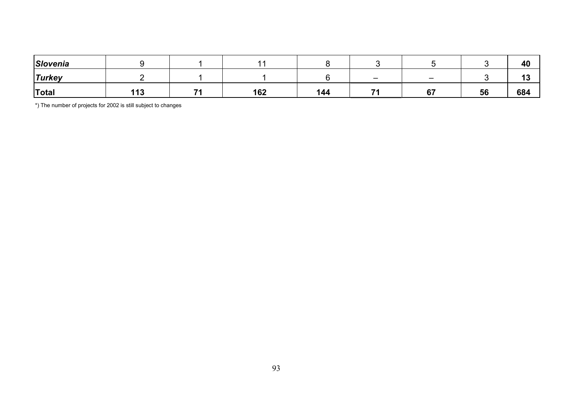| Slovenia      |            |     |     |     |                          |    | 40           |
|---------------|------------|-----|-----|-----|--------------------------|----|--------------|
| <b>Turkey</b> |            |     |     |     | $\overline{\phantom{0}}$ |    | $\sim$<br>IV |
| <b>Total</b>  | 4 4 C<br>. | - - | 162 | 144 | cэ<br>O I                | 56 | 684          |

\*) The number of projects for 2002 is still subject to changes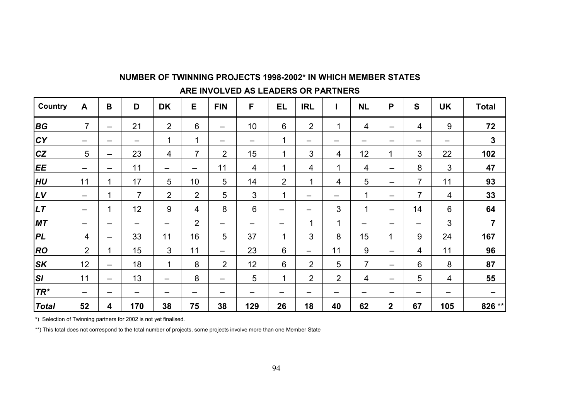## **NUMBER OF TWINNING PROJECTS 1998-2002\* IN WHICH MEMBER STATES**

#### **ARE INVOLVED AS LEADERS OR PARTNERS**

| Country      | A                            | $\mathbf B$ | D                        | <b>DK</b>                | E                        | <b>FIN</b>      | F               | EL             | <b>IRL</b>      |                | <b>NL</b>                | P                        | S              | <b>UK</b>        | <b>Total</b>    |
|--------------|------------------------------|-------------|--------------------------|--------------------------|--------------------------|-----------------|-----------------|----------------|-----------------|----------------|--------------------------|--------------------------|----------------|------------------|-----------------|
| BG           | $\overline{7}$               | -           | 21                       | $\overline{2}$           | 6                        | —               | 10              | $6\phantom{1}$ | $\overline{2}$  | 1              | 4                        |                          | 4              | $\boldsymbol{9}$ | 72              |
| <b>CY</b>    | $\qquad \qquad \qquad$       | -           | $\overline{\phantom{0}}$ | 1                        | 1                        | $\qquad \qquad$ | -               | 1              | $\qquad \qquad$ | -              | $\overline{\phantom{m}}$ | -                        | -              | —                | $\mathbf{3}$    |
| cz           | 5                            | -           | 23                       | 4                        | 7                        | $\overline{2}$  | 15              | 1              | 3               | $\overline{4}$ | 12                       | 1                        | 3              | 22               | 102             |
| EE           | -                            | -           | 11                       | -                        | $\overline{\phantom{m}}$ | 11              | 4               | 1              | 4               | 1              | 4                        | -                        | 8              | 3                | 47              |
| <b>HU</b>    | 11                           | 1           | 17                       | 5                        | 10                       | 5               | 14              | $\overline{2}$ | 1               | 4              | 5                        | -                        | $\overline{7}$ | 11               | 93              |
| LV           | $\qquad \qquad \blacksquare$ | 1           | $\overline{7}$           | $\overline{2}$           | $\overline{2}$           | 5               | 3               | 1              | -               | —              | 1                        | -                        | $\overline{7}$ | 4                | 33              |
| LT.          | -                            |             | 12                       | 9                        | 4                        | $\bf 8$         | $6\phantom{1}6$ | -              | -               | 3              | 1                        | -                        | 14             | 6                | 64              |
| MT           | -                            |             | —                        |                          | $\overline{2}$           | —               | -               | -              | 1               | 1              |                          |                          |                | $\mathbf{3}$     | $\overline{7}$  |
| PL           | $\overline{4}$               | -           | 33                       | 11                       | 16                       | 5               | 37              | 1              | 3               | 8              | 15                       | 1                        | 9              | 24               | 167             |
| RO           | $\overline{2}$               | 1           | 15                       | 3                        | 11                       | $\qquad \qquad$ | 23              | 6              | -               | 11             | 9                        | -                        | $\overline{4}$ | 11               | 96              |
| <b>SK</b>    | 12                           | —           | 18                       | 1                        | 8                        | $\overline{2}$  | 12              | 6              | $\overline{2}$  | $\overline{5}$ | $\overline{7}$           | $\overline{\phantom{0}}$ | 6              | 8                | 87              |
| <b>SI</b>    | 11                           | -           | 13                       | $\overline{\phantom{m}}$ | 8                        | $\qquad \qquad$ | 5               | 1              | $\overline{2}$  | $\overline{2}$ | 4                        | -                        | 5              | 4                | 55              |
| TR*          | $\overline{\phantom{0}}$     | -           | -                        |                          | -                        | —               | -               | -              | -               | -              | —                        |                          |                | —                | $\qquad \qquad$ |
| <b>Total</b> | 52                           | 4           | 170                      | 38                       | 75                       | 38              | 129             | 26             | 18              | 40             | 62                       | $\overline{\mathbf{2}}$  | 67             | 105              | 826 **          |

\*) Selection of Twinning partners for 2002 is not yet finalised.

\*\*) This total does not correspond to the total number of projects, some projects involve more than one Member State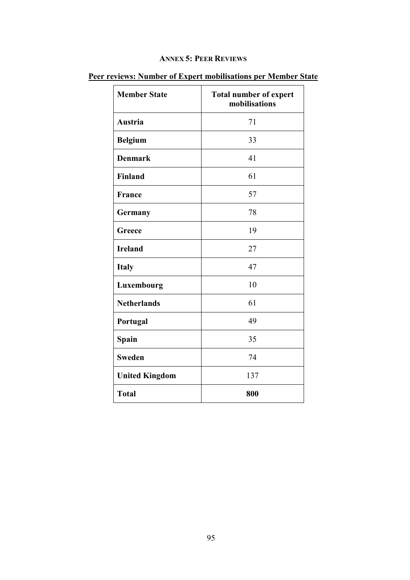## **ANNEX 5: PEER REVIEWS**

## **Peer reviews: Number of Expert mobilisations per Member State**

| <b>Member State</b>   | <b>Total number of expert</b><br>mobilisations |
|-----------------------|------------------------------------------------|
| <b>Austria</b>        | 71                                             |
| <b>Belgium</b>        | 33                                             |
| <b>Denmark</b>        | 41                                             |
| Finland               | 61                                             |
| France                | 57                                             |
| Germany               | 78                                             |
| Greece                | 19                                             |
| <b>Ireland</b>        | 27                                             |
| <b>Italy</b>          | 47                                             |
| Luxembourg            | 10                                             |
| <b>Netherlands</b>    | 61                                             |
| Portugal              | 49                                             |
| Spain                 | 35                                             |
| <b>Sweden</b>         | 74                                             |
| <b>United Kingdom</b> | 137                                            |
| <b>Total</b>          | 800                                            |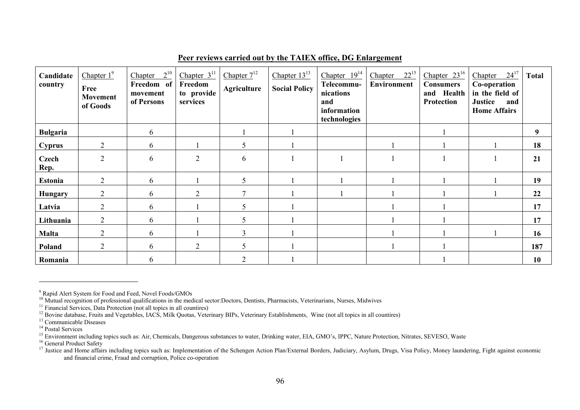| Candidate<br>country | Chapter $1^9$<br>Free<br><b>Movement</b><br>of Goods | $2^{10}$<br>Chapter<br>Freedom of<br>movement<br>of Persons | Chapter $3^{11}$<br>Freedom<br>to provide<br>services | Chapter $7^{12}$<br><b>Agriculture</b> | Chapter $13^{13}$<br><b>Social Policy</b> | Chapter $19^{14}$<br>Telecommu-<br>nications<br>and<br>information<br>technologies | $22^{15}$<br>Chapter<br><b>Environment</b> | Chapter $23^{16}$<br><b>Consumers</b><br>and Health<br>Protection | $24^{17}$<br><b>Chapter</b><br>Co-operation<br>in the field of<br><b>Justice</b><br>and<br><b>Home Affairs</b> | <b>Total</b> |
|----------------------|------------------------------------------------------|-------------------------------------------------------------|-------------------------------------------------------|----------------------------------------|-------------------------------------------|------------------------------------------------------------------------------------|--------------------------------------------|-------------------------------------------------------------------|----------------------------------------------------------------------------------------------------------------|--------------|
| <b>Bulgaria</b>      |                                                      | 6                                                           |                                                       |                                        |                                           |                                                                                    |                                            |                                                                   |                                                                                                                | 9            |
| <b>Cyprus</b>        | $\overline{2}$                                       | 6                                                           |                                                       | 5                                      |                                           |                                                                                    |                                            |                                                                   |                                                                                                                | 18           |
| <b>Czech</b><br>Rep. | $\overline{2}$                                       | 6                                                           | $\overline{2}$                                        | 6                                      |                                           |                                                                                    |                                            |                                                                   |                                                                                                                | 21           |
| <b>Estonia</b>       | $\overline{2}$                                       | 6                                                           |                                                       | 5                                      |                                           |                                                                                    |                                            |                                                                   |                                                                                                                | 19           |
| <b>Hungary</b>       | $\overline{2}$                                       | 6                                                           | $\overline{2}$                                        |                                        |                                           |                                                                                    |                                            |                                                                   |                                                                                                                | 22           |
| Latvia               | $\overline{2}$                                       | 6                                                           |                                                       | 5                                      |                                           |                                                                                    |                                            |                                                                   |                                                                                                                | 17           |
| Lithuania            | $\overline{2}$                                       | 6                                                           |                                                       | 5                                      |                                           |                                                                                    |                                            |                                                                   |                                                                                                                | 17           |
| Malta                | $\overline{2}$                                       | 6                                                           |                                                       | $\overline{3}$                         |                                           |                                                                                    |                                            |                                                                   |                                                                                                                | 16           |
| Poland               | $\overline{2}$                                       | 6                                                           | $\overline{2}$                                        | 5                                      |                                           |                                                                                    |                                            |                                                                   |                                                                                                                | 187          |
| Romania              |                                                      | 6                                                           |                                                       | 2                                      |                                           |                                                                                    |                                            |                                                                   |                                                                                                                | 10           |

## **Peer reviews carried out by the TAIEX office, DG Enlargement**

<sup>&</sup>lt;sup>9</sup> Rapid Alert System for Food and Feed, Novel Foods/GMOs

 $10$  Mutual recognition of professional qualifications in the medical sector:Doctors, Dentists, Pharmacists, Veterinarians, Nurses, Midwives

<sup>&</sup>lt;sup>11</sup> Financial Services, Data Protection (not all topics in all countires)

<sup>&</sup>lt;sup>12</sup> Bovine database, Fruits and Vegetables, IACS, Milk Quotas, Veterinary BIPs, Veterinary Establishments, Wine (not all topics in all countires)

<sup>&</sup>lt;sup>13</sup> Communicable Diseases

<sup>&</sup>lt;sup>14</sup> Postal Services

<sup>&</sup>lt;sup>15</sup> Environment including topics such as: Air, Chemicals, Dangerous substances to water, Drinking water, EIA, GMO's, IPPC, Nature Protection, Nitrates, SEVESO, Waste

<sup>&</sup>lt;sup>16</sup> General Product Safety

<sup>&</sup>lt;sup>17</sup> Justice and Home affairs including topics such as: Implementation of the Schengen Action Plan/External Borders, Judiciary, Asylum, Drugs, Visa Policy, Money laundering, Fight against economic and financial crime, Fraud and corruption, Police co-operation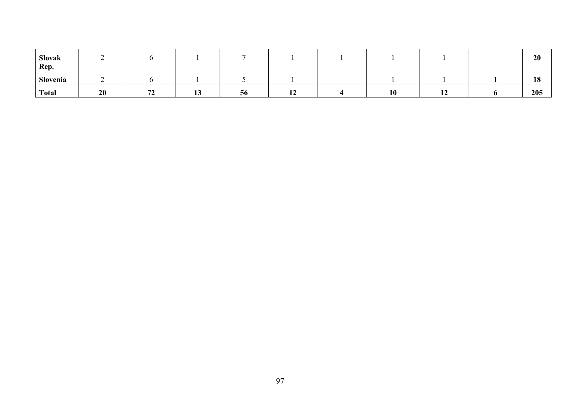| <b>Slovak</b><br>Rep. |    |              |    |    |    |    |    | 20  |
|-----------------------|----|--------------|----|----|----|----|----|-----|
| Slovenia              |    |              |    |    |    |    |    | 18  |
| Total                 | 20 | $\mathbf{a}$ | ⊥◡ | 30 | ┸车 | 10 | ┸车 | 205 |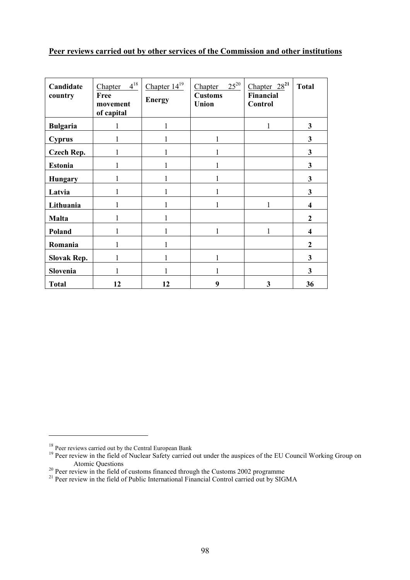## **Peer reviews carried out by other services of the Commission and other institutions**

| Candidate<br>country | $4^{18}$<br>Chapter<br>Free<br>movement<br>of capital | Chapter $14^{19}$<br><b>Energy</b> | $25^{20}$<br>Chapter<br><b>Customs</b><br>Union | Chapter $28^{21}$<br>Financial<br>Control | <b>Total</b>   |
|----------------------|-------------------------------------------------------|------------------------------------|-------------------------------------------------|-------------------------------------------|----------------|
| <b>Bulgaria</b>      |                                                       | 1                                  |                                                 | 1                                         | 3              |
| <b>Cyprus</b>        |                                                       |                                    |                                                 |                                           | 3              |
| <b>Czech Rep.</b>    |                                                       |                                    |                                                 |                                           | 3              |
| <b>Estonia</b>       |                                                       |                                    |                                                 |                                           | 3              |
| <b>Hungary</b>       |                                                       |                                    |                                                 |                                           | 3              |
| Latvia               | 1                                                     | 1                                  | 1                                               |                                           | 3              |
| Lithuania            |                                                       |                                    |                                                 |                                           | 4              |
| Malta                |                                                       |                                    |                                                 |                                           | $\overline{2}$ |
| Poland               | 1                                                     |                                    | 1                                               | 1                                         | 4              |
| Romania              |                                                       |                                    |                                                 |                                           | $\overline{2}$ |
| <b>Slovak Rep.</b>   |                                                       |                                    |                                                 |                                           | 3              |
| Slovenia             |                                                       |                                    |                                                 |                                           | 3              |
| <b>Total</b>         | 12                                                    | 12                                 | 9                                               | 3                                         | 36             |

 $\overline{a}$ 

<sup>&</sup>lt;sup>18</sup> Peer reviews carried out by the Central European Bank<br><sup>19</sup> Peer review in the field of Nuclear Safety carried out under the auspices of the EU Council Working Group on<br>Atomic Questions

<sup>&</sup>lt;sup>20</sup> Peer review in the field of customs financed through the Customs 2002 programme

<sup>&</sup>lt;sup>21</sup> Peer review in the field of Public International Financial Control carried out by SIGMA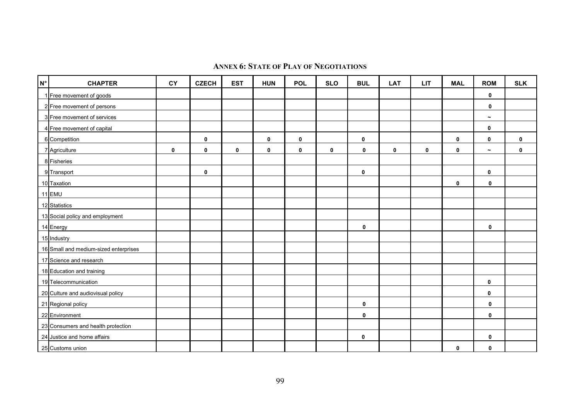## **ANNEX 6: STATE OF PLAY OF NEGOTIATIONS**

| $\mathsf{N}^\circ$ | <b>CHAPTER</b>                        | <b>CY</b>   | <b>CZECH</b> | <b>EST</b>  | <b>HUN</b> | <b>POL</b>  | <b>SLO</b>  | <b>BUL</b>  | <b>LAT</b> | <b>LIT</b>  | <b>MAL</b>  | <b>ROM</b>                | <b>SLK</b>  |
|--------------------|---------------------------------------|-------------|--------------|-------------|------------|-------------|-------------|-------------|------------|-------------|-------------|---------------------------|-------------|
|                    | Free movement of goods                |             |              |             |            |             |             |             |            |             |             | $\mathbf 0$               |             |
|                    | 2 Free movement of persons            |             |              |             |            |             |             |             |            |             |             | $\mathbf 0$               |             |
|                    | 3 Free movement of services           |             |              |             |            |             |             |             |            |             |             | $\widetilde{\phantom{m}}$ |             |
|                    | 4 Free movement of capital            |             |              |             |            |             |             |             |            |             |             | $\mathbf 0$               |             |
|                    | 6 Competition                         |             | 0            |             | 0          | $\mathbf 0$ |             | 0           |            |             | 0           | $\mathbf 0$               | 0           |
|                    | 7 Agriculture                         | $\mathbf 0$ | 0            | $\mathbf 0$ | 0          | $\mathbf 0$ | $\mathbf 0$ | 0           | 0          | $\mathbf 0$ | 0           | $\tilde{}$                | $\mathbf 0$ |
|                    | 8 Fisheries                           |             |              |             |            |             |             |             |            |             |             |                           |             |
|                    | 9 Transport                           |             | $\pmb{0}$    |             |            |             |             | $\mathbf 0$ |            |             |             | $\mathbf 0$               |             |
|                    | 10 Taxation                           |             |              |             |            |             |             |             |            |             | $\mathbf 0$ | $\mathbf 0$               |             |
|                    | 11EMU                                 |             |              |             |            |             |             |             |            |             |             |                           |             |
|                    | 12 Statistics                         |             |              |             |            |             |             |             |            |             |             |                           |             |
|                    | 13 Social policy and employment       |             |              |             |            |             |             |             |            |             |             |                           |             |
|                    | 14 Energy                             |             |              |             |            |             |             | $\mathbf 0$ |            |             |             | $\mathbf 0$               |             |
|                    | 15 Industry                           |             |              |             |            |             |             |             |            |             |             |                           |             |
|                    | 16 Small and medium-sized enterprises |             |              |             |            |             |             |             |            |             |             |                           |             |
|                    | 17 Science and research               |             |              |             |            |             |             |             |            |             |             |                           |             |
|                    | 18 Education and training             |             |              |             |            |             |             |             |            |             |             |                           |             |
|                    | 19 Telecommunication                  |             |              |             |            |             |             |             |            |             |             | $\mathbf 0$               |             |
|                    | 20 Culture and audiovisual policy     |             |              |             |            |             |             |             |            |             |             | $\mathbf 0$               |             |
|                    | 21 Regional policy                    |             |              |             |            |             |             | $\mathbf 0$ |            |             |             | $\mathbf 0$               |             |
|                    | 22 Environment                        |             |              |             |            |             |             | $\mathbf 0$ |            |             |             | 0                         |             |
|                    | 23 Consumers and health protection    |             |              |             |            |             |             |             |            |             |             |                           |             |
|                    | 24 Justice and home affairs           |             |              |             |            |             |             | $\mathbf 0$ |            |             |             | $\mathbf 0$               |             |
|                    | 25 Customs union                      |             |              |             |            |             |             |             |            |             | 0           | 0                         |             |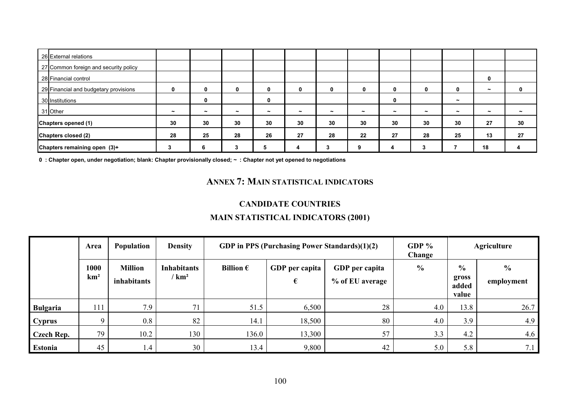| 26 External relations                 |                       |    |                       |    |                       |                       |    |                       |    |                       |                       |    |
|---------------------------------------|-----------------------|----|-----------------------|----|-----------------------|-----------------------|----|-----------------------|----|-----------------------|-----------------------|----|
| 27 Common foreign and security policy |                       |    |                       |    |                       |                       |    |                       |    |                       |                       |    |
| 28 Financial control                  |                       |    |                       |    |                       |                       |    |                       |    |                       | 0                     |    |
| 29 Financial and budgetary provisions | 0                     | u. | 0                     | 0  | v                     | 0                     | 0  | 0                     | 0  | 0                     | $\tilde{\phantom{a}}$ |    |
| 30 Institutions                       |                       | u. |                       | 0  |                       |                       |    | 0                     |    | $\tilde{\phantom{a}}$ |                       |    |
| 31 Other                              | $\tilde{\phantom{a}}$ | -  | $\tilde{\phantom{a}}$ | -  | $\tilde{\phantom{a}}$ | $\tilde{\phantom{a}}$ |    | $\tilde{\phantom{a}}$ |    |                       | $\tilde{\phantom{a}}$ |    |
| Chapters opened (1)                   | 30                    | 30 | 30                    | 30 | 30                    | 30                    | 30 | 30                    | 30 | 30                    | 27                    | 30 |
| Chapters closed (2)                   | 28                    | 25 | 28                    | 26 | 27                    | 28                    | 22 | 27                    | 28 | 25                    | 13                    | 27 |
| Chapters remaining open (3)+          |                       |    |                       | э  |                       |                       | 9  |                       |    |                       | 18                    |    |

**0 : Chapter open, under negotiation; blank: Chapter provisionally closed; ~ : Chapter not yet opened to negotiations**

### **ANNEX 7: MAIN STATISTICAL INDICATORS**

### **CANDIDATE COUNTRIES**

## **MAIN STATISTICAL INDICATORS (2001)**

|                   | Area                    | <b>Population</b>             | <b>Density</b>                                    |                    | GDP in PPS (Purchasing Power Standards)(1)(2) |                                   | GDP $%$<br>Change | <b>Agriculture</b>                       |                             |  |
|-------------------|-------------------------|-------------------------------|---------------------------------------------------|--------------------|-----------------------------------------------|-----------------------------------|-------------------|------------------------------------------|-----------------------------|--|
|                   | 1000<br>km <sup>2</sup> | <b>Million</b><br>inhabitants | <b>Inhabitants</b><br>$^{\prime}$ km <sup>2</sup> | Billion $\epsilon$ | GDP per capita<br>€                           | GDP per capita<br>% of EU average | $\frac{6}{6}$     | $\frac{0}{0}$<br>gross<br>added<br>value | $\frac{6}{6}$<br>employment |  |
| <b>Bulgaria</b>   | 111                     | 7.9                           | 71                                                | 51.5               | 6,500                                         | 28                                | 4.0               | 13.8                                     | 26.7                        |  |
| <b>Cyprus</b>     |                         | 0.8                           | 82                                                | 14.1               | 18,500                                        | 80                                | 4.0               | 3.9                                      | 4.9                         |  |
| <b>Czech Rep.</b> | 79                      | 10.2                          | 130                                               | 136.0              | 13,300                                        | 57                                | 3.3               | 4.2                                      | 4.6                         |  |
| <b>Estonia</b>    | 45                      | 1.4                           | 30                                                | 13.4               | 9,800                                         | 42                                | 5.0               | 5.8                                      | 7.1                         |  |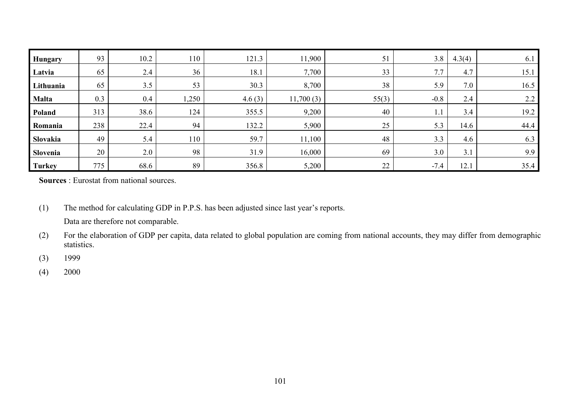| Hungary       | 93  | 10.2 | 110  | 121.3  | 11,900    | 51    | 3.8    | 4.3(4) | 6.1  |
|---------------|-----|------|------|--------|-----------|-------|--------|--------|------|
| Latvia        | 65  | 2.4  | 36   | 18.1   | 7,700     | 33    | 7.7    | 4.7    | 15.1 |
| Lithuania     | 65  | 3.5  | 53   | 30.3   | 8,700     | 38    | 5.9    | 7.0    | 16.5 |
| <b>Malta</b>  | 0.3 | 0.4  | .250 | 4.6(3) | 11,700(3) | 55(3) | $-0.8$ | 2.4    | 2.2  |
| Poland        | 313 | 38.6 | 124  | 355.5  | 9,200     | 40    | 1.1    | 3.4    | 19.2 |
| Romania       | 238 | 22.4 | 94   | 132.2  | 5,900     | 25    | 5.3    | 14.6   | 44.4 |
| Slovakia      | 49  | 5.4  | 110  | 59.7   | 11,100    | 48    | 3.3    | 4.6    | 6.3  |
| Slovenia      | 20  | 2.0  | 98   | 31.9   | 16,000    | 69    | 3.0    | 3.1    | 9.9  |
| <b>Turkey</b> | 775 | 68.6 | 89   | 356.8  | 5,200     | 22    | $-7.4$ | 12.1   | 35.4 |

**Sources** : Eurostat from national sources.

- (1) The method for calculating GDP in P.P.S. has been adjusted since last year's reports. Data are therefore not comparable.
- (2) For the elaboration of GDP per capita, data related to global population are coming from national accounts, they may differ from demographic statistics.
- (3) 1999
- (4) 2000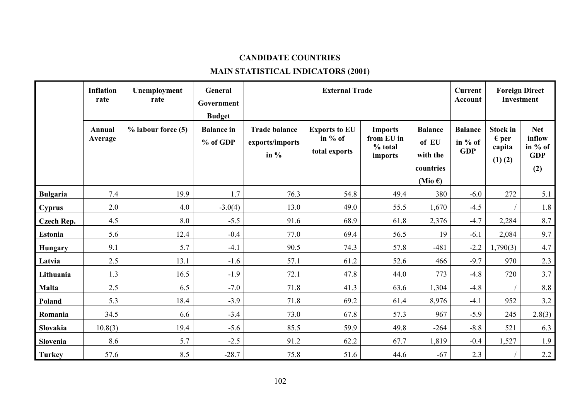### **CANDIDATE COUNTRIES**

## **MAIN STATISTICAL INDICATORS (2001)**

|                   | <b>Inflation</b><br>rate | Unemployment<br>rate   | General<br>Government<br><b>Budget</b> | <b>External Trade</b>                             |                                                  |                                                      |                                                                       | Current<br><b>Account</b>               | <b>Foreign Direct</b><br>Investment                        |                                                      |
|-------------------|--------------------------|------------------------|----------------------------------------|---------------------------------------------------|--------------------------------------------------|------------------------------------------------------|-----------------------------------------------------------------------|-----------------------------------------|------------------------------------------------------------|------------------------------------------------------|
|                   | Annual<br>Average        | $%$ labour force $(5)$ | <b>Balance</b> in<br>% of GDP          | <b>Trade balance</b><br>exports/imports<br>in $%$ | <b>Exports to EU</b><br>in % of<br>total exports | <b>Imports</b><br>from EU in<br>$%$ total<br>imports | <b>Balance</b><br>of EU<br>with the<br>countries<br>(Mio $\epsilon$ ) | <b>Balance</b><br>in % of<br><b>GDP</b> | <b>Stock in</b><br>$\epsilon$ per<br>capita<br>$(1)$ $(2)$ | <b>Net</b><br>inflow<br>in % of<br><b>GDP</b><br>(2) |
| <b>Bulgaria</b>   | 7.4                      | 19.9                   | 1.7                                    | 76.3                                              | 54.8                                             | 49.4                                                 | 380                                                                   | $-6.0$                                  | 272                                                        | 5.1                                                  |
| <b>Cyprus</b>     | 2.0                      | 4.0                    | $-3.0(4)$                              | 13.0                                              | 49.0                                             | 55.5                                                 | 1,670                                                                 | $-4.5$                                  |                                                            | 1.8                                                  |
| <b>Czech Rep.</b> | 4.5                      | 8.0                    | $-5.5$                                 | 91.6                                              | 68.9                                             | 61.8                                                 | 2,376                                                                 | $-4.7$                                  | 2,284                                                      | 8.7                                                  |
| <b>Estonia</b>    | 5.6                      | 12.4                   | $-0.4$                                 | 77.0                                              | 69.4                                             | 56.5                                                 | 19                                                                    | $-6.1$                                  | 2,084                                                      | 9.7                                                  |
| <b>Hungary</b>    | 9.1                      | 5.7                    | $-4.1$                                 | 90.5                                              | 74.3                                             | 57.8                                                 | $-481$                                                                | $-2.2$                                  | ,790(3)                                                    | 4.7                                                  |
| Latvia            | 2.5                      | 13.1                   | $-1.6$                                 | 57.1                                              | 61.2                                             | 52.6                                                 | 466                                                                   | $-9.7$                                  | 970                                                        | 2.3                                                  |
| Lithuania         | 1.3                      | 16.5                   | $-1.9$                                 | 72.1                                              | 47.8                                             | 44.0                                                 | 773                                                                   | $-4.8$                                  | 720                                                        | 3.7                                                  |
| Malta             | 2.5                      | 6.5                    | $-7.0$                                 | 71.8                                              | 41.3                                             | 63.6                                                 | 1,304                                                                 | $-4.8$                                  |                                                            | 8.8                                                  |
| Poland            | 5.3                      | 18.4                   | $-3.9$                                 | 71.8                                              | 69.2                                             | 61.4                                                 | 8,976                                                                 | $-4.1$                                  | 952                                                        | 3.2                                                  |
| Romania           | 34.5                     | 6.6                    | $-3.4$                                 | 73.0                                              | 67.8                                             | 57.3                                                 | 967                                                                   | $-5.9$                                  | 245                                                        | 2.8(3)                                               |
| Slovakia          | 10.8(3)                  | 19.4                   | $-5.6$                                 | 85.5                                              | 59.9                                             | 49.8                                                 | $-264$                                                                | $-8.8$                                  | 521                                                        | 6.3                                                  |
| Slovenia          | 8.6                      | 5.7                    | $-2.5$                                 | 91.2                                              | 62.2                                             | 67.7                                                 | 1,819                                                                 | $-0.4$                                  | 1,527                                                      | 1.9                                                  |
| <b>Turkey</b>     | 57.6                     | 8.5                    | $-28.7$                                | 75.8                                              | 51.6                                             | 44.6                                                 | $-67$                                                                 | 2.3                                     |                                                            | 2.2                                                  |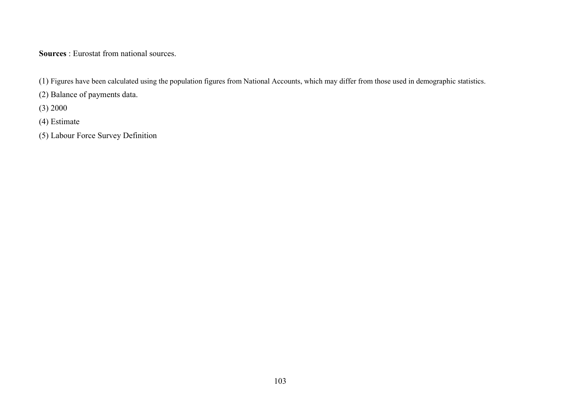**Sources** : Eurostat from national sources.

- (1) Figures have been calculated using the population figures from National Accounts, which may differ from those used in demographic statistics.
- (2) Balance of payments data.
- (3) 2000
- (4) Estimate
- (5) Labour Force Survey Definition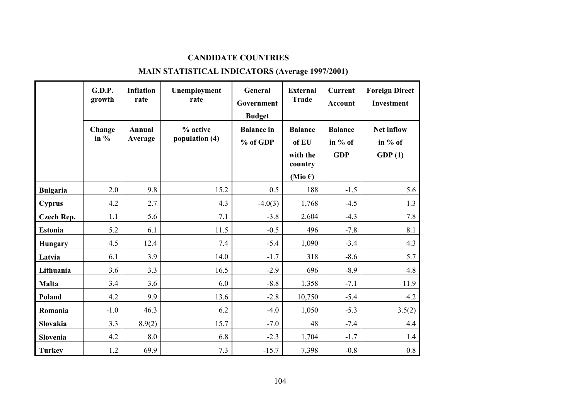#### **CANDIDATE COUNTRIES**

# **MAIN STATISTICAL INDICATORS (Average 1997/2001)**

|                   | G.D.P.<br>growth | <b>Inflation</b><br>rate | Unemployment<br>rate       | <b>General</b><br>Government<br><b>Budget</b> | <b>External</b><br><b>Trade</b> | <b>Current</b><br><b>Account</b> | <b>Foreign Direct</b><br><b>Investment</b> |
|-------------------|------------------|--------------------------|----------------------------|-----------------------------------------------|---------------------------------|----------------------------------|--------------------------------------------|
|                   | Change<br>in $%$ | Annual<br>Average        | % active<br>population (4) | <b>Balance</b> in                             | <b>Balance</b>                  | <b>Balance</b>                   | <b>Net inflow</b>                          |
|                   |                  |                          |                            | % of GDP                                      | of EU<br>with the               | in $%$ of<br><b>GDP</b>          | in % of<br>GDP(1)                          |
|                   |                  |                          |                            |                                               | country                         |                                  |                                            |
|                   |                  |                          |                            |                                               | (Mio $\epsilon$ )               |                                  |                                            |
| <b>Bulgaria</b>   | 2.0              | 9.8                      | 15.2                       | 0.5                                           | 188                             | $-1.5$                           | 5.6                                        |
| <b>Cyprus</b>     | 4.2              | 2.7                      | 4.3                        | $-4.0(3)$                                     | 1,768                           | $-4.5$                           | 1.3                                        |
| <b>Czech Rep.</b> | 1.1              | 5.6                      | 7.1                        | $-3.8$                                        | 2,604                           | $-4.3$                           | 7.8                                        |
| <b>Estonia</b>    | 5.2              | 6.1                      | 11.5                       | $-0.5$                                        | 496                             | $-7.8$                           | 8.1                                        |
| Hungary           | 4.5              | 12.4                     | 7.4                        | $-5.4$                                        | 1,090                           | $-3.4$                           | 4.3                                        |
| Latvia            | 6.1              | 3.9                      | 14.0                       | $-1.7$                                        | 318                             | $-8.6$                           | 5.7                                        |
| Lithuania         | 3.6              | 3.3                      | 16.5                       | $-2.9$                                        | 696                             | $-8.9$                           | 4.8                                        |
| Malta             | 3.4              | 3.6                      | 6.0                        | $-8.8$                                        | 1,358                           | $-7.1$                           | 11.9                                       |
| Poland            | 4.2              | 9.9                      | 13.6                       | $-2.8$                                        | 10,750                          | $-5.4$                           | 4.2                                        |
| Romania           | $-1.0$           | 46.3                     | 6.2                        | $-4.0$                                        | 1,050                           | $-5.3$                           | 3.5(2)                                     |
| Slovakia          | 3.3              | 8.9(2)                   | 15.7                       | $-7.0$                                        | 48                              | $-7.4$                           | 4.4                                        |
| Slovenia          | 4.2              | 8.0                      | 6.8                        | $-2.3$                                        | 1,704                           | $-1.7$                           | 1.4                                        |
| <b>Turkey</b>     | 1.2              | 69.9                     | 7.3                        | $-15.7$                                       | 7,398                           | $-0.8$                           | 0.8                                        |